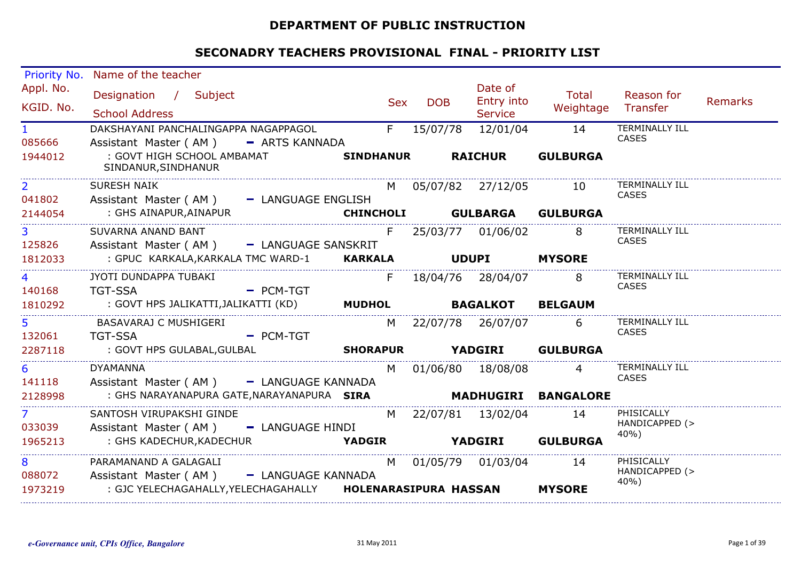#### **DEPARTMENT OF PUBLIC INSTRUCTION**

| Priority No.                   | Name of the teacher                                                        |                                |                   |                   |                        |             |                 |                        |                |
|--------------------------------|----------------------------------------------------------------------------|--------------------------------|-------------------|-------------------|------------------------|-------------|-----------------|------------------------|----------------|
| Appl. No.                      | Designation / Subject                                                      |                                |                   |                   | Date of                |             | <b>Total</b>    | Reason for             |                |
| KGID. No.                      |                                                                            |                                |                   | Sex<br><b>DOB</b> | Entry into             |             |                 | Weightage Transfer     | <b>Remarks</b> |
|                                | <b>School Address</b>                                                      |                                |                   |                   | <b>Service</b>         |             |                 |                        |                |
| $\mathbf{1}$                   | DAKSHAYANI PANCHALINGAPPA NAGAPPAGOL                                       |                                | F                 | 15/07/78          |                        | 12/01/04 14 |                 | TERMINALLY ILL         |                |
| 085666                         | Assistant Master (AM) - ARTS KANNADA                                       |                                |                   |                   |                        |             |                 | <b>CASES</b>           |                |
| 1944012                        | : GOVT HIGH SCHOOL AMBAMAT<br>SINDANUR, SINDHANUR                          |                                | SINDHANUR RAICHUR |                   |                        |             | <b>GULBURGA</b> |                        |                |
| 2 <sup>1</sup>                 | SURESH NAIK                                                                |                                |                   |                   | M 05/07/82 27/12/05 10 |             |                 | <b>TERMINALLY ILL</b>  |                |
| 041802                         | Assistant Master (AM) - LANGUAGE ENGLISH                                   |                                |                   |                   |                        |             |                 | <b>CASES</b>           |                |
| 2144054                        |                                                                            |                                |                   |                   |                        |             |                 |                        |                |
| 3 <sup>7</sup>                 | SUVARNA ANAND BANT                                                         |                                |                   |                   | F 25/03/77 01/06/02 8  |             |                 | <b>TERMINALLY ILL</b>  |                |
| 125826                         | Assistant Master (AM) - LANGUAGE SANSKRIT                                  |                                |                   |                   |                        |             |                 | <b>CASES</b>           |                |
| 1812033                        | : GPUC KARKALA, KARKALA TMC WARD-1 KARKALA UDUPI MYSORE                    |                                |                   |                   |                        |             |                 |                        |                |
| $\overline{4}$                 | JYOTI DUNDAPPA TUBAKI                                                      |                                |                   |                   | F 18/04/76 28/04/07 8  |             |                 | <b>TERMINALLY ILL</b>  |                |
| 140168                         | <b>TGT-SSA</b><br><b>Example 2</b> PCM-TGT                                 |                                |                   |                   |                        |             |                 | CASES                  |                |
| 1810292                        | : GOVT HPS JALIKATTI,JALIKATTI (KD) <b>MUDHOL     RAGALKOT     RELGAUM</b> |                                |                   |                   |                        |             |                 |                        |                |
| $5 - 1$                        | BASAVARAJ C MUSHIGERI                                                      |                                |                   |                   | M 22/07/78 26/07/07 6  |             |                 | <b>TERMINALLY ILL</b>  |                |
| 132061                         | TGT-SSA PCM-TGT                                                            |                                |                   |                   |                        |             |                 | <b>CASES</b>           |                |
| 2287118                        |                                                                            |                                |                   |                   |                        |             |                 |                        |                |
| $6^{\circ}$                    | <b>DYAMANNA</b>                                                            |                                |                   |                   | M 01/06/80 18/08/08    |             | $\overline{4}$  | <b>TERMINALLY ILL</b>  |                |
| 141118                         | Assistant Master (AM) - LANGUAGE KANNADA                                   |                                |                   |                   |                        |             |                 | <b>CASES</b>           |                |
| 2128998                        | : GHS NARAYANAPURA GATE, NARAYANAPURA SIRA                                 |                                |                   |                   | MADHUGIRI BANGALORE    |             |                 |                        |                |
| $7 \left( \frac{1}{2} \right)$ | SANTOSH VIRUPAKSHI GINDE                                                   |                                |                   |                   | M 22/07/81 13/02/04 14 |             |                 | PHISICALLY             |                |
| 033039                         | Assistant Master (AM) - LANGUAGE HINDI                                     |                                |                   |                   |                        |             |                 | HANDICAPPED (><br>40%) |                |
| 1965213                        | : GHS KADECHUR,KADECHUR                                                    | <b>YADGIR</b> YADGIRI GULBURGA |                   |                   |                        |             |                 |                        |                |
| 8                              | PARAMANAND A GALAGALI                                                      |                                |                   |                   | M 01/05/79 01/03/04 14 |             |                 | PHISICALLY             |                |
| 088072                         | Assistant Master (AM) - LANGUAGE KANNADA                                   |                                |                   |                   |                        |             |                 | HANDICAPPED (><br>40%) |                |
| 1973219                        |                                                                            |                                |                   |                   |                        |             | <b>MYSORE</b>   |                        |                |
|                                |                                                                            |                                |                   |                   |                        |             |                 |                        |                |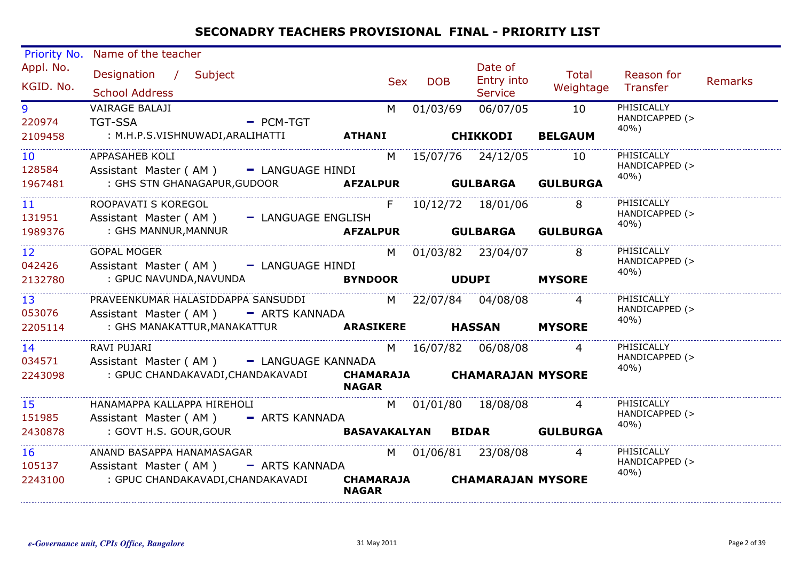| Priority No.              | Name of the teacher                                                        |                                  |                   |                                  |                             |                                      |         |
|---------------------------|----------------------------------------------------------------------------|----------------------------------|-------------------|----------------------------------|-----------------------------|--------------------------------------|---------|
| Appl. No.<br>KGID. No.    | Designation / Subject<br><b>School Address</b>                             |                                  | <b>DOB</b><br>Sex | Date of<br>Entry into<br>Service | Total<br>Weightage Transfer | Reason for                           | Remarks |
| 9 <sup>°</sup><br>220974  | VAIRAGE BALAJI<br><b>TGT-SSA</b><br>$-$ PCM-TGT                            | M <sub>1</sub>                   | 01/03/69          | 06/07/05                         | 10                          | PHISICALLY<br>HANDICAPPED (><br>40%) |         |
| 2109458                   | : M.H.P.S.VISHNUWADI,ARALIHATTI <b>ATHANI</b>                              |                                  |                   | <b>CHIKKODI</b>                  | <b>BELGAUM</b>              |                                      |         |
| 10 <sup>1</sup><br>128584 | APPASAHEB KOLI<br>Assistant Master (AM) - LANGUAGE HINDI                   |                                  |                   | M 15/07/76 24/12/05              | 10                          | PHISICALLY<br>HANDICAPPED (><br>40%) |         |
| 1967481                   | : GHS STN GHANAGAPUR, GUDOOR <b>AFZALPUR GULBARGA</b>                      |                                  |                   |                                  | <b>GULBURGA</b>             |                                      |         |
| 11 <sup>1</sup><br>131951 | ROOPAVATI S KOREGOL<br>Assistant Master (AM) - LANGUAGE ENGLISH            |                                  |                   | F 10/12/72 18/01/06              | 8                           | PHISICALLY<br>HANDICAPPED (>         |         |
| 1989376                   | : GHS MANNUR, MANNUR                                                       |                                  |                   |                                  | <b>GULBURGA</b>             | 40%)                                 |         |
| 12 <sup>2</sup><br>042426 | <b>GOPAL MOGER</b><br>Assistant Master (AM) - LANGUAGE HINDI               |                                  |                   | M 01/03/82 23/04/07              | 8                           | PHISICALLY<br>HANDICAPPED (><br>40%) |         |
| 2132780                   | : GPUC NAVUNDA,NAVUNDA                                                     |                                  |                   | BYNDOOR UDUPI                    | <b>MYSORE</b>               |                                      |         |
| 13 <sup>°</sup><br>053076 | PRAVEENKUMAR HALASIDDAPPA SANSUDDI<br>Assistant Master (AM) - ARTS KANNADA |                                  |                   | M 22/07/84 04/08/08              | $\overline{4}$              | PHISICALLY<br>HANDICAPPED (><br>40%) |         |
| 2205114                   |                                                                            |                                  |                   |                                  | <b>MYSORE</b>               |                                      |         |
| 14<br>034571              | RAVI PUJARI<br>Assistant Master (AM) - LANGUAGE KANNADA                    |                                  |                   | M 16/07/82 06/08/08              | 4                           | PHISICALLY<br>HANDICAPPED (><br>40%) |         |
| 2243098                   | : GPUC CHANDAKAVADI,CHANDAKAVADI                                           | <b>NAGAR</b>                     |                   | CHAMARAJA CHAMARAJAN MYSORE      |                             |                                      |         |
| 15<br>151985              | HANAMAPPA KALLAPPA HIREHOLI<br>Assistant Master (AM) - ARTS KANNADA        |                                  |                   | M 01/01/80 18/08/08              |                             | PHISICALLY<br>HANDICAPPED (><br>40%) |         |
| 2430878                   | : GOVT H.S. GOUR,GOUR                                                      |                                  |                   | BASAVAKALYAN BIDAR GULBURGA      |                             |                                      |         |
| 16<br>105137              | ANAND BASAPPA HANAMASAGAR<br>Assistant Master (AM) - ARTS KANNADA          |                                  |                   | M 01/06/81 23/08/08              |                             | PHISICALLY<br>HANDICAPPED (><br>40%) |         |
| 2243100                   | : GPUC CHANDAKAVADI, CHANDAKAVADI                                          | <b>CHAMARAJA</b><br><b>NAGAR</b> |                   | <b>CHAMARAJAN MYSORE</b>         |                             |                                      |         |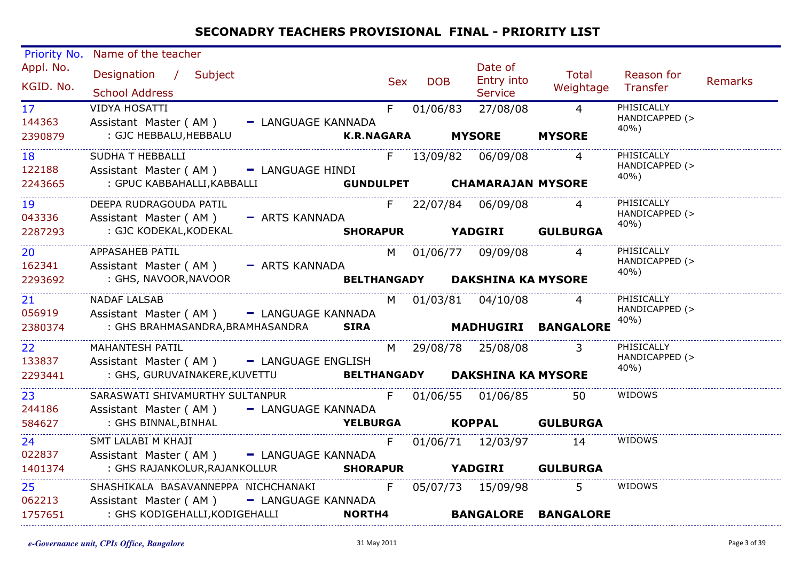| Priority No.                        | Name of the teacher                                                                                                                                                       |                                       |     |            |                                                   |                             |                                      |         |
|-------------------------------------|---------------------------------------------------------------------------------------------------------------------------------------------------------------------------|---------------------------------------|-----|------------|---------------------------------------------------|-----------------------------|--------------------------------------|---------|
| Appl. No.<br>KGID. No.              | Designation / Subject<br><b>School Address</b>                                                                                                                            |                                       | Sex | <b>DOB</b> | Date of<br>Entry into<br>Service                  | Total<br>Weightage Transfer | Reason for                           | Remarks |
| 17<br>144363<br>2390879             | <b>VIDYA HOSATTI</b><br>Assistant Master (AM) - LANGUAGE KANNADA<br>: GJC HEBBALU, HEBBALU                                                                                |                                       |     |            | F 01/06/83 27/08/08 4<br>K.R.NAGARA MYSORE MYSORE |                             | PHISICALLY<br>HANDICAPPED (><br>40%) |         |
| 18 (18)<br>122188<br>2243665        | SUDHA T HEBBALLI<br>Assistant Master (AM) - LANGUAGE HINDI<br>: GPUC KABBAHALLI, KABBALLI GUNDULPET CHAMARAJAN MYSORE                                                     |                                       |     |            | F 13/09/82 06/09/08                               |                             | PHISICALLY<br>HANDICAPPED (><br>40%) |         |
| 19<br>043336                        | DEEPA RUDRAGOUDA PATIL<br>Assistant Master (AM) - ARTS KANNADA<br>2287293 : GJC KODEKAL, KODEKAL                                                                          | SHORAPUR YADGIRI GULBURGA             |     |            | F 22/07/84 06/09/08                               |                             | PHISICALLY<br>HANDICAPPED (><br>40%) |         |
| $20 - 1$<br>162341<br>2293692       | APPASAHEB PATIL<br>Assistant Master (AM) - ARTS KANNADA<br>: GHS, NAVOOR,NAVOOR                                                                                           | <b>BELTHANGADY DAKSHINA KA MYSORE</b> |     |            | M 01/06/77 09/09/08 4                             |                             | PHISICALLY<br>HANDICAPPED (><br>40%) |         |
| 21<br>056919<br>2380374             | <b>NADAF LALSAB</b><br>Assistant Master (AM) - LANGUAGE KANNADA                                                                                                           |                                       |     |            | M 01/03/81 04/10/08 4                             |                             | PHISICALLY<br>HANDICAPPED (><br>40%) |         |
| 22<br>133837<br>2293441             | MAHANTESH PATIL<br>Assistant Master (AM) - LANGUAGE ENGLISH<br>: GHS, GURUVAINAKERE, KUVETTU BELTHANGADY DAKSHINA KA MYSORE                                               |                                       |     |            | M 29/08/78 25/08/08 3                             |                             | PHISICALLY<br>HANDICAPPED (><br>40%) |         |
| 23 <sup>2</sup><br>244186<br>584627 | SARASWATI SHIVAMURTHY SULTANPUR<br>Assistant Master (AM) - LANGUAGE KANNADA<br>BINNAL,BINHAL <b>YELBURGA KOPPAL GULBURGA</b><br>: GHS BINNAL,BINHAL                       |                                       |     |            | F 01/06/55 01/06/85                               | 50                          | WIDOWS                               |         |
| 24<br>022837<br>1401374             | SMT LALABI M KHAJI<br>Assistant Master (AM) - LANGUAGE KANNADA                                                                                                            |                                       |     |            |                                                   | F 01/06/71 12/03/97 14      | WIDOWS                               |         |
| $25 - 7$<br>062213<br>1757651       | SHASHIKALA BASAVANNEPPA NICHCHANAKI F 05/07/73 15/09/98 5<br>Assistant Master (AM) - LANGUAGE KANNADA<br>: GHS KODIGEHALLI, KODIGEHALLI KORTHA KORTHA KANGALORE BANGALORE |                                       |     |            |                                                   |                             | WIDOWS                               |         |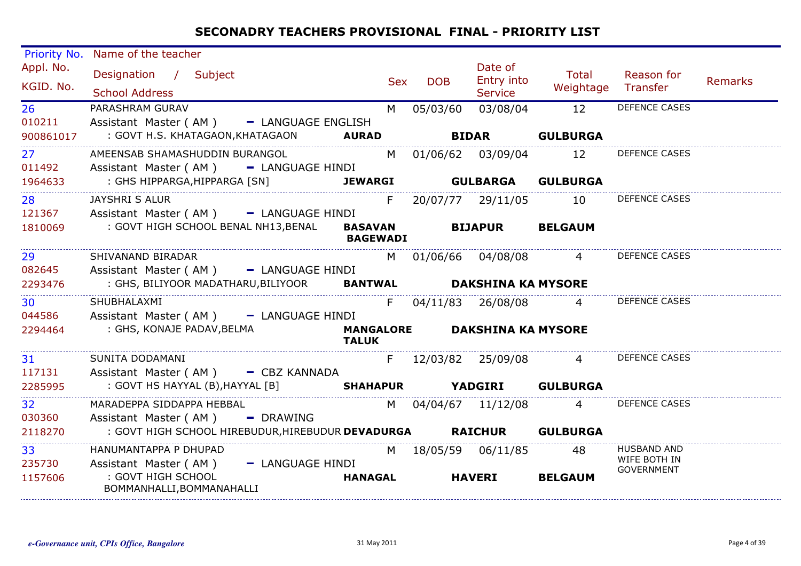| Priority No.           | Name of the teacher                                                                                   |                 |            |                                  |                        |                                                         |                |
|------------------------|-------------------------------------------------------------------------------------------------------|-----------------|------------|----------------------------------|------------------------|---------------------------------------------------------|----------------|
| Appl. No.<br>KGID. No. | Designation / Subject<br><b>School Address</b>                                                        | Sex             | <b>DOB</b> | Date of<br>Entry into<br>Service | Total<br>Weightage     | Reason for<br>Transfer                                  | <b>Remarks</b> |
| 26<br>010211           | PARASHRAM GURAV<br>Assistant Master (AM) - LANGUAGE ENGLISH<br>: GOVT H.S. KHATAGAON, KHATAGAON AURAD | M               | 05/03/60   | 03/08/04                         | 12<br><b>GULBURGA</b>  | DEFENCE CASES                                           |                |
| 900861017              |                                                                                                       |                 |            | <b>BIDAR</b>                     |                        |                                                         |                |
| 27<br>011492           | AMEENSAB SHAMASHUDDIN BURANGOL<br>Assistant Master (AM) - LANGUAGE HINDI                              |                 |            | M 01/06/62 03/09/04 12           |                        | DEFENCE CASES                                           |                |
| 1964633                | : GHS HIPPARGA,HIPPARGA [SN]<br>ARGA,HIPPARGA [SN] <b>JEWARGI</b><br>……………………………………………………………………………    |                 |            | <b>JEWARGI GULBARGA</b>          | <b>GULBURGA</b>        |                                                         |                |
| 28 3<br>121367         | JAYSHRI S ALUR<br>Assistant Master (AM) - LANGUAGE HINDI                                              |                 |            |                                  | F 20/07/77 29/11/05 10 | <b>DEFENCE CASES</b>                                    |                |
| 1810069                | : GOVT HIGH SCHOOL BENAL NH13,BENAL                                                                   | <b>BAGEWADI</b> |            | BASAVAN BIJAPUR BELGAUM          |                        |                                                         |                |
| 29<br>082645           | SHIVANAND BIRADAR<br>Assistant Master (AM) - LANGUAGE HINDI                                           |                 |            | M 01/06/66 04/08/08 4            |                        | <b>DEFENCE CASES</b>                                    |                |
| 2293476                | : GHS, BILIYOOR MADATHARU, BILIYOOR BANTWAL DAKSHINA KA MYSORE                                        |                 |            |                                  |                        |                                                         |                |
| <b>30</b><br>044586    | SHUBHALAXMI<br>Assistant Master (AM) - LANGUAGE HINDI                                                 | F.              |            | 04/11/83 26/08/08 4              |                        | <b>DEFENCE CASES</b>                                    |                |
| 2294464                | : GHS, KONAJE PADAV,BELMA<br><b>TALUK</b>                                                             |                 |            | MANGALORE DAKSHINA KA MYSORE     |                        |                                                         |                |
| 31<br>117131           | SUNITA DODAMANI<br>Assistant Master (AM) - CBZ KANNADA                                                |                 |            |                                  |                        | F 12/03/82 25/09/08 4 DEFENCE CASES                     |                |
| 2285995                | : GOVT HS HAYYAL (B), HAYYAL [B] <b>SHAHAPUR YADGIRI</b>                                              |                 |            |                                  | <b>GULBURGA</b>        |                                                         |                |
| 32<br>030360           | MARADEPPA SIDDAPPA HEBBAL<br>Assistant Master ( $AM$ ) - DRAWING                                      |                 |            |                                  | M 04/04/67 11/12/08 4  | <b>DEFENCE CASES</b>                                    |                |
| 2118270                | : GOVT HIGH SCHOOL HIREBUDUR, HIREBUDUR DEVADURGA RAICHUR GULBURGA                                    |                 |            |                                  |                        |                                                         |                |
| 33<br>235730           | HANUMANTAPPA P DHUPAD<br>Assistant Master (AM) - LANGUAGE HINDI                                       |                 |            | M 18/05/59 06/11/85 48           |                        | <b>HUSBAND AND</b><br>WIFE BOTH IN<br><b>GOVERNMENT</b> |                |
| 1157606                | : GOVT HIGH SCHOOL<br>BOMMANHALLI, BOMMANAHALLI                                                       | <b>HANAGAL</b>  |            | <b>HAVERI</b>                    | <b>BELGAUM</b>         |                                                         |                |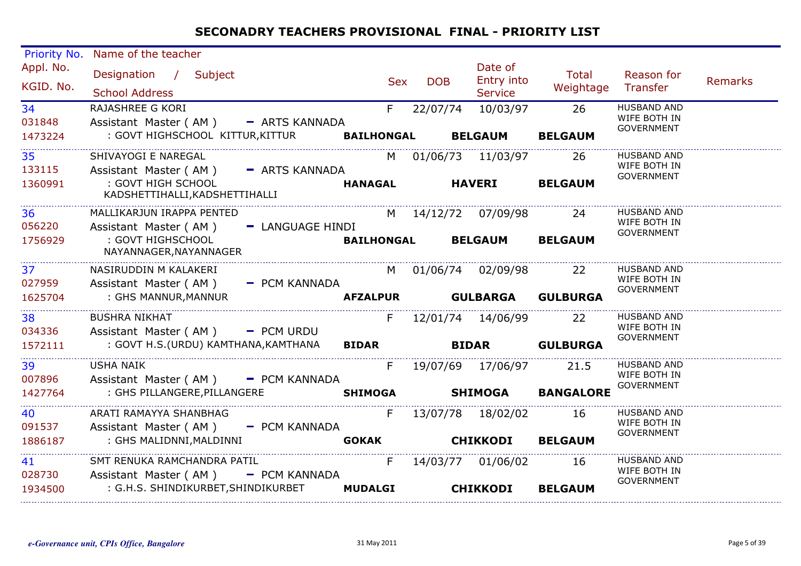| Priority No.              | Name of the teacher                                                                          |                            |               |                                         |                            |                                                         |         |
|---------------------------|----------------------------------------------------------------------------------------------|----------------------------|---------------|-----------------------------------------|----------------------------|---------------------------------------------------------|---------|
| Appl. No.<br>KGID. No.    | Designation / Subject<br><b>School Address</b>                                               | <b>Sex</b>                 | <b>DOB</b>    | Date of<br>Entry into<br><b>Service</b> | Total<br>Weightage         | Reason for<br>Transfer                                  | Remarks |
| 34<br>031848              | RAJASHREE G KORI<br>Assistant Master (AM) - ARTS KANNADA                                     | $F =$                      | 22/07/74      | 10/03/97                                | 26                         | <b>HUSBAND AND</b><br>WIFE BOTH IN<br><b>GOVERNMENT</b> |         |
| 1473224                   | : GOVT HIGHSCHOOL KITTUR, KITTUR                                                             | <b>BAILHONGAL</b>          |               | <b>BELGAUM</b>                          | <b>BELGAUM</b>             |                                                         |         |
| 35                        | SHIVAYOGI E NAREGAL                                                                          |                            |               | M 01/06/73 11/03/97 26                  |                            | <b>HUSBAND AND</b><br>WIFE BOTH IN                      |         |
| 133115<br>1360991         | Assistant Master (AM) - ARTS KANNADA<br>: GOVT HIGH SCHOOL<br>KADSHETTIHALLI, KADSHETTIHALLI | <b>HANAGAL</b>             | <b>HAVERI</b> |                                         | <b>BELGAUM</b>             | <b>GOVERNMENT</b>                                       |         |
| 36<br>056220              | MALLIKARJUN IRAPPA PENTED                                                                    |                            |               | M 14/12/72 07/09/98 24                  |                            | <b>HUSBAND AND</b><br>WIFE BOTH IN                      |         |
| 1756929                   | Assistant Master (AM) - LANGUAGE HINDI<br>: GOVT HIGHSCHOOL<br>NAYANNAGER, NAYANNAGER        | BAILHONGAL BELGAUM BELGAUM |               |                                         |                            | GOVERNMENT                                              |         |
| 37 <sup>2</sup><br>027959 | NASIRUDDIN M KALAKERI<br>Assistant Master (AM) - PCM KANNADA                                 |                            |               | M 01/06/74 02/09/98                     | $\overline{22}$            | <b>HUSBAND AND</b><br>WIFE BOTH IN                      |         |
| 1625704                   | : GHS MANNUR, MANNUR                                                                         |                            |               |                                         | AFZALPUR GULBARGA GULBURGA | GOVERNMENT                                              |         |
| 38<br>034336              | <b>BUSHRA NIKHAT</b><br>Assistant Master (AM) - PCM URDU                                     | F.                         |               | 12/01/74 14/06/99 22                    |                            | <b>HUSBAND AND</b><br>WIFE BOTH IN                      |         |
| 1572111                   | : GOVT H.S.(URDU) KAMTHANA, KAMTHANA BIDAR BIDAR GULBURGA                                    |                            |               |                                         |                            | <b>GOVERNMENT</b>                                       |         |
| 39<br>007896              | <b>USHA NAIK</b><br>Assistant Master (AM) - PCM KANNADA                                      | F.                         |               | 19/07/69 17/06/97 21.5                  |                            | <b>HUSBAND AND</b><br>WIFE BOTH IN<br>GOVERNMENT        |         |
| 1427764                   | : GHS PILLANGERE, PILLANGERE<br><b>SHIMOGA</b>                                               |                            |               |                                         | <b>SHIMOGA BANGALORE</b>   |                                                         |         |
| 40<br>091537              | ARATI RAMAYYA SHANBHAG<br>Assistant Master (AM) - PCM KANNADA                                | F.                         |               | 13/07/78  18/02/02                      | 16                         | <b>HUSBAND AND</b><br>WIFE BOTH IN                      |         |
| 1886187                   | : GHS MALIDNNI,MALDINNI                                                                      | <b>GOKAK</b>               |               | <b>CHIKKODI BELGAUM</b>                 |                            | <b>GOVERNMENT</b>                                       |         |
| 41<br>028730              | SMT RENUKA RAMCHANDRA PATIL<br>Assistant Master (AM) - PCM KANNADA                           | F                          |               | 14/03/77 01/06/02 16                    |                            | <b>HUSBAND AND</b><br>WIFE BOTH IN<br><b>GOVERNMENT</b> |         |
| 1934500                   | : G.H.S. SHINDIKURBET,SHINDIKURBET                                                           | <b>MUDALGI</b>             |               | <b>CHIKKODI</b>                         | <b>BELGAUM</b>             |                                                         |         |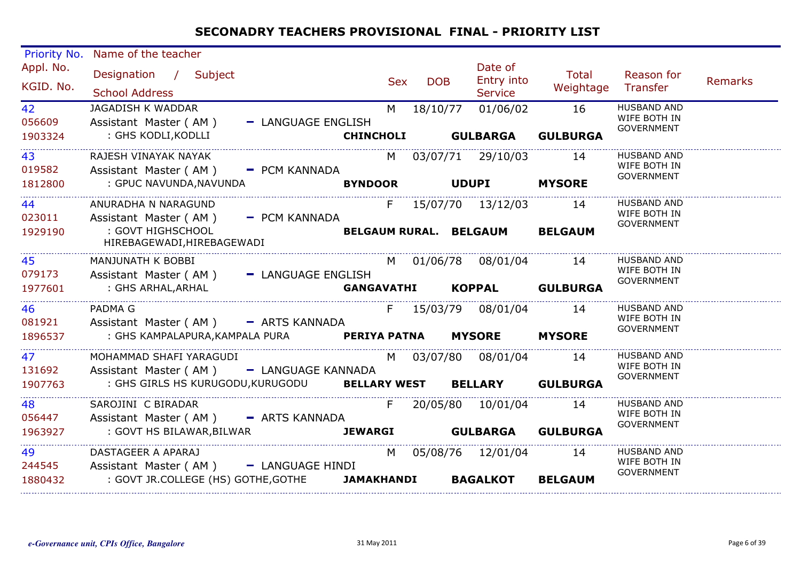| <b>Priority No.</b>     | Name of the teacher                                                                                                                    |                           |                             |              |                                         |                       |                                                         |                |
|-------------------------|----------------------------------------------------------------------------------------------------------------------------------------|---------------------------|-----------------------------|--------------|-----------------------------------------|-----------------------|---------------------------------------------------------|----------------|
| Appl. No.<br>KGID. No.  | Designation / Subject<br><b>School Address</b>                                                                                         |                           | <b>Sex</b>                  | <b>DOB</b>   | Date of<br>Entry into<br><b>Service</b> | Total<br>Weightage    | Reason for<br>Transfer                                  | <b>Remarks</b> |
| 42<br>056609<br>1903324 | JAGADISH K WADDAR<br>Assistant Master (AM)<br>: GHS KODLI, KODLLI                                                                      | - LANGUAGE ENGLISH        | M<br><b>CHINCHOLI</b>       | 18/10/77     | 01/06/02<br><b>GULBARGA</b>             | 16<br><b>GULBURGA</b> | <b>HUSBAND AND</b><br>WIFE BOTH IN<br><b>GOVERNMENT</b> |                |
| 43<br>019582<br>1812800 | RAJESH VINAYAK NAYAK<br>Assistant Master (AM) - PCM KANNADA<br>: GPUC NAVUNDA,NAVUNDA                                                  |                           | <b>BYNDOOR</b>              | <b>UDUPI</b> | M 03/07/71 29/10/03                     | 14<br><b>MYSORE</b>   | <b>HUSBAND AND</b><br>WIFE BOTH IN<br><b>GOVERNMENT</b> |                |
| 44<br>023011<br>1929190 | ANURADHA N NARAGUND<br>Assistant Master (AM) - PCM KANNADA<br>: GOVT HIGHSCHOOL<br>HIREBAGEWADI, HIREBAGEWADI                          |                           | F<br>BELGAUM RURAL. BELGAUM |              | 15/07/70  13/12/03                      | 14<br><b>BELGAUM</b>  | <b>HUSBAND AND</b><br>WIFE BOTH IN<br><b>GOVERNMENT</b> |                |
| 45<br>079173<br>1977601 | MANJUNATH K BOBBI<br>Assistant Master (AM) - LANGUAGE ENGLISH<br>: GHS ARHAL,ARHAL                                                     |                           | GANGAVATHI                  |              | M 01/06/78 08/01/04 14                  | KOPPAL GULBURGA       | <b>HUSBAND AND</b><br>WIFE BOTH IN<br><b>GOVERNMENT</b> |                |
| 46<br>081921<br>1896537 | PADMA G<br>Assistant Master (AM) - ARTS KANNADA<br>: GHS KAMPALAPURA, KAMPALA PURA PERIYA PATNA                                        |                           |                             |              | F 15/03/79 08/01/04 14<br><b>MYSORE</b> | <b>MYSORE</b>         | <b>HUSBAND AND</b><br>WIFE BOTH IN<br><b>GOVERNMENT</b> |                |
| 47<br>131692<br>1907763 | MOHAMMAD SHAFI YARAGUDI<br>Assistant Master (AM) - LANGUAGE KANNADA<br>: GHS GIRLS HS KURUGODU, KURUGODU BELLARY WEST BELLARY GULBURGA |                           |                             |              | M 03/07/80 08/01/04                     | 14                    | <b>HUSBAND AND</b><br>WIFE BOTH IN<br><b>GOVERNMENT</b> |                |
| 48<br>056447<br>1963927 | SAROJINI C BIRADAR<br>Assistant Master (AM) - ARTS KANNADA<br>: GOVT HS BILAWAR, BILWAR                                                | JEWARGI GULBARGA GULBURGA | F.                          |              | 20/05/80 10/01/04                       | 14                    | <b>HUSBAND AND</b><br>WIFE BOTH IN<br>GOVERNMENT        |                |
| 49<br>244545<br>1880432 | DASTAGEER A APARAJ<br>Assistant Master (AM) - LANGUAGE HINDI<br>: GOVT JR.COLLEGE (HS) GOTHE, GOTHE JAMAKHANDI                         |                           | M                           |              | 05/08/76 12/01/04<br><b>BAGALKOT</b>    | 14<br><b>BELGAUM</b>  | <b>HUSBAND AND</b><br>WIFE BOTH IN<br><b>GOVERNMENT</b> |                |

. . . . . . . . . . . . . . . . . .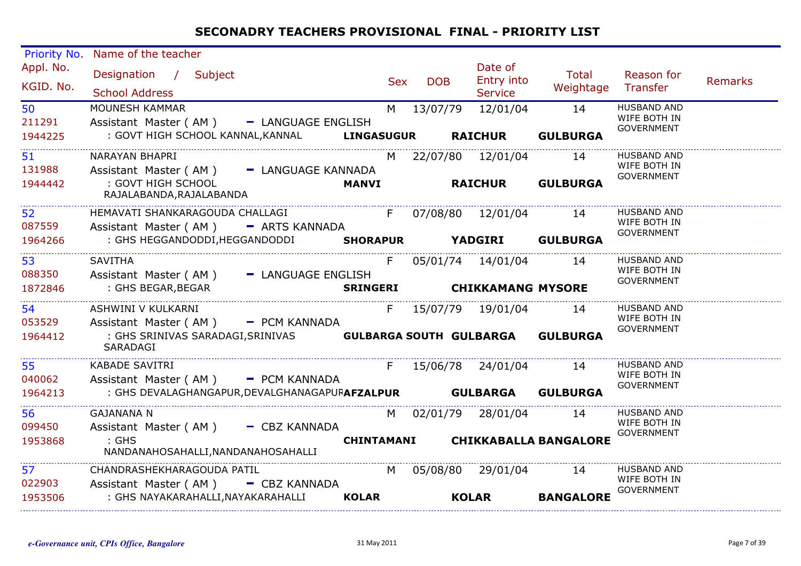| Priority No. | Name of the teacher                                             |                   |            |                          |                                  |                                   |         |
|--------------|-----------------------------------------------------------------|-------------------|------------|--------------------------|----------------------------------|-----------------------------------|---------|
| Appl. No.    | Designation / Subject                                           |                   |            | Date of                  | <b>Total</b>                     | Reason for                        |         |
| KGID. No.    |                                                                 | <b>Sex</b>        | <b>DOB</b> | Entry into               | Weightage                        | Transfer                          | Remarks |
|              | <b>School Address</b>                                           |                   |            | <b>Service</b>           |                                  |                                   |         |
| 50           | MOUNESH KAMMAR                                                  | M                 | 13/07/79   | 12/01/04                 | 14                               | <b>HUSBAND AND</b>                |         |
| 211291       | Assistant Master (AM) - LANGUAGE ENGLISH                        |                   |            |                          |                                  | WIFE BOTH IN<br><b>GOVERNMENT</b> |         |
| 1944225      | : GOVT HIGH SCHOOL KANNAL,KANNAL                                | <b>LINGASUGUR</b> |            | <b>RAICHUR</b>           | <b>GULBURGA</b>                  |                                   |         |
| 51           | NARAYAN BHAPRI                                                  | M                 |            | 22/07/80 12/01/04        | 14                               | <b>HUSBAND AND</b>                |         |
| 131988       | Assistant Master (AM) - LANGUAGE KANNADA                        |                   |            |                          |                                  | WIFE BOTH IN                      |         |
| 1944442      | : GOVT HIGH SCHOOL                                              | <b>MANVI</b>      |            | <b>RAICHUR</b>           | <b>GULBURGA</b>                  | <b>GOVERNMENT</b>                 |         |
|              | RAJALABANDA, RAJALABANDA                                        |                   |            |                          |                                  |                                   |         |
| 52           | HEMAVATI SHANKARAGOUDA CHALLAGI                                 | F                 |            | 07/08/80  12/01/04       | 14                               | <b>HUSBAND AND</b>                |         |
| 087559       | Assistant Master (AM) - ARTS KANNADA                            |                   |            |                          |                                  | WIFE BOTH IN<br><b>GOVERNMENT</b> |         |
| 1964266      | : GHS HEGGANDODDI, HEGGANDODDI SHORAPUR YADGIRI GULBURGA        |                   |            |                          |                                  |                                   |         |
| 53           | <b>SAVITHA</b>                                                  | F.                |            | 05/01/74 14/01/04        | 14                               | <b>HUSBAND AND</b>                |         |
| 088350       | Assistant Master (AM) - LANGUAGE ENGLISH                        |                   |            |                          |                                  | WIFE BOTH IN<br><b>GOVERNMENT</b> |         |
| 1872846      | : GHS BEGAR,BEGAR                                               | <b>SRINGERI</b>   |            | <b>CHIKKAMANG MYSORE</b> |                                  |                                   |         |
| 54           | ASHWINI V KULKARNI                                              | F.                |            | 15/07/79  19/01/04       | 14                               | <b>HUSBAND AND</b>                |         |
| 053529       | Assistant Master (AM) - PCM KANNADA                             |                   |            |                          |                                  | WIFE BOTH IN                      |         |
| 1964412      | : GHS SRINIVAS SARADAGI,SRINIVAS <b>GULBARGA SOUTH GULBARGA</b> |                   |            |                          | <b>GULBURGA</b>                  | <b>GOVERNMENT</b>                 |         |
|              | SARADAGI                                                        |                   |            |                          |                                  |                                   |         |
| 55           | <b>KABADE SAVITRI</b>                                           | F                 |            | 15/06/78 24/01/04        | 14                               | <b>HUSBAND AND</b>                |         |
| 040062       | Assistant Master (AM) - PCM KANNADA                             |                   |            |                          |                                  | WIFE BOTH IN<br><b>GOVERNMENT</b> |         |
| 1964213      | : GHS DEVALAGHANGAPUR, DEVALGHANAGAPUFAFZALPUR GULBARGA         |                   |            |                          | <b>GULBURGA</b>                  |                                   |         |
| 56           | <b>GAJANANA N</b>                                               |                   |            | M 02/01/79 28/01/04      | 14                               | <b>HUSBAND AND</b>                |         |
| 099450       | Assistant Master (AM) - CBZ KANNADA                             |                   |            |                          |                                  | WIFE BOTH IN                      |         |
| 1953868      | $:$ GHS                                                         |                   |            |                          | CHINTAMANI CHIKKABALLA BANGALORE | <b>GOVERNMENT</b>                 |         |
|              | NANDANAHOSAHALLI, NANDANAHOSAHALLI                              |                   |            |                          |                                  |                                   |         |
| 57           | CHANDRASHEKHARAGOUDA PATIL                                      | M                 |            | 05/08/80 29/01/04        | 14                               | <b>HUSBAND AND</b>                |         |
| 022903       | Assistant Master (AM) - CBZ KANNADA                             |                   |            |                          |                                  | WIFE BOTH IN<br><b>GOVERNMENT</b> |         |
| 1953506      | : GHS NAYAKARAHALLI, NAYAKARAHALLI                              | <b>KOLAR</b>      |            | <b>KOLAR</b>             | <b>BANGALORE</b>                 |                                   |         |
|              |                                                                 |                   |            |                          |                                  |                                   |         |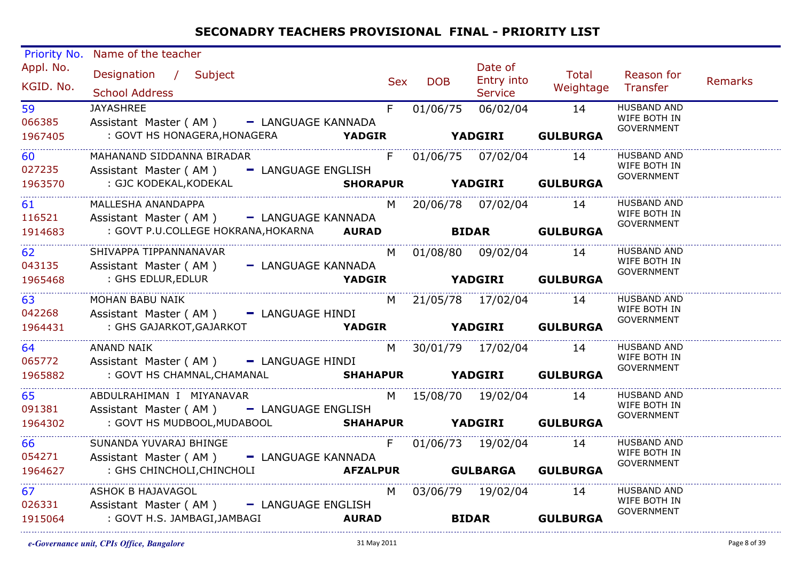| Priority No.<br>Appl. No.<br>KGID. No.<br>59<br>066385<br>1967405<br>60 | Name of the teacher<br>Designation / Subject<br><b>School Address</b><br><b>JAYASHREE</b><br>Assistant Master (AM) - LANGUAGE KANNADA<br>: GOVT HS HONAGERA, HONAGERA <b>YADGIR</b> YADGIRI GULBURGA<br>MAHANAND SIDDANNA BIRADAR | Sex | <b>DOB</b> | Date of<br>Entry into<br><b>Service</b><br>F 01/06/75 06/02/04 14<br>F 01/06/75 07/02/04 14 | <b>Total</b><br>Weightage Transfer              | Reason for<br><b>HUSBAND AND</b><br>WIFE BOTH IN<br><b>GOVERNMENT</b><br><b>HUSBAND AND</b><br>WIFE BOTH IN | Remarks |
|-------------------------------------------------------------------------|-----------------------------------------------------------------------------------------------------------------------------------------------------------------------------------------------------------------------------------|-----|------------|---------------------------------------------------------------------------------------------|-------------------------------------------------|-------------------------------------------------------------------------------------------------------------|---------|
| 027235<br>1963570                                                       | Assistant Master (AM) - LANGUAGE ENGLISH<br>GJC KODEKAL,KODEKAL <b>SHORAPUR</b> YADGIRI GULBURGA : GJC KODEKAL,KODEKAL                                                                                                            |     |            |                                                                                             |                                                 | GOVERNMENT                                                                                                  |         |
| 61 — 10<br>116521<br>1914683                                            | MALLESHA ANANDAPPA<br>Assistant Master (AM) - LANGUAGE KANNADA<br>: GOVT P.U.COLLEGE HOKRANA, HOKARNA AURAD                                                                                                                       |     |            |                                                                                             | M 20/06/78 07/02/04 14<br><b>BIDAR</b> GULBURGA | <b>HUSBAND AND</b><br>WIFE BOTH IN<br>GOVERNMENT                                                            |         |
| 62<br>043135<br>1965468                                                 | SHIVAPPA TIPPANNANAVAR<br>Assistant Master (AM) - LANGUAGE KANNADA<br>YADGIR YADGIRI GULBURGA<br>: GHS EDLUR,EDLUR                                                                                                                |     |            | M 01/08/80 09/02/04 14                                                                      |                                                 | <b>HUSBAND AND</b><br>WIFE BOTH IN<br><b>GOVERNMENT</b>                                                     |         |
| 042268<br>1964431                                                       | MOHAN BABU NAIK<br>Assistant Master (AM) - LANGUAGE HINDI<br>: GHS GAJARKOT, GAJARKOT <b>YADGIR</b> YADGIR YADGIRI GULBURGA                                                                                                       |     |            | M 21/05/78 17/02/04 14                                                                      |                                                 | HUSBAND AND<br>WIFE BOTH IN<br>GOVERNMENT                                                                   |         |
| 64<br>065772<br>1965882                                                 | ANAND NAIK<br>Assistant Master (AM) - LANGUAGE HINDI<br>: GOVT HS CHAMNAL, CHAMANAL <b>SHAHAPUR YADGIRI GULBURGA</b>                                                                                                              |     |            | M 30/01/79 17/02/04 14                                                                      |                                                 | <b>HUSBAND AND</b><br>WIFE BOTH IN<br><b>GOVERNMENT</b>                                                     |         |
| 65<br>091381<br>1964302                                                 | ABDULRAHIMAN I MIYANAVAR<br>Assistant Master (AM) - LANGUAGE ENGLISH<br>: GOVT HS MUDBOOL, MUDABOOL SHAHAPUR YADGIRI GULBURGA                                                                                                     |     |            | M 15/08/70 19/02/04 14                                                                      |                                                 | <b>HUSBAND AND</b><br>WIFE BOTH IN<br><b>GOVERNMENT</b>                                                     |         |
| 66<br>054271<br>1964627                                                 | SUNANDA YUVARAJ BHINGE<br>Assistant Master (AM) - LANGUAGE KANNADA<br>NGUAGE KANINADA<br><b>AFZALPUR</b> GULBARGA GULBURGA<br>: GHS CHINCHOLI,CHINCHOLI                                                                           |     |            |                                                                                             | F 01/06/73 19/02/04 14                          | <b>HUSBAND AND</b><br>WIFE BOTH IN<br>GOVERNMENT                                                            |         |
| 026331<br>1915064                                                       | ASHOK B HAJAVAGOL<br>Assistant Master (AM) - LANGUAGE ENGLISH<br>: GOVT H.S. JAMBAGI,JAMBAGI<br><b>Example 2018 AURAD</b>                                                                                                         |     |            | M 03/06/79 19/02/04 14                                                                      | <b>BIDAR GULBURGA</b>                           | HUSBAND AND<br>WIFE BOTH IN<br><b>GOVERNMENT</b>                                                            |         |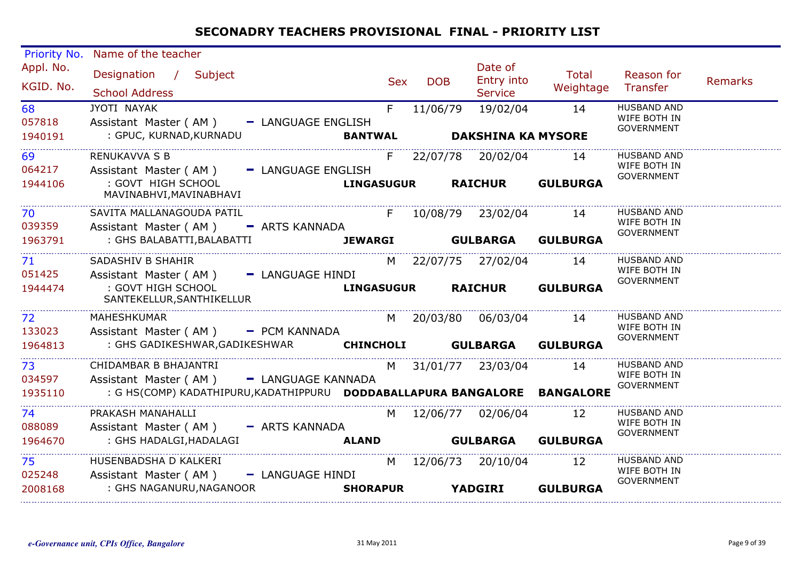| Priority No.            | Name of the teacher                                                                                                                              |            |            |                                         |                                |                                                         |         |
|-------------------------|--------------------------------------------------------------------------------------------------------------------------------------------------|------------|------------|-----------------------------------------|--------------------------------|---------------------------------------------------------|---------|
| Appl. No.<br>KGID. No.  | Designation / Subject<br><b>School Address</b>                                                                                                   | <b>Sex</b> | <b>DOB</b> | Date of<br>Entry into<br><b>Service</b> | Total<br>Weightage             | Reason for<br>Transfer                                  | Remarks |
| 68<br>057818<br>1940191 | JYOTI NAYAK<br>Assistant Master (AM) - LANGUAGE ENGLISH<br>: GPUC, KURNAD, KURNADU<br><b>BANTWAL</b>                                             | F          | 11/06/79   | 19/02/04<br><b>DAKSHINA KA MYSORE</b>   | 14                             | <b>HUSBAND AND</b><br>WIFE BOTH IN<br><b>GOVERNMENT</b> |         |
| 69<br>064217            | <b>RENUKAVVA S B</b><br>Assistant Master (AM) - LANGUAGE ENGLISH                                                                                 |            |            | F 22/07/78 20/02/04 14                  |                                | <b>HUSBAND AND</b><br>WIFE BOTH IN<br><b>GOVERNMENT</b> |         |
| 1944106                 | : GOVT HIGH SCHOOL<br><b>LINGASUGUR</b><br>MAVINABHVI, MAVINABHAVI                                                                               |            |            | <b>RAICHUR</b>                          | <b>GULBURGA</b>                |                                                         |         |
| 70<br>039359            | SAVITA MALLANAGOUDA PATIL<br>Assistant Master (AM) - ARTS KANNADA                                                                                |            |            | F 10/08/79 23/02/04                     | 14                             | <b>HUSBAND AND</b><br>WIFE BOTH IN                      |         |
| 1963791                 | : GHS BALABATTI, BALABATTI                                                                                                                       |            |            |                                         | JEWARGI GULBARGA GULBURGA      | GOVERNMENT                                              |         |
| 71 —<br>051425          | SADASHIV B SHAHIR<br>Assistant Master (AM) - LANGUAGE HINDI                                                                                      |            |            | M 22/07/75 27/02/04                     | 14                             | <b>HUSBAND AND</b><br>WIFE BOTH IN<br><b>GOVERNMENT</b> |         |
| 1944474                 | : GOVT HIGH SCHOOL<br>SANTEKELLUR, SANTHIKELLUR                                                                                                  |            |            |                                         | LINGASUGUR RAICHUR GULBURGA    |                                                         |         |
| 72<br>133023            | MAHESHKUMAR<br>Assistant Master (AM) - PCM KANNADA                                                                                               | M          |            | 20/03/80 06/03/04                       | 14                             | <b>HUSBAND AND</b><br>WIFE BOTH IN                      |         |
| 1964813                 | : GHS GADIKESHWAR, GADIKESHWAR CHINCHOLI GULBARGA                                                                                                |            |            |                                         | <b>GULBURGA</b>                | <b>GOVERNMENT</b>                                       |         |
| 73<br>034597<br>1935110 | CHIDAMBAR B BHAJANTRI<br>Assistant Master (AM) - LANGUAGE KANNADA<br>: G HS(COMP) KADATHIPURU, KADATHIPPURU  DODDABALLAPURA BANGALORE  BANGALORE | M          |            | 31/01/77 23/03/04                       | 14                             | <b>HUSBAND AND</b><br>WIFE BOTH IN<br><b>GOVERNMENT</b> |         |
|                         | PRAKASH MANAHALLI                                                                                                                                |            |            |                                         |                                | <b>HUSBAND AND</b>                                      |         |
| 74<br>088089<br>1964670 | Assistant Master (AM) - ARTS KANNADA<br>: GHS HADALGI, HADALAGI<br><b>Example 21 ALAND</b>                                                       |            |            | M 12/06/77 02/06/04                     | 12<br><b>GULBARGA GULBURGA</b> | WIFE BOTH IN<br><b>GOVERNMENT</b>                       |         |
| 75                      | HUSENBADSHA D KALKERI                                                                                                                            | M          |            | 12/06/73 20/10/04                       | <b>12</b>                      | <b>HUSBAND AND</b>                                      |         |
| 025248<br>2008168       | Assistant Master (AM) - LANGUAGE HINDI<br>: GHS NAGANURU, NAGANOOR<br><b>SHORAPUR</b>                                                            |            |            | <b>YADGIRI</b>                          | <b>GULBURGA</b>                | WIFE BOTH IN<br><b>GOVERNMENT</b>                       |         |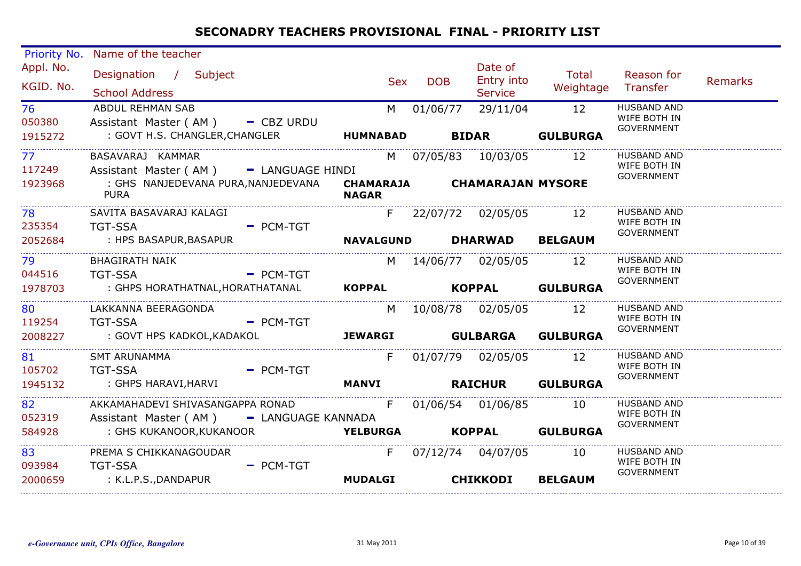| Priority No.           | Name of the teacher                                                              |                |                  |            |                                         |                    |                                                         |         |
|------------------------|----------------------------------------------------------------------------------|----------------|------------------|------------|-----------------------------------------|--------------------|---------------------------------------------------------|---------|
| Appl. No.<br>KGID. No. | Designation / Subject<br><b>School Address</b>                                   |                | Sex              | <b>DOB</b> | Date of<br>Entry into<br><b>Service</b> | Total<br>Weightage | Reason for<br>Transfer                                  | Remarks |
| 76<br>050380           | ABDUL REHMAN SAB<br>Assistant Master (AM) - CBZ URDU                             |                | M                | 01/06/77   | 29/11/04                                | 12                 | <b>HUSBAND AND</b><br>WIFE BOTH IN<br><b>GOVERNMENT</b> |         |
| 1915272                |                                                                                  |                |                  |            |                                         | <b>GULBURGA</b>    |                                                         |         |
| 77<br>117249           | BASAVARAJ KAMMAR<br>Assistant Master (AM) - LANGUAGE HINDI                       |                |                  |            | M 07/05/83 10/03/05 12                  |                    | <b>HUSBAND AND</b><br>WIFE BOTH IN                      |         |
| 1923968                | : GHS NANJEDEVANA PURA, NANJEDEVANA  CHAMARAJA  CHAMARAJAN MYSORE<br><b>PURA</b> |                | <b>NAGAR</b>     |            |                                         |                    | GOVERNMENT                                              |         |
| 78 78 79<br>235354     | SAVITA BASAVARAJ KALAGI<br><b>TGT-SSA</b>                                        | $=$ PCM-TGT    |                  |            | F 22/07/72 02/05/05 12                  |                    | <b>HUSBAND AND</b><br>WIFE BOTH IN                      |         |
| 2052684                | : HPS BASAPUR,BASAPUR                                                            |                | <b>NAVALGUND</b> |            | <b>DHARWAD</b>                          | <b>BELGAUM</b>     | <b>GOVERNMENT</b>                                       |         |
| 79<br>044516           | <b>BHAGIRATH NAIK</b><br>TGT-SSA - PCM-TGT                                       |                |                  |            | M 14/06/77 02/05/05 12                  |                    | <b>HUSBAND AND</b><br>WIFE BOTH IN<br><b>GOVERNMENT</b> |         |
| 1978703                |                                                                                  |                |                  |            |                                         |                    |                                                         |         |
| 80<br>119254           | LAKKANNA BEERAGONDA<br><b>Example 2</b> PCM-TGT<br><b>TGT-SSA</b>                |                |                  |            | M 10/08/78 02/05/05 12                  |                    | <b>HUSBAND AND</b><br>WIFE BOTH IN                      |         |
| 2008227                | : GOVT HPS KADKOL,KADAKOL                                                        | <b>JEWARGI</b> |                  |            | <b>GULBARGA</b>                         | <b>GULBURGA</b>    | GOVERNMENT                                              |         |
| 81<br>105702           | SMT ARUNAMMA<br><b>Example 2 PCM-TGT</b><br>TGT-SSA                              |                | F                |            | 01/07/79 02/05/05 12                    |                    | <b>HUSBAND AND</b><br>WIFE BOTH IN                      |         |
| 1945132                | : GHPS HARAVI, HARVI <b>ARANG MANG MANYI RAICHUR GULBURGA</b>                    |                |                  |            |                                         |                    | <b>GOVERNMENT</b>                                       |         |
| 82<br>052319           | Assistant Master (AM) - LANGUAGE KANNADA                                         |                |                  |            | 01/06/54 01/06/85 10                    |                    | <b>HUSBAND AND</b><br>WIFE BOTH IN                      |         |
| 584928                 | : GHS KUKANOOR, KUKANOOR <b>YELBURGA KOPPAL GULBURGA</b>                         |                |                  |            |                                         |                    | <b>GOVERNMENT</b>                                       |         |
| 83<br>093984           | PREMA S CHIKKANAGOUDAR<br><b>TGT-SSA</b>                                         | $-$ PCM-TGT    | F                |            | 07/12/74 04/07/05 10                    |                    | <b>HUSBAND AND</b><br>WIFE BOTH IN<br>GOVERNMENT        |         |
| 2000659                | : K.L.P.S.,DANDAPUR                                                              |                | <b>MUDALGI</b>   |            | <b>CHIKKODI</b>                         | <b>BELGAUM</b>     |                                                         |         |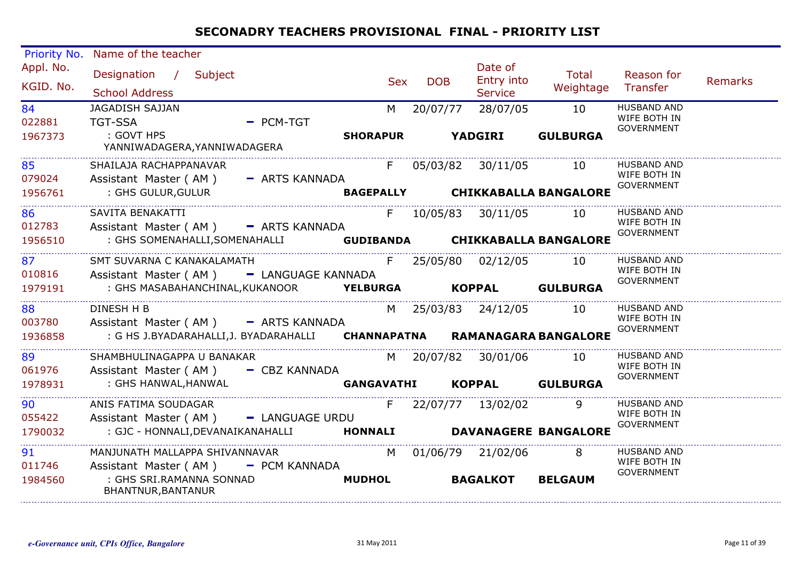| Priority No.            | Name of the teacher                                                     |                      |            |                                         |                                 |                                                         |                |
|-------------------------|-------------------------------------------------------------------------|----------------------|------------|-----------------------------------------|---------------------------------|---------------------------------------------------------|----------------|
| Appl. No.<br>KGID. No.  | Designation / Subject<br><b>School Address</b>                          | <b>Sex</b>           | <b>DOB</b> | Date of<br>Entry into<br><b>Service</b> | Total<br>Weightage              | Reason for<br>Transfer                                  | <b>Remarks</b> |
| 84<br>022881<br>1967373 | <b>JAGADISH SAJJAN</b><br>$=$ PCM-TGT<br><b>TGT-SSA</b><br>: GOVT HPS   | M<br><b>SHORAPUR</b> | 20/07/77   | 28/07/05<br><b>YADGIRI</b>              | 10<br><b>GULBURGA</b>           | <b>HUSBAND AND</b><br>WIFE BOTH IN<br>GOVERNMENT        |                |
|                         | YANNIWADAGERA, YANNIWADAGERA                                            |                      |            |                                         |                                 |                                                         |                |
| 85<br>079024            | SHAILAJA RACHAPPANAVAR<br>Assistant Master (AM) - ARTS KANNADA          |                      |            | F 05/03/82 30/11/05                     | 10                              | <b>HUSBAND AND</b><br>WIFE BOTH IN                      |                |
| 1956761                 | : GHS GULUR, GULUR                                                      |                      |            |                                         | BAGEPALLY CHIKKABALLA BANGALORE | <b>GOVERNMENT</b>                                       |                |
| 86<br>012783            | SAVITA BENAKATTI<br>Assistant Master (AM) - ARTS KANNADA                |                      |            | F 10/05/83 30/11/05                     | 10                              | <b>HUSBAND AND</b><br>WIFE BOTH IN<br><b>GOVERNMENT</b> |                |
| 1956510                 | : GHS SOMENAHALLI, SOMENAHALLI                                          |                      |            |                                         | GUDIBANDA CHIKKABALLA BANGALORE |                                                         |                |
| 87<br>010816            | SMT SUVARNA C KANAKALAMATH<br>Assistant Master (AM) - LANGUAGE KANNADA  |                      |            | F 25/05/80 02/12/05                     | 10                              | <b>HUSBAND AND</b><br>WIFE BOTH IN<br><b>GOVERNMENT</b> |                |
| 1979191                 | : GHS MASABAHANCHINAL, KUKANOOR <b>YELBURGA KOPPAL GULBURGA</b>         |                      |            |                                         |                                 |                                                         |                |
| 88<br>003780            | DINESH H B<br>Assistant Master (AM) - ARTS KANNADA                      |                      |            | M 25/03/83 24/12/05                     | 10                              | <b>HUSBAND AND</b><br>WIFE BOTH IN                      |                |
| 1936858                 | : G HS J.BYADARAHALLI, J. BYADARAHALLI CHANNAPATNA RAMANAGARA BANGALORE |                      |            |                                         |                                 | <b>GOVERNMENT</b>                                       |                |
| 89<br>061976            | SHAMBHULINAGAPPA U BANAKAR<br>Assistant Master ( $AM$ ) $-$ CBZ KANNADA |                      |            | M 20/07/82 30/01/06                     | 10                              | <b>HUSBAND AND</b><br>WIFE BOTH IN<br><b>GOVERNMENT</b> |                |
| 1978931                 | : GHS HANWAL, HANWAL                                                    | <b>GANGAVATHI</b>    |            | KOPPAL GULBURGA                         |                                 |                                                         |                |
| 90<br>055422            | ANIS FATIMA SOUDAGAR<br>Assistant Master (AM) - LANGUAGE URDU           | F.                   |            | 22/07/77 13/02/02                       |                                 | <b>HUSBAND AND</b><br>WIFE BOTH IN                      |                |
| 1790032                 | : GJC - HONNALI, DEVANAIKANAHALLI                                       |                      |            |                                         | HONNALI DAVANAGERE BANGALORE    | <b>GOVERNMENT</b>                                       |                |
| 91<br>011746            | MANJUNATH MALLAPPA SHIVANNAVAR<br>Assistant Master (AM) - PCM KANNADA   |                      |            | M 01/06/79 21/02/06                     | 8                               | <b>HUSBAND AND</b><br>WIFE BOTH IN                      |                |
| 1984560                 | : GHS SRI.RAMANNA SONNAD<br>BHANTNUR, BANTANUR                          | <b>MUDHOL</b>        |            | <b>BAGALKOT</b>                         | <b>BELGAUM</b>                  | <b>GOVERNMENT</b>                                       |                |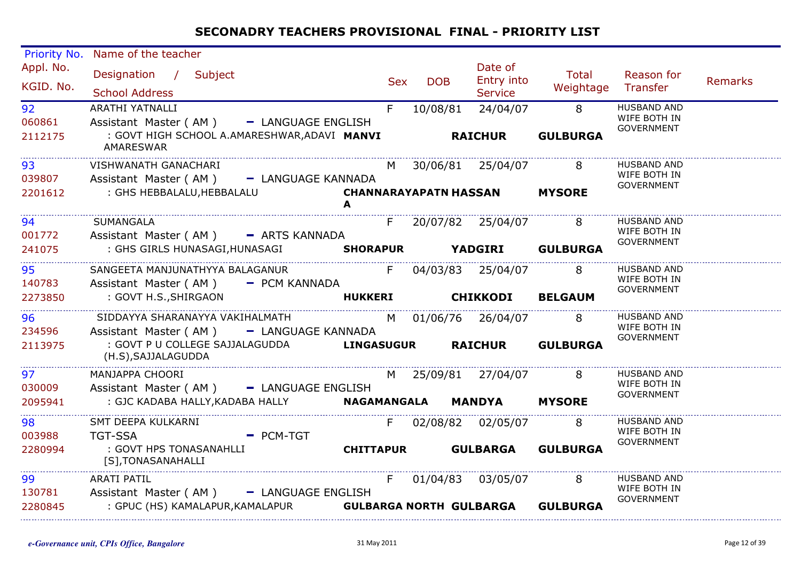| Priority No.           | Name of the teacher                                                                  |     |            |                                  |                             |                                    |                |
|------------------------|--------------------------------------------------------------------------------------|-----|------------|----------------------------------|-----------------------------|------------------------------------|----------------|
| Appl. No.<br>KGID. No. | Designation / Subject<br><b>School Address</b>                                       | Sex | <b>DOB</b> | Date of<br>Entry into<br>Service | Total<br>Weightage Transfer | Reason for                         | <b>Remarks</b> |
| 92                     | ARATHI YATNALLI                                                                      | F.  |            | 10/08/81 24/04/07 8              |                             | <b>HUSBAND AND</b>                 |                |
| 060861                 | Assistant Master (AM) - LANGUAGE ENGLISH                                             |     |            |                                  |                             | WIFE BOTH IN                       |                |
| 2112175                | : GOVT HIGH SCHOOL A.AMARESHWAR, ADAVI MANVI<br>AMARESWAR                            |     |            | <b>RAICHUR</b>                   | <b>GULBURGA</b>             | GOVERNMENT                         |                |
| 93                     | VISHWANATH GANACHARI                                                                 |     |            | M 30/06/81 25/04/07 8            |                             | <b>HUSBAND AND</b>                 |                |
| 039807                 | Assistant Master (AM) - LANGUAGE KANNADA                                             |     |            |                                  |                             | WIFE BOTH IN                       |                |
| 2201612                | : GHS HEBBALALU, HEBBALALU <b>CHANNARAYAPATN HASSAN MYSORE</b>                       |     |            |                                  |                             | GOVERNMENT                         |                |
|                        | A                                                                                    |     |            |                                  |                             |                                    |                |
| 94<br>001772           | SUMANGALA<br>Assistant Master (AM) - ARTS KANNADA                                    |     |            | F 20/07/82 25/04/07 8            |                             | <b>HUSBAND AND</b><br>WIFE BOTH IN |                |
| 241075                 | : GHS GIRLS HUNASAGI, HUNASAGI SHORAPUR YADGIRI GULBURGA                             |     |            |                                  |                             | GOVERNMENT                         |                |
|                        |                                                                                      |     |            |                                  |                             |                                    |                |
| 95                     | SANGEETA MANJUNATHYYA BALAGANUR F 04/03/83 25/04/07 8                                |     |            |                                  |                             | <b>HUSBAND AND</b>                 |                |
| 140783                 | Assistant Master (AM) - PCM KANNADA                                                  |     |            |                                  |                             | WIFE BOTH IN<br>GOVERNMENT         |                |
| 2273850                | : GOVT H.S.,SHIRGAON                                                                 |     |            | HUKKERI CHIKKODI BELGAUM         |                             |                                    |                |
| 96                     | SIDDAYYA SHARANAYYA VAKIHALMATH M 01/06/76 26/04/07 8                                |     |            |                                  |                             | <b>HUSBAND AND</b>                 |                |
| 234596                 | Assistant Master (AM) - LANGUAGE KANNADA                                             |     |            |                                  |                             | WIFE BOTH IN                       |                |
| 2113975                | : GOVT P U COLLEGE SAJJALAGUDDA LINGASUGUR RAICHUR GULBURGA                          |     |            |                                  |                             | <b>GOVERNMENT</b>                  |                |
|                        | (H.S), SAJJALAGUDDA                                                                  |     |            |                                  |                             |                                    |                |
| 97                     | MANJAPPA CHOORI                                                                      |     |            | M 25/09/81 27/04/07 8            |                             | <b>HUSBAND AND</b>                 |                |
| 030009                 | Assistant Master (AM) - LANGUAGE ENGLISH                                             |     |            |                                  |                             | WIFE BOTH IN<br>GOVERNMENT         |                |
| 2095941                | : GJC KADABA HALLY, KADABA HALLY <b>NAGAMANGALA</b>                                  |     |            | <b>MANDYA MYSORE</b>             |                             |                                    |                |
| 98                     | SMT DEEPA KULKARNI                                                                   |     |            | F 02/08/82 02/05/07 8            |                             | <b>HUSBAND AND</b>                 |                |
| 003988                 | - PCM-TGT<br><b>TGT-SSA</b>                                                          |     |            |                                  |                             | WIFE BOTH IN                       |                |
| 2280994                | : GOVT HPS TONASANAHLLI                                                              |     |            | <b>CHITTAPUR GULBARGA</b>        | <b>GULBURGA</b>             | GOVERNMENT                         |                |
|                        | [S], TONASANAHALLI                                                                   |     |            |                                  |                             |                                    |                |
| 99                     | ARATI PATIL                                                                          |     |            | F 01/04/83 03/05/07              | 8                           | HUSBAND AND                        |                |
| 130781                 | Assistant Master (AM) - LANGUAGE ENGLISH                                             |     |            |                                  |                             | WIFE BOTH IN                       |                |
| 2280845                | : GPUC (HS) KAMALAPUR, KAMALAPUR               GULBARGA NORTH GULBARGA      GULBURGA |     |            |                                  |                             | GOVERNMENT                         |                |
|                        |                                                                                      |     |            |                                  |                             |                                    |                |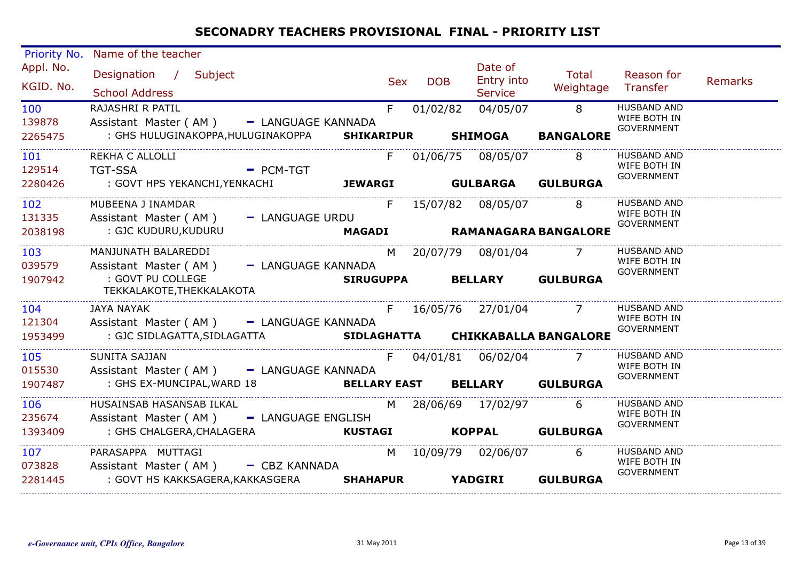| <b>Priority No.</b>    | Name of the teacher                                                  |                  |                          |                                         |                                      |                                                         |                |
|------------------------|----------------------------------------------------------------------|------------------|--------------------------|-----------------------------------------|--------------------------------------|---------------------------------------------------------|----------------|
| Appl. No.<br>KGID. No. | Designation / Subject<br><b>School Address</b>                       |                  | <b>DOB</b><br><b>Sex</b> | Date of<br>Entry into<br><b>Service</b> | Total<br>Weightage                   | Reason for<br>Transfer                                  | <b>Remarks</b> |
| 100<br>139878          | RAJASHRI R PATIL<br>Assistant Master (AM) - LANGUAGE KANNADA         | F.               | 01/02/82                 | 04/05/07                                | $^{\circ}$ 8                         | <b>HUSBAND AND</b><br>WIFE BOTH IN<br><b>GOVERNMENT</b> |                |
| 2265475                | : GHS HULUGINAKOPPA, HULUGINAKOPPA SHIKARIPUR SHIMOGA                |                  |                          |                                         | <b>BANGALORE</b>                     |                                                         |                |
| 101<br>129514          | REKHA C ALLOLLI<br>- PCM-TGT<br><b>TGT-SSA</b>                       | $F =$            |                          | 01/06/75 08/05/07                       | $\overline{\mathbf{8}}$              | <b>HUSBAND AND</b><br>WIFE BOTH IN                      |                |
| 2280426                |                                                                      |                  |                          |                                         |                                      | GOVERNMENT                                              |                |
| 102<br>131335          | MUBEENA J INAMDAR<br>Assistant Master (AM) - LANGUAGE URDU           | F                |                          | 15/07/82 08/05/07 8                     |                                      | <b>HUSBAND AND</b><br>WIFE BOTH IN                      |                |
| 2038198                | : GJC KUDURU,KUDURU                                                  |                  |                          |                                         | MAGADI RAMANAGARA BANGALORE          | GOVERNMENT                                              |                |
| 103<br>039579          | MANJUNATH BALAREDDI<br>Assistant Master (AM) - LANGUAGE KANNADA      | M                |                          | 20/07/79 08/01/04 7                     |                                      | <b>HUSBAND AND</b><br>WIFE BOTH IN<br>GOVERNMENT        |                |
| 1907942                | : GOVT PU COLLEGE<br>TEKKALAKOTE,THEKKALAKOTA                        | <b>SIRUGUPPA</b> |                          |                                         | <b>BELLARY GULBURGA</b>              |                                                         |                |
| 104<br>121304          | <b>JAYA NAYAK</b><br>Assistant Master (AM) - LANGUAGE KANNADA        |                  |                          |                                         | F 16/05/76 27/01/04 7                | <b>HUSBAND AND</b><br>WIFE BOTH IN                      |                |
| 1953499                |                                                                      |                  |                          |                                         |                                      | <b>GOVERNMENT</b>                                       |                |
| 105<br>015530          | <b>SUNITA SAJJAN</b><br>Assistant Master (AM) - LANGUAGE KANNADA     |                  |                          | F 04/01/81 06/02/04 7                   |                                      | <b>HUSBAND AND</b><br>WIFE BOTH IN<br><b>GOVERNMENT</b> |                |
| 1907487                | : GHS EX-MUNCIPAL, WARD 18                                           |                  |                          |                                         | <b>BELLARY EAST BELLARY GULBURGA</b> |                                                         |                |
| 106<br>235674          | HUSAINSAB HASANSAB ILKAL<br>Assistant Master (AM) - LANGUAGE ENGLISH |                  | M <sub>N</sub>           | 28/06/69 17/02/97                       | 6                                    | <b>HUSBAND AND</b><br>WIFE BOTH IN<br><b>GOVERNMENT</b> |                |
| 1393409                | : GHS CHALGERA, CHALAGERA <b>KUSTAGI</b>                             |                  |                          |                                         | KOPPAL GULBURGA                      |                                                         |                |
| 107<br>073828          | PARASAPPA MUTTAGI<br>Assistant Master (AM) - CBZ KANNADA             | M                |                          | 10/09/79 02/06/07 6                     |                                      | <b>HUSBAND AND</b><br>WIFE BOTH IN<br><b>GOVERNMENT</b> |                |
| 2281445                | : GOVT HS KAKKSAGERA, KAKKASGERA SHAHAPUR YADGIRI                    |                  |                          |                                         | <b>GULBURGA</b>                      |                                                         |                |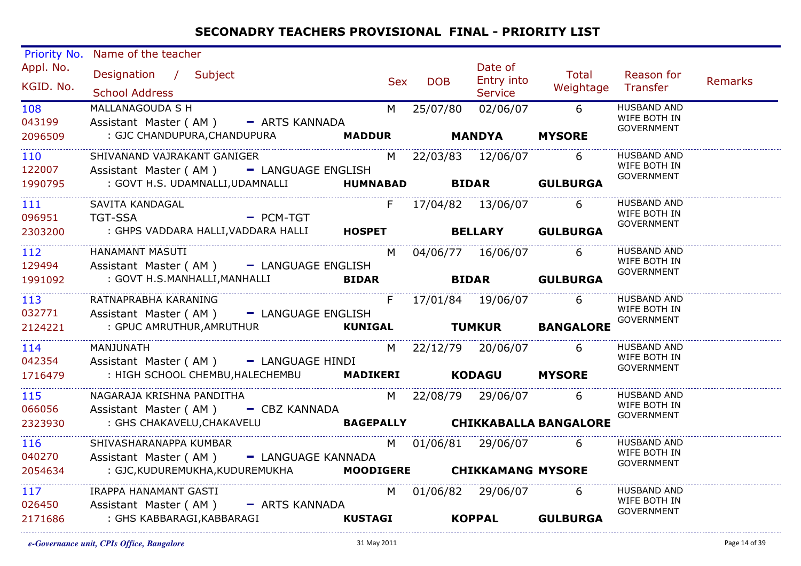| Priority No.<br>Appl. No.<br>KGID. No.<br>108<br>043199<br>2096509<br>110<br>122007 | Name of the teacher<br>Designation / Subject<br><b>School Address</b><br>MALLANAGOUDA S H<br>Assistant Master (AM) - ARTS KANNADA<br>: GJC CHANDUPURA, CHANDUPURA <b>MADDUR MANDYA</b><br>SHIVANAND VAJRAKANT GANIGER<br>Assistant Master (AM) - LANGUAGE ENGLISH | <b>Sex</b> | <b>DOB</b> | Date of<br><b>Entry into</b><br><b>Service</b><br>M 25/07/80 02/06/07 6<br>M 22/03/83 12/06/07 6 | Total<br>Weightage Transfer<br><b>MYSORE</b> | Reason for<br><b>HUSBAND AND</b><br>WIFE BOTH IN<br><b>GOVERNMENT</b><br><b>HUSBAND AND</b><br>WIFE BOTH IN<br><b>GOVERNMENT</b> | Remarks |
|-------------------------------------------------------------------------------------|-------------------------------------------------------------------------------------------------------------------------------------------------------------------------------------------------------------------------------------------------------------------|------------|------------|--------------------------------------------------------------------------------------------------|----------------------------------------------|----------------------------------------------------------------------------------------------------------------------------------|---------|
| 1990795                                                                             | : GOVT H.S. UDAMNALLI, UDAMNALLI <b>HUMNABAD BIDAR GULBURGA</b>                                                                                                                                                                                                   |            |            |                                                                                                  |                                              |                                                                                                                                  |         |
| 111<br>096951<br>2303200                                                            | SAVITA KANDAGAL<br>- PCM-TGT<br>TGT-SSA<br>: GHPS VADDARA HALLI, VADDARA HALLI HOSPET BELLARY GULBURGA                                                                                                                                                            |            |            | F 17/04/82 13/06/07 6                                                                            |                                              | <b>HUSBAND AND</b><br>WIFE BOTH IN<br><b>GOVERNMENT</b>                                                                          |         |
| 112<br>129494<br>1991092                                                            | HANAMANT MASUTI<br>Assistant Master (AM) - LANGUAGE ENGLISH<br>EXECUTE:<br>BIDAR BIDAR GULBURGA<br>: GOVT H.S.MANHALLI,MANHALLI                                                                                                                                   |            |            | M 04/06/77 16/06/07 6                                                                            |                                              | <b>HUSBAND AND</b><br>WIFE BOTH IN<br><b>GOVERNMENT</b>                                                                          |         |
| 113<br>032771<br>2124221                                                            | RATNAPRABHA KARANING<br>Assistant Master (AM) - LANGUAGE ENGLISH<br><b>EXAMPLE A VERTICAL CONTROLS AND TUMKUR BANGALORE</b><br>: GPUC AMRUTHUR, AMRUTHUR                                                                                                          |            |            |                                                                                                  |                                              | <b>HUSBAND AND</b><br>WIFE BOTH IN<br><b>GOVERNMENT</b>                                                                          |         |
| 114<br>042354<br>1716479                                                            | MANJUNATH<br>Assistant Master (AM) - LANGUAGE HINDI<br>: HIGH SCHOOL CHEMBU, HALECHEMBU   MADIKERI   KODAGU   MYSORE                                                                                                                                              |            |            | M 22/12/79 20/06/07 6                                                                            |                                              | <b>HUSBAND AND</b><br>WIFE BOTH IN<br>GOVERNMENT                                                                                 |         |
| 115<br>066056<br>2323930                                                            | NAGARAJA KRISHNA PANDITHA<br>Assistant Master (AM) - CBZ KANNADA<br>: GHS CHAKAVELU, CHAKAVELU <b>BAGEPALLY CHIKKABALLA BANGALORE</b>                                                                                                                             |            |            | M 22/08/79 29/06/07 6                                                                            |                                              | <b>HUSBAND AND</b><br>WIFE BOTH IN<br><b>GOVERNMENT</b>                                                                          |         |
| 116<br>040270<br>2054634                                                            | SHIVASHARANAPPA KUMBAR<br>Assistant Master (AM) - LANGUAGE KANNADA<br>: GJC, KUDUREMUKHA, KUDUREMUKHA MOODIGERE CHIKKAMANG MYSORE                                                                                                                                 |            |            | M 01/06/81 29/06/07 6                                                                            |                                              | <b>HUSBAND AND</b><br>WIFE BOTH IN<br>GOVERNMENT                                                                                 |         |
| 117<br>026450<br>2171686                                                            | IRAPPA HANAMANT GASTI<br>Assistant Master (AM) - ARTS KANNADA<br><b>KUSTAGI</b><br>: GHS KABBARAGI,KABBARAGI                                                                                                                                                      |            |            | M 01/06/82 29/06/07<br>KOPPAL GULBURGA                                                           | 6                                            | HUSBAND AND<br>WIFE BOTH IN<br><b>GOVERNMENT</b>                                                                                 |         |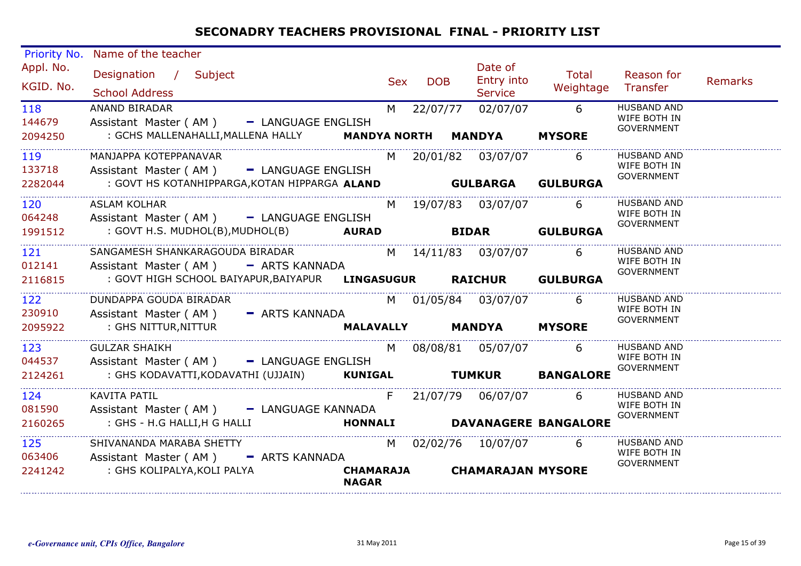| Priority No.           | Name of the teacher                                                     |                                  |            |                                  |                              |                                                         |         |
|------------------------|-------------------------------------------------------------------------|----------------------------------|------------|----------------------------------|------------------------------|---------------------------------------------------------|---------|
| Appl. No.<br>KGID. No. | Designation / Subject<br><b>School Address</b>                          |                                  | Sex DOB    | Date of<br>Entry into<br>Service | Total<br>Weightage           | Reason for<br>Transfer                                  | Remarks |
| 118<br>144679          | <b>ANAND BIRADAR</b><br>Assistant Master (AM) - LANGUAGE ENGLISH        |                                  | M 22/07/77 | 02/07/07                         |                              | <b>HUSBAND AND</b><br>WIFE BOTH IN<br><b>GOVERNMENT</b> |         |
| 2094250                | : GCHS MALLENAHALLI, MALLENA HALLY <b>MANDYA NORTH MANDYA</b>           |                                  |            |                                  | <b>MYSORE</b>                |                                                         |         |
| 119<br>133718          | MANJAPPA KOTEPPANAVAR<br>Assistant Master (AM) - LANGUAGE ENGLISH       |                                  |            | M 20/01/82 03/07/07 6            |                              | <b>HUSBAND AND</b><br>WIFE BOTH IN<br>GOVERNMENT        |         |
| 2282044                | : GOVT HS KOTANHIPPARGA, KOTAN HIPPARGA ALAND <b>GULBARGA GULBURGA</b>  |                                  |            |                                  |                              |                                                         |         |
| 120<br>064248          | <b>ASLAM KOLHAR</b><br>Assistant Master (AM) - LANGUAGE ENGLISH         |                                  |            | M 19/07/83 03/07/07 6            |                              | <b>HUSBAND AND</b><br>WIFE BOTH IN                      |         |
| 1991512                | : GOVT H.S. MUDHOL(B), MUDHOL(B) <b>AURAD BIDAR GULBURGA</b>            |                                  |            |                                  |                              | GOVERNMENT                                              |         |
| 121<br>012141          | SANGAMESH SHANKARAGOUDA BIRADAR<br>Assistant Master (AM) - ARTS KANNADA |                                  |            | M 14/11/83 03/07/07 6            |                              | <b>HUSBAND AND</b><br>WIFE BOTH IN                      |         |
| 2116815                | : GOVT HIGH SCHOOL BAIYAPUR, BAIYAPUR LINGASUGUR RAICHUR GULBURGA       |                                  |            |                                  |                              | GOVERNMENT                                              |         |
| 122<br>230910          | DUNDAPPA GOUDA BIRADAR<br>Assistant Master (AM) - ARTS KANNADA          |                                  |            | M 01/05/84 03/07/07 6            |                              | <b>HUSBAND AND</b><br>WIFE BOTH IN                      |         |
| 2095922                | : GHS NITTUR,NITTUR                                                     |                                  |            | MALAVALLY MANDYA MYSORE          |                              | GOVERNMENT                                              |         |
| 123<br>044537          | <b>GULZAR SHAIKH</b><br>Assistant Master (AM) - LANGUAGE ENGLISH        |                                  |            | M 08/08/81 05/07/07 6            |                              | <b>HUSBAND AND</b><br>WIFE BOTH IN                      |         |
| 2124261                | : GHS KODAVATTI, KODAVATHI (UJJAIN) KUNIGAL TUMKUR BANGALORE            |                                  |            |                                  |                              | <b>GOVERNMENT</b>                                       |         |
| 124<br>081590          | <b>KAVITA PATIL</b><br>Assistant Master (AM) - LANGUAGE KANNADA         | F                                |            |                                  | 6                            | <b>HUSBAND AND</b><br>WIFE BOTH IN<br><b>GOVERNMENT</b> |         |
| 2160265                | : GHS - H.G HALLI, H G HALLI                                            |                                  |            |                                  | HONNALI DAVANAGERE BANGALORE |                                                         |         |
| 125<br>063406          | SHIVANANDA MARABA SHETTY<br>Assistant Master (AM) - ARTS KANNADA        |                                  |            | M 02/02/76 10/07/07 6            |                              | <b>HUSBAND AND</b><br>WIFE BOTH IN                      |         |
| 2241242                | : GHS KOLIPALYA, KOLI PALYA                                             | <b>CHAMARAJA</b><br><b>NAGAR</b> |            | <b>CHAMARAJAN MYSORE</b>         |                              | GOVERNMENT                                              |         |

. . . . . . . . . . . . . . . . . .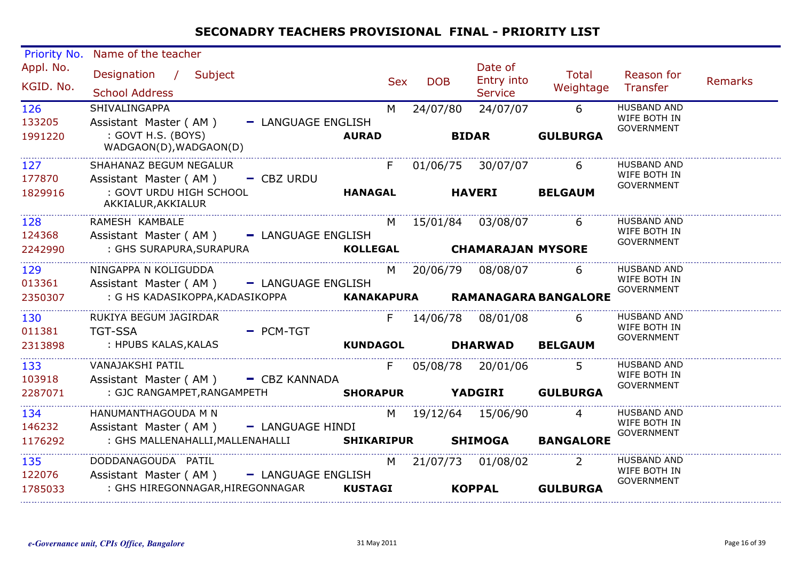| Priority No.           | Name of the teacher                                                    |                 |            |            |                                         |                            |                                                         |                |
|------------------------|------------------------------------------------------------------------|-----------------|------------|------------|-----------------------------------------|----------------------------|---------------------------------------------------------|----------------|
| Appl. No.<br>KGID. No. | Designation / Subject<br><b>School Address</b>                         |                 | <b>Sex</b> | <b>DOB</b> | Date of<br>Entry into<br><b>Service</b> | Total<br>Weightage         | Reason for<br>Transfer                                  | <b>Remarks</b> |
| 126<br>133205          | SHIVALINGAPPA<br>Assistant Master (AM)<br>- LANGUAGE ENGLISH           |                 | M          | 24/07/80   | 24/07/07                                | 6                          | <b>HUSBAND AND</b><br>WIFE BOTH IN<br><b>GOVERNMENT</b> |                |
| 1991220                | : GOVT H.S. (BOYS)<br>WADGAON(D), WADGAON(D)                           | <b>AURAD</b>    |            |            | <b>BIDAR</b>                            | <b>GULBURGA</b>            |                                                         |                |
| 127<br>177870          | SHAHANAZ BEGUM NEGALUR<br>Assistant Master (AM)<br>$-CBZ URDU$         |                 |            |            | F 01/06/75 30/07/07                     | 6                          | <b>HUSBAND AND</b><br>WIFE BOTH IN                      |                |
| 1829916                | : GOVT URDU HIGH SCHOOL<br>AKKIALUR, AKKIALUR                          | <b>HANAGAL</b>  |            |            | <b>HAVERI</b>                           | <b>BELGAUM</b>             | <b>GOVERNMENT</b>                                       |                |
| 128<br>124368          | RAMESH KAMBALE<br>Assistant Master (AM) - LANGUAGE ENGLISH             |                 |            |            | M 15/01/84 03/08/07 6                   |                            | <b>HUSBAND AND</b><br>WIFE BOTH IN<br><b>GOVERNMENT</b> |                |
| 2242990                | : GHS SURAPURA,SURAPURA                                                |                 |            |            | KOLLEGAL CHAMARAJAN MYSORE              |                            |                                                         |                |
| 129<br>013361          | NINGAPPA N KOLIGUDDA<br>Assistant Master (AM) - LANGUAGE ENGLISH       |                 |            |            | M 20/06/79 08/08/07                     | 6                          | <b>HUSBAND AND</b><br>WIFE BOTH IN<br><b>GOVERNMENT</b> |                |
| 2350307                | : G HS KADASIKOPPA, KADASIKOPPA <b>KANAKAPURA RAMANAGARA BANGALORE</b> |                 |            |            |                                         |                            |                                                         |                |
| 130<br>011381          | RUKIYA BEGUM JAGIRDAR<br>$=$ PCM-TGT<br><b>TGT-SSA</b>                 |                 | F.         |            | 14/06/78  08/01/08                      | 6                          | <b>HUSBAND AND</b><br>WIFE BOTH IN<br><b>GOVERNMENT</b> |                |
| 2313898                | : HPUBS KALAS, KALAS                                                   | <b>KUNDAGOL</b> |            |            | <b>DHARWAD</b>                          | <b>BELGAUM</b>             |                                                         |                |
| 133<br>103918          | VANAJAKSHI PATIL<br>Assistant Master (AM) - CBZ KANNADA                |                 | F          |            | 05/08/78 20/01/06                       | $5^{\circ}$                | <b>HUSBAND AND</b><br>WIFE BOTH IN<br>GOVERNMENT        |                |
| 2287071                | : GJC RANGAMPET, RANGAMPETH<br>SHORAPUR YADGIRI GULBURGA               |                 |            |            |                                         |                            |                                                         |                |
| 134<br>146232          | HANUMANTHAGOUDA M N<br>Assistant Master ( $AM$ ) $-$ LANGUAGE HINDI    |                 |            |            | M 19/12/64 15/06/90                     | $\overline{4}$             | <b>HUSBAND AND</b><br>WIFE BOTH IN<br><b>GOVERNMENT</b> |                |
| 1176292                | : GHS MALLENAHALLI, MALLENAHALLI                                       |                 |            |            | <b>SHIKARIPUR SHIMOGA</b>               | <b>BANGALORE</b>           |                                                         |                |
| 135<br>122076          | DODDANAGOUDA PATIL<br>Assistant Master (AM) - LANGUAGE ENGLISH         |                 | M          |            | 21/07/73 01/08/02                       | $\overline{\phantom{0}}$ 2 | <b>HUSBAND AND</b><br>WIFE BOTH IN<br><b>GOVERNMENT</b> |                |
| 1785033                | : GHS HIREGONNAGAR, HIREGONNAGAR                                       | <b>KUSTAGI</b>  |            |            | <b>KOPPAL</b>                           | <b>GULBURGA</b>            |                                                         |                |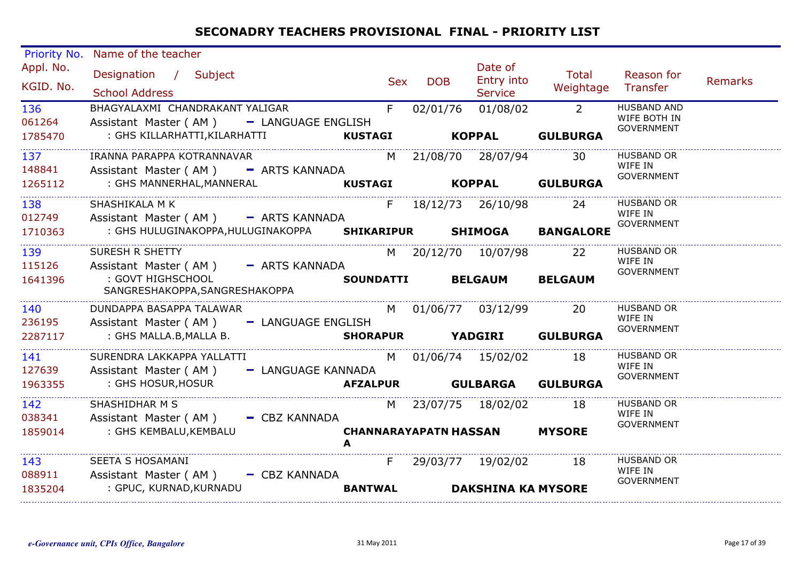| Priority No.           | Name of the teacher                                                         |                  |            |            |                                     |                  |                                    |                |
|------------------------|-----------------------------------------------------------------------------|------------------|------------|------------|-------------------------------------|------------------|------------------------------------|----------------|
| Appl. No.<br>KGID. No. | Designation / Subject                                                       |                  | <b>Sex</b> | <b>DOB</b> | Date of<br>Entry into               | Total            | Reason for<br>Transfer             | <b>Remarks</b> |
|                        | <b>School Address</b>                                                       |                  |            |            | <b>Service</b>                      | Weightage        |                                    |                |
| 136<br>061264          | BHAGYALAXMI CHANDRAKANT YALIGAR<br>Assistant Master (AM) - LANGUAGE ENGLISH | F                |            | 02/01/76   | 01/08/02                            | $\overline{2}$   | <b>HUSBAND AND</b><br>WIFE BOTH IN |                |
| 1785470                | : GHS KILLARHATTI, KILARHATTI                                               | <b>KUSTAGI</b>   |            |            | <b>KOPPAL</b>                       | <b>GULBURGA</b>  | <b>GOVERNMENT</b>                  |                |
| 137                    | IRANNA PARAPPA KOTRANNAVAR                                                  |                  |            |            | M 21/08/70 28/07/94                 | 30               | <b>HUSBAND OR</b><br>WIFE IN       |                |
| 148841<br>1265112      | Assistant Master (AM) - ARTS KANNADA<br>: GHS MANNERHAL, MANNERAL           | <b>KUSTAGI</b>   |            |            | <b>KOPPAL</b>                       | <b>GULBURGA</b>  | <b>GOVERNMENT</b>                  |                |
|                        |                                                                             |                  |            |            |                                     |                  |                                    |                |
| 138<br>012749          | SHASHIKALA M K<br>Assistant Master (AM) - ARTS KANNADA                      |                  |            |            | F 18/12/73 26/10/98                 | 24               | <b>HUSBAND OR</b><br>WIFE IN       |                |
| 1710363                | : GHS HULUGINAKOPPA, HULUGINAKOPPA SHIKARIPUR                               |                  |            |            | <b>SHIMOGA</b>                      | <b>BANGALORE</b> | <b>GOVERNMENT</b>                  |                |
| 139                    | <b>SURESH R SHETTY</b>                                                      |                  |            |            | M 20/12/70 10/07/98                 | 22               | <b>HUSBAND OR</b><br>WIFE IN       |                |
| 115126                 | Assistant Master (AM) - ARTS KANNADA                                        |                  |            |            |                                     |                  | <b>GOVERNMENT</b>                  |                |
| 1641396                | : GOVT HIGHSCHOOL<br>SANGRESHAKOPPA, SANGRESHAKOPPA                         | <b>SOUNDATTI</b> |            |            | <b>BELGAUM</b>                      | <b>BELGAUM</b>   |                                    |                |
| 140                    | DUNDAPPA BASAPPA TALAWAR                                                    |                  |            |            | M 01/06/77 03/12/99                 | <b>20</b>        | <b>HUSBAND OR</b><br>WIFE IN       |                |
| 236195                 | Assistant Master (AM) - LANGUAGE ENGLISH                                    |                  |            |            |                                     |                  | <b>GOVERNMENT</b>                  |                |
| 2287117                | : GHS MALLA.B, MALLA B.                                                     |                  |            |            | <b>SHORAPUR YADGIRI</b>             | <b>GULBURGA</b>  |                                    |                |
| 141                    | SURENDRA LAKKAPPA YALLATTI                                                  |                  |            |            | M 01/06/74 15/02/02                 | 18               | <b>HUSBAND OR</b><br>WIFE IN       |                |
| 127639                 | Assistant Master (AM)<br>- LANGUAGE KANNADA                                 |                  |            |            |                                     |                  | GOVERNMENT                         |                |
| 1963355                | : GHS HOSUR, HOSUR                                                          |                  |            |            | AFZALPUR GULBARGA                   | <b>GULBURGA</b>  |                                    |                |
| 142                    | SHASHIDHAR M S                                                              |                  |            |            | M 23/07/75 18/02/02                 | 18               | <b>HUSBAND OR</b><br>WIFE IN       |                |
| 038341                 | Assistant Master (AM) - CBZ KANNADA                                         |                  |            |            |                                     |                  | GOVERNMENT                         |                |
| 1859014                | : GHS KEMBALU, KEMBALU                                                      |                  |            |            | <b>CHANNARAYAPATN HASSAN MYSORE</b> |                  |                                    |                |
| 143                    | SEETA S HOSAMANI                                                            | F                |            |            | 29/03/77 19/02/02                   | 18               | <b>HUSBAND OR</b><br>WIFE IN       |                |
| 088911                 | Assistant Master (AM) - CBZ KANNADA                                         |                  |            |            |                                     |                  | <b>GOVERNMENT</b>                  |                |
| 1835204                | : GPUC, KURNAD, KURNADU                                                     | <b>BANTWAL</b>   |            |            | <b>DAKSHINA KA MYSORE</b>           |                  |                                    |                |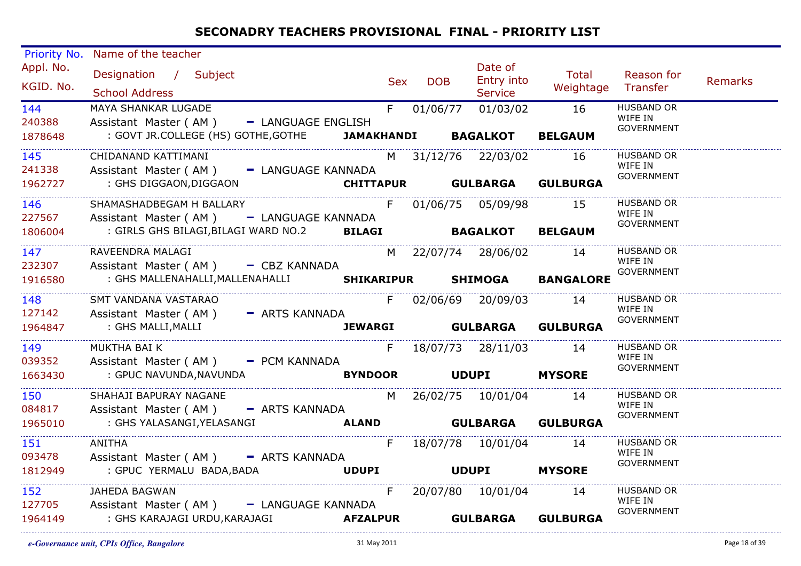| <b>Priority No.</b><br>Appl. No.<br>KGID. No.<br>144<br>240388<br>1878648 | Name of the teacher<br>Designation / Subject<br><b>School Address</b><br>MAYA SHANKAR LUGADE<br>Assistant Master (AM) - LANGUAGE ENGLISH<br>: GOVT JR.COLLEGE (HS) GOTHE, GOTHE <b>JAMAKHANDI BAGALKOT BELGAUM</b> | Sex | <b>DOB</b> | Date of<br>Entry into<br><b>Service</b><br>F 01/06/77 01/03/02 16 | <b>Total</b><br>Weightage Transfer | Reason for<br><b>HUSBAND OR</b><br>WIFE IN<br><b>GOVERNMENT</b> | Remarks |
|---------------------------------------------------------------------------|--------------------------------------------------------------------------------------------------------------------------------------------------------------------------------------------------------------------|-----|------------|-------------------------------------------------------------------|------------------------------------|-----------------------------------------------------------------|---------|
| 145<br>241338<br>1962727                                                  | CHIDANAND KATTIMANI<br>Assistant Master (AM) - LANGUAGE KANNADA<br>GHS DIGGAON, DIGGAON: CHITTAPUR GULBARGA GULBURGA: : GHS DIGGAON, DIGGAON: CHITTAPUR                                                            |     |            | M 31/12/76 22/03/02 16                                            |                                    | <b>HUSBAND OR</b><br>WIFE IN<br>GOVERNMENT                      |         |
| 146<br>227567<br>1806004                                                  | SHAMASHADBEGAM H BALLARY<br>Assistant Master (AM) - LANGUAGE KANNADA                                                                                                                                               |     |            | F 01/06/75 05/09/98 15                                            |                                    | <b>HUSBAND OR</b><br>WIFE IN<br>GOVERNMENT                      |         |
| 147<br>232307<br>1916580                                                  | RAVEENDRA MALAGI<br>Assistant Master (AM) - CBZ KANNADA<br>: GHS MALLENAHALLI, MALLENAHALLI SHIKARIPUR SHIMOGA BANGALORE                                                                                           |     |            | M 22/07/74 28/06/02 14                                            |                                    | <b>HUSBAND OR</b><br>WIFE IN<br>GOVERNMENT                      |         |
| 148<br>127142<br>1964847                                                  | SMT VANDANA VASTARAO<br>Assistant Master (AM) - ARTS KANNADA<br>: GHS MALLI,MALLI                                                                                                                                  |     |            | F 02/06/69 20/09/03 14                                            | JEWARGI GULBARGA GULBURGA          | <b>HUSBAND OR</b><br>WIFE IN<br>GOVERNMENT                      |         |
| 149<br>039352<br>1663430                                                  | MUKTHA BAI K<br>Assistant Master (AM) - PCM KANNADA                                                                                                                                                                |     |            | F 18/07/73 28/11/03 14                                            |                                    | <b>HUSBAND OR</b><br>WIFE IN<br>GOVERNMENT                      |         |
| 150<br>084817<br>1965010                                                  | SHAHAJI BAPURAY NAGANE<br>Assistant Master (AM) - ARTS KANNADA<br>ALAND GULBARGA GULBURGA<br>: GHS YALASANGI,YELASANGI                                                                                             |     |            | M 26/02/75 10/01/04 14                                            |                                    | <b>HUSBAND OR</b><br>WIFE IN<br><b>GOVERNMENT</b>               |         |
| 151<br>093478<br>1812949                                                  | <b>ANITHA</b><br>Assistant Master (AM) - ARTS KANNADA<br>UDUPI UDUPI MYSORE<br>: GPUC YERMALU BADA,BADA                                                                                                            |     |            | F 18/07/78 10/01/04 14                                            |                                    | <b>HUSBAND OR</b><br>WIFE IN<br>GOVERNMENT                      |         |
| 152<br>127705<br>1964149                                                  | JAHEDA BAGWAN<br>Assistant Master (AM) - LANGUAGE KANNADA                                                                                                                                                          |     |            | F 20/07/80 10/01/04 14                                            |                                    | <b>HUSBAND OR</b><br>WIFE IN<br>GOVERNMENT                      |         |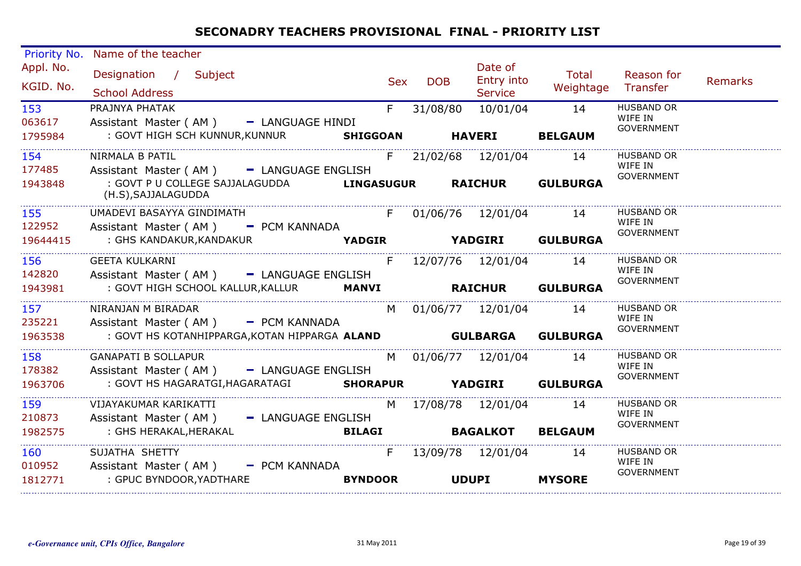| Priority No.           | Name of the teacher                                                    |                |              |                                         |                             |                                                   |         |
|------------------------|------------------------------------------------------------------------|----------------|--------------|-----------------------------------------|-----------------------------|---------------------------------------------------|---------|
| Appl. No.<br>KGID. No. | Designation / Subject<br><b>School Address</b>                         | <b>Sex</b>     | <b>DOB</b>   | Date of<br>Entry into<br><b>Service</b> | Total<br>Weightage          | Reason for<br>Transfer                            | Remarks |
| 153<br>063617          | PRAJNYA PHATAK<br>Assistant Master (AM) - LANGUAGE HINDI               | F.             | 31/08/80     | 10/01/04                                | 14                          | <b>HUSBAND OR</b><br>WIFE IN<br><b>GOVERNMENT</b> |         |
| 1795984                | : GOVT HIGH SCH KUNNUR, KUNNUR SHIGGOAN HAVERI BELGAUM                 |                |              |                                         |                             |                                                   |         |
| 154<br>177485          | NIRMALA B PATIL<br>Assistant Master (AM) - LANGUAGE ENGLISH            |                |              | F 21/02/68 12/01/04 14                  |                             | <b>HUSBAND OR</b><br>WIFE IN                      |         |
| 1943848                | : GOVT P U COLLEGE SAJJALAGUDDA<br>(H.S), SAJJALAGUDDA                 |                |              |                                         | LINGASUGUR RAICHUR GULBURGA | GOVERNMENT                                        |         |
| 155<br>122952          | UMADEVI BASAYYA GINDIMATH<br>Assistant Master (AM) - PCM KANNADA       |                |              |                                         | F 01/06/76 12/01/04 14      | <b>HUSBAND OR</b><br>WIFE IN                      |         |
| 19644415               | : GHS KANDAKUR,KANDAKUR                                                | <b>YADGIR</b>  |              |                                         | <b>YADGIRI GULBURGA</b>     | <b>GOVERNMENT</b>                                 |         |
| 156<br>142820          | <b>GEETA KULKARNI</b><br>Assistant Master (AM) - LANGUAGE ENGLISH      |                |              | F 12/07/76 12/01/04 14                  |                             | <b>HUSBAND OR</b><br>WIFE IN                      |         |
| 1943981                | : GOVT HIGH SCHOOL KALLUR, KALLUR MANVI                                |                |              |                                         | <b>RAICHUR GULBURGA</b>     | <b>GOVERNMENT</b>                                 |         |
| 157<br>235221          | NIRANJAN M BIRADAR<br>Assistant Master (AM) - PCM KANNADA              |                |              | M 01/06/77 12/01/04 14                  |                             | <b>HUSBAND OR</b><br>WIFE IN                      |         |
| 1963538                | : GOVT HS KOTANHIPPARGA, KOTAN HIPPARGA ALAND <b>GULBARGA</b>          |                |              |                                         | <b>GULBURGA</b>             | GOVERNMENT                                        |         |
| 158<br>178382          | <b>GANAPATI B SOLLAPUR</b><br>Assistant Master (AM) - LANGUAGE ENGLISH |                |              | M 01/06/77 12/01/04 14                  |                             | <b>HUSBAND OR</b><br>WIFE IN<br><b>GOVERNMENT</b> |         |
| 1963706                | : GOVT HS HAGARATGI, HAGARATAGI SHORAPUR YADGIRI GULBURGA              |                |              |                                         |                             |                                                   |         |
| 159<br>210873          | VIJAYAKUMAR KARIKATTI<br>Assistant Master (AM) - LANGUAGE ENGLISH      |                |              | M 17/08/78 12/01/04 14                  |                             | <b>HUSBAND OR</b><br>WIFE IN                      |         |
| 1982575                | : GHS HERAKAL,HERAKAL                                                  | <b>BILAGI</b>  |              | <b>BAGALKOT BELGAUM</b>                 |                             | <b>GOVERNMENT</b>                                 |         |
| 160<br>010952          | SUJATHA SHETTY<br>Assistant Master (AM) - PCM KANNADA                  | F              |              | 13/09/78 12/01/04 14                    |                             | <b>HUSBAND OR</b><br>WIFE IN<br>GOVERNMENT        |         |
| 1812771                | : GPUC BYNDOOR, YADTHARE                                               | <b>BYNDOOR</b> | <b>UDUPI</b> |                                         | <b>MYSORE</b>               |                                                   |         |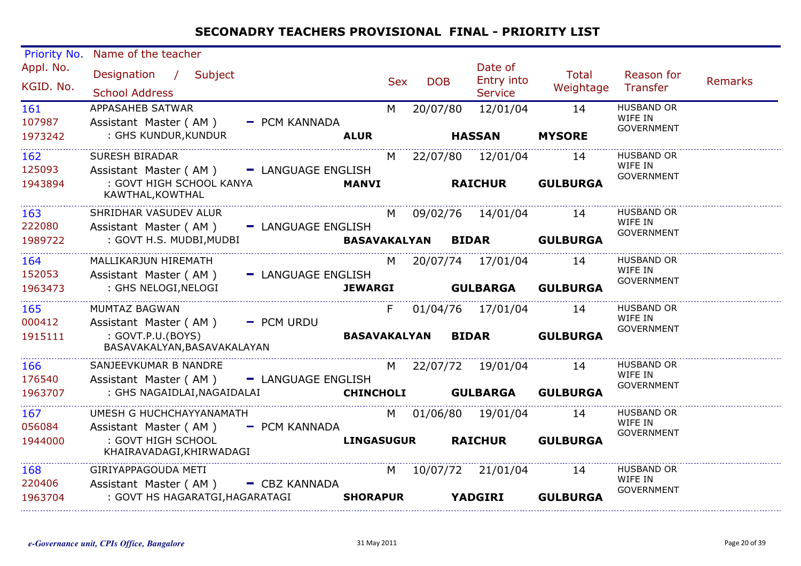| <b>Priority No.</b> | Name of the teacher                                                                       |                |              |                             |                 |                              |         |
|---------------------|-------------------------------------------------------------------------------------------|----------------|--------------|-----------------------------|-----------------|------------------------------|---------|
| Appl. No.           | Designation / Subject                                                                     |                |              | Date of<br>Entry into       | Total           | Reason for                   | Remarks |
| KGID. No.           | <b>School Address</b>                                                                     | <b>Sex</b>     | <b>DOB</b>   | <b>Service</b>              | Weightage       | Transfer                     |         |
| 161<br>107987       | APPASAHEB SATWAR                                                                          | M <sub>N</sub> | 20/07/80     | 12/01/04                    | 14              | <b>HUSBAND OR</b><br>WIFE IN |         |
| 1973242             | Assistant Master (AM)<br>- PCM KANNADA<br>: GHS KUNDUR, KUNDUR                            | <b>ALUR</b>    |              | <b>HASSAN</b>               | <b>MYSORE</b>   | <b>GOVERNMENT</b>            |         |
| 162                 | SURESH BIRADAR                                                                            | M              |              | 22/07/80 12/01/04           | 14              | <b>HUSBAND OR</b>            |         |
| 125093              | Assistant Master (AM) - LANGUAGE ENGLISH                                                  |                |              |                             |                 | WIFE IN<br><b>GOVERNMENT</b> |         |
| 1943894             | : GOVT HIGH SCHOOL KANYA<br>KAWTHAL, KOWTHAL                                              | <b>MANVI</b>   |              | RAICHUR                     | <b>GULBURGA</b> |                              |         |
| 163<br>222080       | SHRIDHAR VASUDEV ALUR                                                                     |                |              | M 09/02/76 14/01/04         | 14              | <b>HUSBAND OR</b><br>WIFE IN |         |
| 1989722             | Assistant Master (AM) - LANGUAGE ENGLISH<br>: GOVT H.S. MUDBI, MUDBI                      |                |              | BASAVAKALYAN BIDAR GULBURGA |                 | <b>GOVERNMENT</b>            |         |
| 164                 | MALLIKARJUN HIREMATH                                                                      | M              |              | 20/07/74 17/01/04           | 14              | <b>HUSBAND OR</b><br>WIFE IN |         |
| 152053<br>1963473   | Assistant Master (AM) - LANGUAGE ENGLISH<br>: GHS NELOGI, NELOGI                          | <b>JEWARGI</b> |              | <b>GULBARGA GULBURGA</b>    |                 | <b>GOVERNMENT</b>            |         |
|                     |                                                                                           |                |              |                             |                 |                              |         |
| 165<br>000412       | MUMTAZ BAGWAN<br>Assistant Master (AM) - PCM URDU                                         | F.             |              | 01/04/76 17/01/04 14        |                 | <b>HUSBAND OR</b><br>WIFE IN |         |
| 1915111             | : GOVT.P.U.(BOYS)<br>BASAVAKALYAN, BASAVAKALAYAN                                          |                | BASAVAKALYAN | <b>BIDAR</b>                | <b>GULBURGA</b> | <b>GOVERNMENT</b>            |         |
| 166                 | SANJEEVKUMAR B NANDRE                                                                     |                |              | M 22/07/72 19/01/04 14      |                 | <b>HUSBAND OR</b><br>WIFE IN |         |
| 176540<br>1963707   | Assistant Master (AM)<br>- LANGUAGE ENGLISH<br>: GHS NAGAIDLAI, NAGAIDALAI                |                |              | CHINCHOLI GULBARGA GULBURGA |                 | <b>GOVERNMENT</b>            |         |
| 167                 | UMESH G HUCHCHAYYANAMATH                                                                  |                |              | M 01/06/80 19/01/04         | 14              | <b>HUSBAND OR</b><br>WIFE IN |         |
| 056084<br>1944000   | Assistant Master (AM) - PCM KANNADA<br>: GOVT HIGH SCHOOL<br>KHAIRAVADAGI, KHIRWADAGI     |                |              | <b>LINGASUGUR RAICHUR</b>   | <b>GULBURGA</b> | <b>GOVERNMENT</b>            |         |
| 168                 | GIRIYAPPAGOUDA METI                                                                       | M l            |              | 10/07/72 21/01/04           | 14              | <b>HUSBAND OR</b><br>WIFE IN |         |
| 220406<br>1963704   | Assistant Master (AM) - CBZ KANNADA<br>: GOVT HS HAGARATGI, HAGARATAGI<br><b>SHORAPUR</b> |                |              | <b>YADGIRI</b>              | <b>GULBURGA</b> | <b>GOVERNMENT</b>            |         |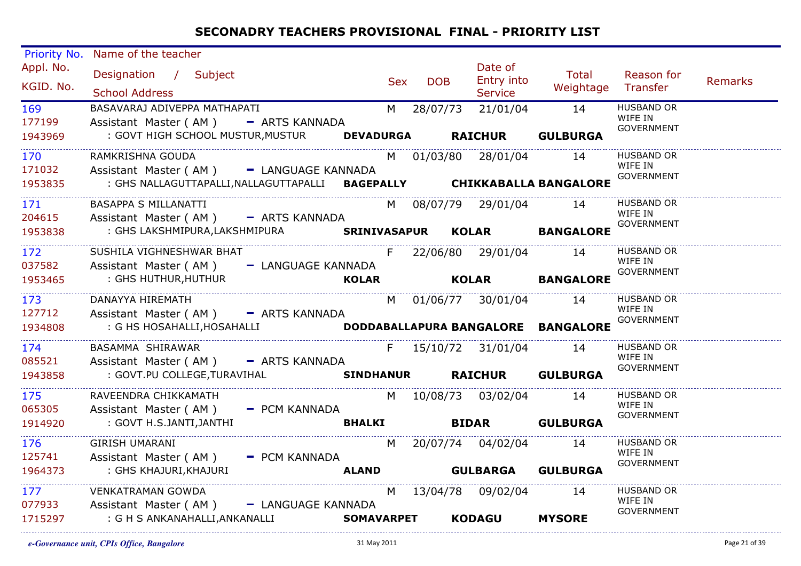| Priority No.<br>Appl. No. | Name of the teacher<br>Designation / Subject                                                        |               |     |            | Date of                  | Total              | Reason for                                 |         |
|---------------------------|-----------------------------------------------------------------------------------------------------|---------------|-----|------------|--------------------------|--------------------|--------------------------------------------|---------|
| KGID. No.                 | <b>School Address</b>                                                                               |               | Sex | <b>DOB</b> | Entry into<br>Service    | Weightage Transfer |                                            | Remarks |
| 169<br>177199             | BASAVARAJ ADIVEPPA MATHAPATI<br>Assistant Master (AM) - ARTS KANNADA                                |               |     |            | M 28/07/73 21/01/04 14   |                    | <b>HUSBAND OR</b><br>WIFE IN<br>GOVERNMENT |         |
| 1943969                   | : GOVT HIGH SCHOOL MUSTUR, MUSTUR  DEVADURGA  RAICHUR  GULBURGA                                     |               |     |            |                          |                    |                                            |         |
| 170<br>171032             | RAMKRISHNA GOUDA<br>Assistant Master (AM) - LANGUAGE KANNADA                                        |               |     |            | M 01/03/80 28/01/04 14   |                    | <b>HUSBAND OR</b><br>WIFE IN               |         |
| 1953835                   | : GHS NALLAGUTTAPALLI, NALLAGUTTAPALLI BAGEPALLY CHIKKABALLA BANGALORE                              |               |     |            |                          |                    | <b>GOVERNMENT</b>                          |         |
| 171<br>204615             | BASAPPA S MILLANATTI                                                                                |               |     |            | M 08/07/79 29/01/04 14   |                    | HUSBAND OR<br>WIFE IN                      |         |
| 1953838                   | Assistant Master (AM) - ARTS KANNADA<br>: GHS LAKSHMIPURA, LAKSHMIPURA SRINIVASAPUR KOLAR BANGALORE |               |     |            |                          |                    | GOVERNMENT                                 |         |
| 172<br>037582             | SUSHILA VIGHNESHWAR BHAT<br>Assistant Master (AM) - LANGUAGE KANNADA                                |               |     |            | F 22/06/80 29/01/04 14   |                    | <b>HUSBAND OR</b><br>WIFE IN               |         |
| 1953465                   | : GHS HUTHUR, HUTHUR                                                                                | <b>KOLAR</b>  |     |            |                          | KOLAR BANGALORE    | <b>GOVERNMENT</b>                          |         |
| 173<br>127712             | DANAYYA HIREMATH<br>Assistant Master (AM) - ARTS KANNADA                                            |               |     |            | M 01/06/77 30/01/04 14   |                    | HUSBAND OR<br>WIFE IN                      |         |
| 1934808                   | : G HS HOSAHALLI, HOSAHALLI <b>DODDABALLAPURA BANGALORE BANGALORE</b>                               |               |     |            |                          |                    | <b>GOVERNMENT</b>                          |         |
| 174<br>085521             | BASAMMA SHIRAWAR<br>Assistant Master (AM) - ARTS KANNADA                                            |               |     |            | F 15/10/72 31/01/04 14   |                    | <b>HUSBAND OR</b><br>WIFE IN               |         |
| 1943858                   | : GOVT.PU COLLEGE,TURAVIHAL <b>SINDHANUR RAICHUR GULBURGA</b>                                       |               |     |            |                          |                    | GOVERNMENT                                 |         |
| 175<br>065305             | RAVEENDRA CHIKKAMATH<br>Assistant Master (AM) - PCM KANNADA                                         |               |     |            | M 10/08/73 03/02/04 14   |                    | <b>HUSBAND OR</b><br>WIFE IN               |         |
| 1914920                   | : GOVT H.S.JANTI,JANTHI                                                                             | <b>BHALKI</b> |     |            | <b>BIDAR</b> GULBURGA    |                    | <b>GOVERNMENT</b>                          |         |
| 176<br>125741             | <b>GIRISH UMARANI</b>                                                                               |               |     |            | M 20/07/74 04/02/04 14   |                    | <b>HUSBAND OR</b><br>WIFE IN               |         |
| 1964373                   | Assistant Master (AM) - PCM KANNADA<br>: GHS KHAJURI,KHAJURI                                        |               |     |            | ALAND GULBARGA GULBURGA  |                    | <b>GOVERNMENT</b>                          |         |
| 177<br>077933             | VENKATRAMAN GOWDA<br>Assistant Master (AM) - LANGUAGE KANNADA                                       |               |     |            | M 13/04/78 09/02/04 14   |                    | <b>HUSBAND OR</b><br>WIFE IN               |         |
| 1715297                   | : G H S ANKANAHALLI,ANKANALLI                                                                       |               |     |            | SOMAVARPET KODAGU MYSORE |                    | <b>GOVERNMENT</b>                          |         |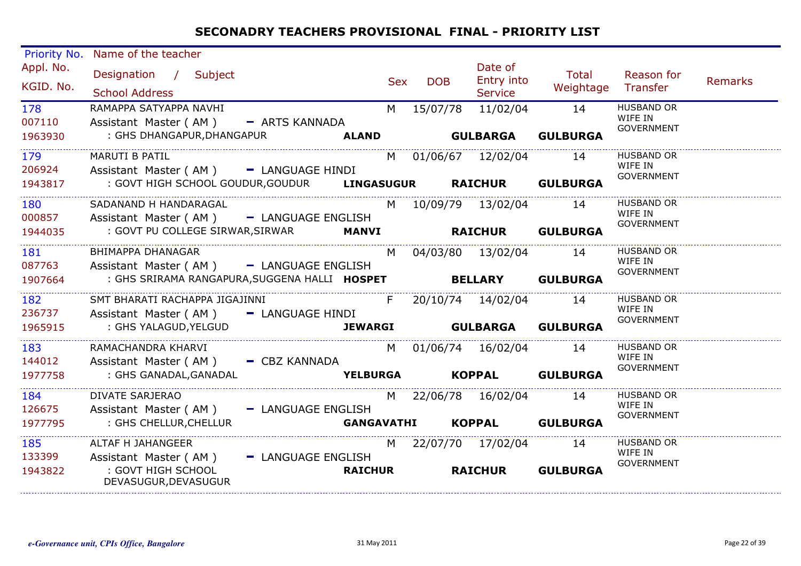| Priority No. | Name of the teacher                                            |     |                   |                        |                           |                              |         |
|--------------|----------------------------------------------------------------|-----|-------------------|------------------------|---------------------------|------------------------------|---------|
| Appl. No.    | Designation / Subject                                          | Sex | <b>DOB</b>        | Date of<br>Entry into  | Total                     | Reason for                   | Remarks |
| KGID. No.    | <b>School Address</b>                                          |     |                   | <b>Service</b>         | Weightage                 | Transfer                     |         |
| 178          | RAMAPPA SATYAPPA NAVHI                                         | M   |                   | 15/07/78 11/02/04      | 14                        | <b>HUSBAND OR</b>            |         |
| 007110       | Assistant Master (AM) - ARTS KANNADA                           |     |                   |                        |                           | WIFE IN                      |         |
| 1963930      | : GHS DHANGAPUR, DHANGAPUR <b>ALAND GULBARGA</b>               |     |                   |                        | <b>GULBURGA</b>           | <b>GOVERNMENT</b>            |         |
| 179          | MARUTI B PATIL                                                 |     |                   | M 01/06/67 12/02/04 14 |                           | <b>HUSBAND OR</b>            |         |
| 206924       | Assistant Master (AM) - LANGUAGE HINDI                         |     |                   |                        |                           | WIFE IN<br>GOVERNMENT        |         |
| 1943817      | : GOVT HIGH SCHOOL GOUDUR, GOUDUR LINGASUGUR RAICHUR GULBURGA  |     |                   |                        |                           |                              |         |
| 180          | SADANAND H HANDARAGAL                                          |     |                   | M 10/09/79 13/02/04 14 |                           | <b>HUSBAND OR</b>            |         |
| 000857       | Assistant Master (AM) - LANGUAGE ENGLISH                       |     |                   |                        |                           | WIFE IN                      |         |
| 1944035      | : GOVT PU COLLEGE SIRWAR, SIRWAR MANVI                         |     |                   |                        | <b>RAICHUR GULBURGA</b>   | <b>GOVERNMENT</b>            |         |
| 181          | BHIMAPPA DHANAGAR                                              | M   |                   | 04/03/80 13/02/04 14   |                           | <b>HUSBAND OR</b>            |         |
| 087763       | Assistant Master (AM) - LANGUAGE ENGLISH                       |     |                   |                        |                           | WIFE IN<br>GOVERNMENT        |         |
| 1907664      | : GHS SRIRAMA RANGAPURA, SUGGENA HALLI HOSPET BELLARY GULBURGA |     |                   |                        |                           |                              |         |
| 182          | SMT BHARATI RACHAPPA JIGAJINNI                                 | F   |                   | 20/10/74 14/02/04 14   |                           | <b>HUSBAND OR</b>            |         |
| 236737       | Assistant Master (AM) - LANGUAGE HINDI                         |     |                   |                        |                           | WIFE IN<br>GOVERNMENT        |         |
| 1965915      | : GHS YALAGUD, YELGUD                                          |     |                   |                        | JEWARGI GULBARGA GULBURGA |                              |         |
| 183          | RAMACHANDRA KHARVI                                             |     |                   | M 01/06/74 16/02/04 14 |                           | <b>HUSBAND OR</b>            |         |
| 144012       | Assistant Master (AM) - CBZ KANNADA                            |     |                   |                        |                           | WIFE IN<br>GOVERNMENT        |         |
| 1977758      | : GHS GANADAL,GANADAL                                          |     |                   |                        | YELBURGA KOPPAL GULBURGA  |                              |         |
| 184          | DIVATE SARJERAO                                                |     |                   | M 22/06/78 16/02/04 14 |                           | <b>HUSBAND OR</b>            |         |
| 126675       | Assistant Master (AM) - LANGUAGE ENGLISH                       |     |                   |                        |                           | WIFE IN<br><b>GOVERNMENT</b> |         |
| 1977795      | : GHS CHELLUR, CHELLUR                                         |     | <b>GANGAVATHI</b> |                        | KOPPAL GULBURGA           |                              |         |
| 185          | ALTAF H JAHANGEER                                              |     |                   | M 22/07/70 17/02/04 14 |                           | <b>HUSBAND OR</b>            |         |
| 133399       | Assistant Master (AM) - LANGUAGE ENGLISH                       |     |                   |                        |                           | WIFE IN<br><b>GOVERNMENT</b> |         |
| 1943822      | : GOVT HIGH SCHOOL<br><b>RAICHUR</b><br>DEVASUGUR, DEVASUGUR   |     |                   | <b>RAICHUR</b>         | <b>GULBURGA</b>           |                              |         |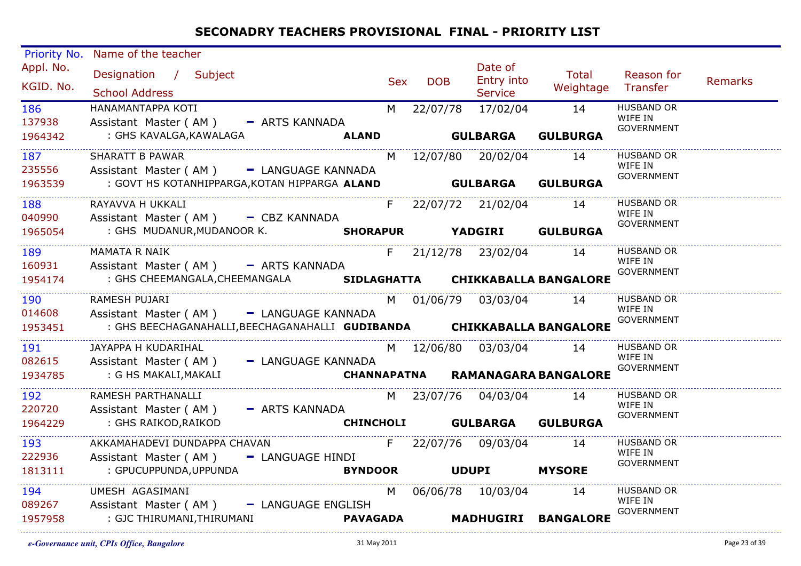| Priority No.<br>Appl. No.<br>KGID. No.<br>186<br>137938<br>1964342<br>187<br>235556<br>1963539 | Name of the teacher<br>Designation / Subject<br><b>School Address</b><br>HANAMANTAPPA KOTI<br>Assistant Master (AM) - ARTS KANNADA<br>: GHS KAVALGA,KAWALAGA<br><b>SHARATT B PAWAR</b><br>Assistant Master (AM) - LANGUAGE KANNADA<br>: GOVT HS KOTANHIPPARGA,KOTAN HIPPARGA ALAND <b>GULBARGA GULBURGA</b> | Sex | <b>DOB</b> | Date of<br><b>Entry into</b><br>Service<br>M 22/07/78 17/02/04 14<br>M 12/07/80 20/02/04 14 | Total<br>Weightage Transfer<br>ALAND GULBARGA GULBURGA | Reason for<br><b>HUSBAND OR</b><br>WIFE IN<br>GOVERNMENT<br><b>HUSBAND OR</b><br>WIFE IN<br>GOVERNMENT | Remarks |
|------------------------------------------------------------------------------------------------|-------------------------------------------------------------------------------------------------------------------------------------------------------------------------------------------------------------------------------------------------------------------------------------------------------------|-----|------------|---------------------------------------------------------------------------------------------|--------------------------------------------------------|--------------------------------------------------------------------------------------------------------|---------|
| 188 189<br>040990<br>1965054                                                                   | RAYAVVA H UKKALI<br>Assistant Master (AM) - CBZ KANNADA<br>SHORAPUR YADGIRI GULBURGA<br>: GHS MUDANUR, MUDANOOR K.                                                                                                                                                                                          |     |            |                                                                                             | F 22/07/72 21/02/04 14                                 | HUSBAND OR<br>WIFE IN<br>GOVERNMENT                                                                    |         |
| 189<br>160931<br>1954174                                                                       | <b>MAMATA R NAIK</b><br>Assistant Master (AM) - ARTS KANNADA<br>: GHS CHEEMANGALA, CHEEMANGALA SIDLAGHATTA CHIKKABALLA BANGALORE                                                                                                                                                                            |     |            | F 21/12/78 23/02/04 14                                                                      |                                                        | <b>HUSBAND OR</b><br>WIFE IN<br><b>GOVERNMENT</b>                                                      |         |
| 190<br>014608<br>1953451                                                                       | RAMESH PUJARI<br>Assistant Master (AM) - LANGUAGE KANNADA<br>: GHS BEECHAGANAHALLI, BEECHAGANAHALLI GUDIBANDA CHIKKABALLA BANGALORE                                                                                                                                                                         |     |            | M 01/06/79 03/03/04 14                                                                      |                                                        | HUSBAND OR<br>WIFE IN<br>GOVERNMENT                                                                    |         |
| 191<br>082615<br>1934785                                                                       | JAYAPPA H KUDARIHAL<br>Assistant Master (AM) - LANGUAGE KANNADA<br>CHANNAPATNA RAMANAGARA BANGALORE<br>: G HS MAKALI,MAKALI                                                                                                                                                                                 |     |            | M 12/06/80 03/03/04 14                                                                      |                                                        | <b>HUSBAND OR</b><br>WIFE IN<br>GOVERNMENT                                                             |         |
| 192<br>220720<br>1964229                                                                       | RAMESH PARTHANALLI<br>Assistant Master (AM) - ARTS KANNADA<br>: GHS RAIKOD, RAIKOD                                                                                                                                                                                                                          |     |            | M 23/07/76 04/03/04 14                                                                      | CHINCHOLI GULBARGA GULBURGA                            | <b>HUSBAND OR</b><br>WIFE IN<br><b>GOVERNMENT</b>                                                      |         |
| 193<br>222936<br>1813111                                                                       | AKKAMAHADEVI DUNDAPPA CHAVAN<br>Assistant Master (AM) - LANGUAGE HINDI<br>: GPUCUPPUNDA, UPPUNDA                                                                                                                                                                                                            |     |            | F 22/07/76 09/03/04 14<br>BYNDOOR UDUPI MYSORE                                              |                                                        | <b>HUSBAND OR</b><br>WIFE IN<br>GOVERNMENT                                                             |         |
| 194<br>089267<br>1957958                                                                       | UMESH AGASIMANI<br>Assistant Master (AM) - LANGUAGE ENGLISH<br>: GJC THIRUMANI,THIRUMANI                                                                                                                                                                                                                    |     |            | M 06/06/78 10/03/04 14                                                                      | PAVAGADA MADHUGIRI BANGALORE                           | <b>HUSBAND OR</b><br>WIFE IN<br><b>GOVERNMENT</b>                                                      |         |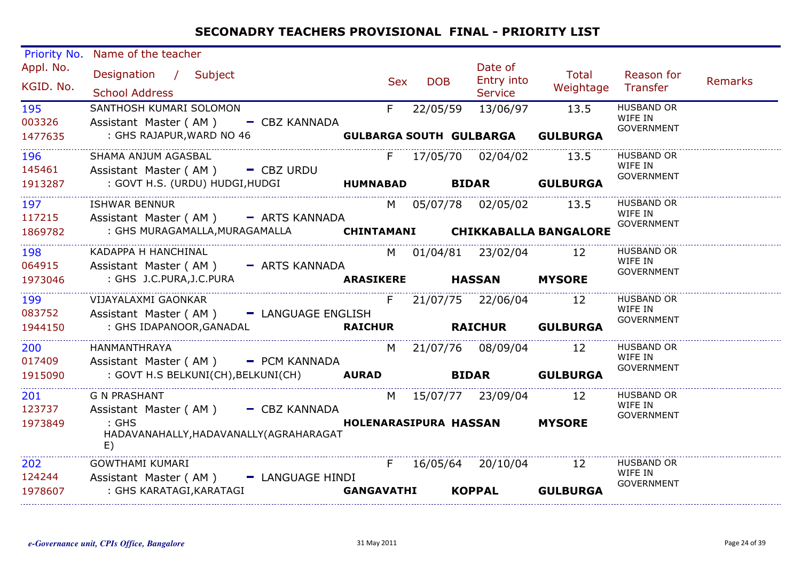| <b>Priority No.</b> | Name of the teacher                                                    |                 |       |            |                                |                          |                              |                |
|---------------------|------------------------------------------------------------------------|-----------------|-------|------------|--------------------------------|--------------------------|------------------------------|----------------|
| Appl. No.           | Designation / Subject                                                  |                 | Sex   | <b>DOB</b> | Date of<br>Entry into          | Total                    | Reason for                   | <b>Remarks</b> |
| KGID. No.           | <b>School Address</b>                                                  |                 |       |            | <b>Service</b>                 | Weightage                | Transfer                     |                |
| 195                 | SANTHOSH KUMARI SOLOMON                                                |                 | $F =$ | 22/05/59   | 13/06/97                       | 13.5                     | <b>HUSBAND OR</b>            |                |
| 003326              | Assistant Master (AM) - CBZ KANNADA                                    |                 |       |            |                                |                          | WIFE IN<br><b>GOVERNMENT</b> |                |
| 1477635             | : GHS RAJAPUR, WARD NO 46                                              |                 |       |            | <b>GULBARGA SOUTH GULBARGA</b> | <b>GULBURGA</b>          |                              |                |
| 196                 | SHAMA ANJUM AGASBAL                                                    |                 |       |            | F 17/05/70 02/04/02 13.5       |                          | <b>HUSBAND OR</b>            |                |
| 145461              | Assistant Master ( $AM$ ) $-$ CBZ URDU                                 |                 |       |            |                                |                          | WIFE IN<br><b>GOVERNMENT</b> |                |
| 1913287             | : GOVT H.S. (URDU) HUDGI, HUDGI                                        | <b>HUMNABAD</b> |       |            |                                | <b>BIDAR GULBURGA</b>    |                              |                |
| 197                 | <b>ISHWAR BENNUR</b>                                                   |                 |       |            | M 05/07/78 02/05/02 13.5       |                          | <b>HUSBAND OR</b>            |                |
| 117215              | Assistant Master (AM) - ARTS KANNADA                                   |                 |       |            |                                |                          | WIFE IN<br><b>GOVERNMENT</b> |                |
| 1869782             | : GHS MURAGAMALLA, MURAGAMALLA <b>CHINTAMANI CHIKKABALLA BANGALORE</b> |                 |       |            |                                |                          |                              |                |
| 198                 | KADAPPA H HANCHINAL                                                    |                 |       |            | M 01/04/81 23/02/04 12         |                          | <b>HUSBAND OR</b>            |                |
| 064915              | Assistant Master (AM) - ARTS KANNADA                                   |                 |       |            |                                |                          | WIFE IN<br><b>GOVERNMENT</b> |                |
| 1973046             | : GHS J.C.PURA, J.C.PURA                                               |                 |       |            | ARASIKERE HASSAN MYSORE        |                          |                              |                |
| 199                 | VIJAYALAXMI GAONKAR                                                    |                 |       |            | F 21/07/75 22/06/04 12         |                          | <b>HUSBAND OR</b><br>WIFE IN |                |
| 083752              | Assistant Master (AM) - LANGUAGE ENGLISH                               |                 |       |            |                                |                          | <b>GOVERNMENT</b>            |                |
| 1944150             | : GHS IDAPANOOR, GANADAL                                               |                 |       |            |                                | RAICHUR RAICHUR GULBURGA |                              |                |
| 200                 | HANMANTHRAYA                                                           |                 |       |            | M 21/07/76 08/09/04 12         |                          | <b>HUSBAND OR</b><br>WIFE IN |                |
| 017409              | Assistant Master (AM) - PCM KANNADA                                    |                 |       |            |                                |                          | <b>GOVERNMENT</b>            |                |
| 1915090             | : GOVT H.S BELKUNI(CH), BELKUNI(CH) AURAD BIDAR GULBURGA               |                 |       |            |                                |                          |                              |                |
| 201                 | <b>G N PRASHANT</b>                                                    |                 |       |            | M 15/07/77 23/09/04 12         |                          | <b>HUSBAND OR</b>            |                |
| 123737              | Assistant Master (AM) - CBZ KANNADA                                    |                 |       |            |                                |                          | WIFE IN<br><b>GOVERNMENT</b> |                |
| 1973849             | $:$ GHS<br>HADAVANAHALLY, HADAVANALLY (AGRAHARAGAT<br>E)               |                 |       |            | HOLENARASIPURA HASSAN MYSORE   |                          |                              |                |
| 202                 | <b>GOWTHAMI KUMARI</b>                                                 |                 | F.    |            | 16/05/64 20/10/04 12           |                          | HUSBAND OR<br>WIFE IN        |                |
| 124244              | Assistant Master (AM) - LANGUAGE HINDI                                 |                 |       |            |                                |                          | <b>GOVERNMENT</b>            |                |
| 1978607             | : GHS KARATAGI,KARATAGI                                                | GANGAVATHI      |       |            | <b>KOPPAL</b>                  | <b>GULBURGA</b>          |                              |                |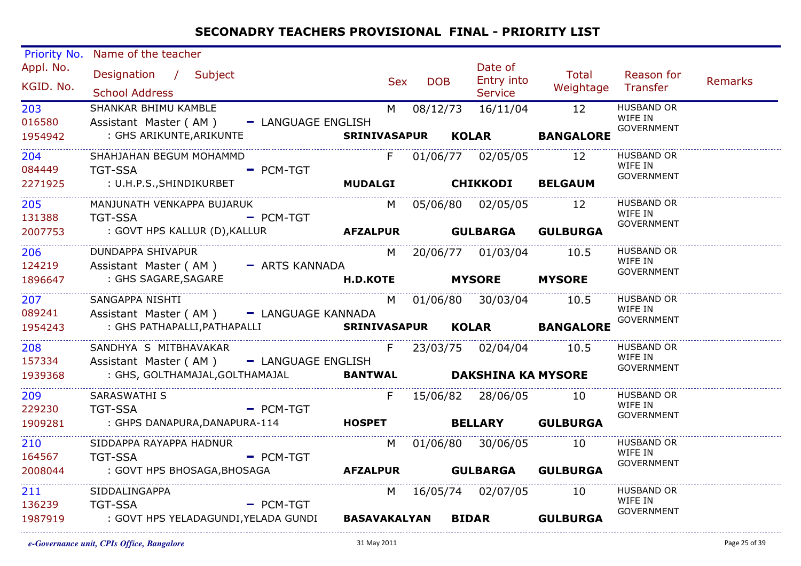| Priority No.<br>Appl. No.<br>KGID. No.<br>203<br>016580<br>1954942<br>204<br>084449 | Name of the teacher<br>Designation / Subject<br><b>School Address</b><br>SHANKAR BHIMU KAMBLE<br>Assistant Master (AM) - LANGUAGE ENGLISH<br>: GHS ARIKUNTE,ARIKUNTE<br>SHAHJAHAN BEGUM MOHAMMD<br>- PCM-TGT<br><b>TGT-SSA</b> | Sex<br>F | <b>DOB</b> | Date of<br>Entry into<br>Service<br>M 08/12/73 16/11/04 12<br>01/06/77 02/05/05 12 | <b>Total</b><br>Weightage Transfer<br>SRINIVASAPUR KOLAR BANGALORE | Reason for<br><b>HUSBAND OR</b><br>WIFE IN<br><b>GOVERNMENT</b><br><b>HUSBAND OR</b><br>WIFE IN<br>GOVERNMENT | Remarks |
|-------------------------------------------------------------------------------------|--------------------------------------------------------------------------------------------------------------------------------------------------------------------------------------------------------------------------------|----------|------------|------------------------------------------------------------------------------------|--------------------------------------------------------------------|---------------------------------------------------------------------------------------------------------------|---------|
| 2271925<br>205<br>131388                                                            | MANJUNATH VENKAPPA BUJARUK<br>- PCM-TGT<br><b>TGT-SSA</b>                                                                                                                                                                      |          |            | M 05/06/80 02/05/05 12                                                             |                                                                    | HUSBAND OR<br>WIFE IN<br>GOVERNMENT                                                                           |         |
| 2007753<br>206 200<br>124219<br>1896647                                             | DUNDAPPA SHIVAPUR<br>Assistant Master (AM) - ARTS KANNADA<br>: GHS SAGARE, SAGARE                                                                                                                                              |          |            | M 20/06/77 01/03/04 10.5<br>H.D.KOTE MYSORE MYSORE                                 |                                                                    | <b>HUSBAND OR</b><br>WIFE IN<br><b>GOVERNMENT</b>                                                             |         |
| 207 201<br>089241<br>1954243                                                        | SANGAPPA NISHTI<br>Assistant Master (AM) - LANGUAGE KANNADA<br>: GHS PATHAPALLI,PATHAPALLI                                                                                                                                     |          |            | M 01/06/80 30/03/04 10.5                                                           | SRINIVASAPUR KOLAR BANGALORE                                       | <b>HUSBAND OR</b><br>WIFE IN<br><b>GOVERNMENT</b>                                                             |         |
| 208 —<br>157334<br>1939368                                                          | SANDHYA S MITBHAVAKAR<br>Assistant Master (AM) - LANGUAGE ENGLISH<br>: GHS, GOLTHAMAJAL, GOLTHAMAJAL <b>BANTWAL DAKSHINA KA MYSORE</b>                                                                                         |          |            | F 23/03/75 02/04/04 10.5                                                           |                                                                    | <b>HUSBAND OR</b><br>WIFE IN<br>GOVERNMENT                                                                    |         |
| 209<br>229230<br>1909281                                                            | SARASWATHI S<br>TGT-SSA - PCM-TGT<br>: GHPS DANAPURA,DANAPURA-114 <b>HOSPET</b> BELLARY GULBURGA                                                                                                                               |          |            | F 15/06/82 28/06/05 10                                                             |                                                                    | <b>HUSBAND OR</b><br>WIFE IN<br><b>GOVERNMENT</b>                                                             |         |
| 210 20<br>164567<br>2008044                                                         | SIDDAPPA RAYAPPA HADNUR<br><b>TGT-SSA</b><br>- PCM-TGT<br>: GOVT HPS BHOSAGA,BHOSAGA                                                                                                                                           |          |            | M 01/06/80 30/06/05 10<br>AFZALPUR GULBARGA GULBURGA                               |                                                                    | <b>HUSBAND OR</b><br>WIFE IN<br>GOVERNMENT                                                                    |         |
| 211<br>136239<br>1987919                                                            | SIDDALINGAPPA<br><b>TGT-SSA</b><br>$-$ PCM-TGT<br>: GOVT HPS YELADAGUNDI,YELADA GUNDI BASAVAKALYAN BIDAR GULBURGA                                                                                                              |          |            | M 16/05/74 02/07/05 10                                                             |                                                                    | HUSBAND OR<br>WIFE IN<br>GOVERNMENT                                                                           |         |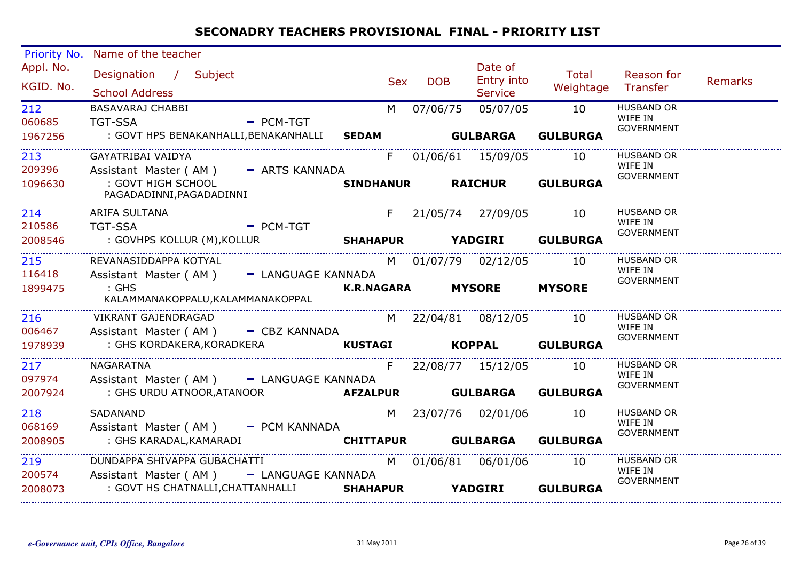| Appl. No.<br>Date of<br>Total<br>Designation / Subject<br>Reason for<br><b>Entry into</b><br><b>DOB</b><br><b>Sex</b><br>KGID. No.<br>Weightage Transfer<br><b>School Address</b><br><b>Service</b><br>05/07/05<br>10<br><b>HUSBAND OR</b><br>212<br>BASAVARAJ CHABBI<br>M<br>07/06/75<br>WIFE IN<br>- PCM-TGT<br>060685<br><b>TGT-SSA</b><br><b>GOVERNMENT</b><br><b>GULBARGA</b><br>: GOVT HPS BENAKANHALLI, BENAKANHALLI SEDAM<br><b>GULBURGA</b><br>1967256<br>01/06/61 15/09/05 10<br>HUSBAND OR<br>213<br>GAYATRIBAI VAIDYA<br>$F =$<br>WIFE IN<br>Assistant Master (AM) - ARTS KANNADA<br>209396<br><b>GOVERNMENT</b><br>RAICHUR GULBURGA<br>: GOVT HIGH SCHOOL<br><b>SINDHANUR</b><br>1096630<br>PAGADADINNI, PAGADADINNI<br><b>HUSBAND OR</b><br>214<br>ARIFA SULTANA<br>F 21/05/74 27/09/05 10<br>WIFE IN<br>210586<br><b>TGT-SSA</b><br>$=$ PCM-TGT<br><b>GOVERNMENT</b><br>SHAHAPUR YADGIRI GULBURGA<br>: GOVHPS KOLLUR (M),KOLLUR<br>2008546<br>REVANASIDDAPPA KOTYAL<br>M 01/07/79 02/12/05 10<br>HUSBAND OR<br>215<br>WIFE IN<br>116418<br>Assistant Master (AM) - LANGUAGE KANNADA<br><b>GOVERNMENT</b><br>K.R.NAGARA MYSORE MYSORE<br>$:$ GHS<br>1899475<br>KALAMMANAKOPPALU, KALAMMANAKOPPAL<br><b>HUSBAND OR</b><br>10<br>M 22/04/81 08/12/05<br>216<br>VIKRANT GAJENDRAGAD<br>WIFE IN<br>006467<br>Assistant Master (AM) - CBZ KANNADA<br><b>GOVERNMENT</b><br>KUSTAGI KOPPAL GULBURGA<br>: GHS KORDAKERA, KORADKERA<br>1978939<br><b>HUSBAND OR</b><br>217<br>NAGARATNA<br>F<br>22/08/77 15/12/05 10<br>WIFE IN<br>097974<br>Assistant Master (AM) - LANGUAGE KANNADA<br>GOVERNMENT<br>2007924<br><b>HUSBAND OR</b><br>218<br>SADANAND<br>M 23/07/76 02/01/06<br>10<br>WIFE IN<br>068169<br>Assistant Master (AM) - PCM KANNADA<br><b>GOVERNMENT</b><br>: GHS KARADAL, KAMARADI <b>CHITTAPUR GULBARGA GULBURGA</b><br>2008905<br>DUNDAPPA SHIVAPPA GUBACHATTI<br>01/06/81 06/01/06 10<br><b>HUSBAND OR</b><br>219<br>M<br>WIFE IN<br>200574<br>Assistant Master (AM) - LANGUAGE KANNADA<br><b>GOVERNMENT</b><br>: GOVT HS CHATNALLI, CHATTANHALLI SHAHAPUR YADGIRI GULBURGA<br>2008073 | <b>Priority No.</b> | Name of the teacher |  |  |         |
|-------------------------------------------------------------------------------------------------------------------------------------------------------------------------------------------------------------------------------------------------------------------------------------------------------------------------------------------------------------------------------------------------------------------------------------------------------------------------------------------------------------------------------------------------------------------------------------------------------------------------------------------------------------------------------------------------------------------------------------------------------------------------------------------------------------------------------------------------------------------------------------------------------------------------------------------------------------------------------------------------------------------------------------------------------------------------------------------------------------------------------------------------------------------------------------------------------------------------------------------------------------------------------------------------------------------------------------------------------------------------------------------------------------------------------------------------------------------------------------------------------------------------------------------------------------------------------------------------------------------------------------------------------------------------------------------------------------------------------------------------------------------------------------------------------------------------------------------------------------------------------------------------------------------------------------------------------------------------------------------------------------------------------------------------------------------------------------------------------------|---------------------|---------------------|--|--|---------|
|                                                                                                                                                                                                                                                                                                                                                                                                                                                                                                                                                                                                                                                                                                                                                                                                                                                                                                                                                                                                                                                                                                                                                                                                                                                                                                                                                                                                                                                                                                                                                                                                                                                                                                                                                                                                                                                                                                                                                                                                                                                                                                             |                     |                     |  |  | Remarks |
|                                                                                                                                                                                                                                                                                                                                                                                                                                                                                                                                                                                                                                                                                                                                                                                                                                                                                                                                                                                                                                                                                                                                                                                                                                                                                                                                                                                                                                                                                                                                                                                                                                                                                                                                                                                                                                                                                                                                                                                                                                                                                                             |                     |                     |  |  |         |
|                                                                                                                                                                                                                                                                                                                                                                                                                                                                                                                                                                                                                                                                                                                                                                                                                                                                                                                                                                                                                                                                                                                                                                                                                                                                                                                                                                                                                                                                                                                                                                                                                                                                                                                                                                                                                                                                                                                                                                                                                                                                                                             |                     |                     |  |  |         |
|                                                                                                                                                                                                                                                                                                                                                                                                                                                                                                                                                                                                                                                                                                                                                                                                                                                                                                                                                                                                                                                                                                                                                                                                                                                                                                                                                                                                                                                                                                                                                                                                                                                                                                                                                                                                                                                                                                                                                                                                                                                                                                             |                     |                     |  |  |         |
|                                                                                                                                                                                                                                                                                                                                                                                                                                                                                                                                                                                                                                                                                                                                                                                                                                                                                                                                                                                                                                                                                                                                                                                                                                                                                                                                                                                                                                                                                                                                                                                                                                                                                                                                                                                                                                                                                                                                                                                                                                                                                                             |                     |                     |  |  |         |
|                                                                                                                                                                                                                                                                                                                                                                                                                                                                                                                                                                                                                                                                                                                                                                                                                                                                                                                                                                                                                                                                                                                                                                                                                                                                                                                                                                                                                                                                                                                                                                                                                                                                                                                                                                                                                                                                                                                                                                                                                                                                                                             |                     |                     |  |  |         |
|                                                                                                                                                                                                                                                                                                                                                                                                                                                                                                                                                                                                                                                                                                                                                                                                                                                                                                                                                                                                                                                                                                                                                                                                                                                                                                                                                                                                                                                                                                                                                                                                                                                                                                                                                                                                                                                                                                                                                                                                                                                                                                             |                     |                     |  |  |         |
|                                                                                                                                                                                                                                                                                                                                                                                                                                                                                                                                                                                                                                                                                                                                                                                                                                                                                                                                                                                                                                                                                                                                                                                                                                                                                                                                                                                                                                                                                                                                                                                                                                                                                                                                                                                                                                                                                                                                                                                                                                                                                                             |                     |                     |  |  |         |
|                                                                                                                                                                                                                                                                                                                                                                                                                                                                                                                                                                                                                                                                                                                                                                                                                                                                                                                                                                                                                                                                                                                                                                                                                                                                                                                                                                                                                                                                                                                                                                                                                                                                                                                                                                                                                                                                                                                                                                                                                                                                                                             |                     |                     |  |  |         |
|                                                                                                                                                                                                                                                                                                                                                                                                                                                                                                                                                                                                                                                                                                                                                                                                                                                                                                                                                                                                                                                                                                                                                                                                                                                                                                                                                                                                                                                                                                                                                                                                                                                                                                                                                                                                                                                                                                                                                                                                                                                                                                             |                     |                     |  |  |         |
|                                                                                                                                                                                                                                                                                                                                                                                                                                                                                                                                                                                                                                                                                                                                                                                                                                                                                                                                                                                                                                                                                                                                                                                                                                                                                                                                                                                                                                                                                                                                                                                                                                                                                                                                                                                                                                                                                                                                                                                                                                                                                                             |                     |                     |  |  |         |
|                                                                                                                                                                                                                                                                                                                                                                                                                                                                                                                                                                                                                                                                                                                                                                                                                                                                                                                                                                                                                                                                                                                                                                                                                                                                                                                                                                                                                                                                                                                                                                                                                                                                                                                                                                                                                                                                                                                                                                                                                                                                                                             |                     |                     |  |  |         |
|                                                                                                                                                                                                                                                                                                                                                                                                                                                                                                                                                                                                                                                                                                                                                                                                                                                                                                                                                                                                                                                                                                                                                                                                                                                                                                                                                                                                                                                                                                                                                                                                                                                                                                                                                                                                                                                                                                                                                                                                                                                                                                             |                     |                     |  |  |         |
|                                                                                                                                                                                                                                                                                                                                                                                                                                                                                                                                                                                                                                                                                                                                                                                                                                                                                                                                                                                                                                                                                                                                                                                                                                                                                                                                                                                                                                                                                                                                                                                                                                                                                                                                                                                                                                                                                                                                                                                                                                                                                                             |                     |                     |  |  |         |
|                                                                                                                                                                                                                                                                                                                                                                                                                                                                                                                                                                                                                                                                                                                                                                                                                                                                                                                                                                                                                                                                                                                                                                                                                                                                                                                                                                                                                                                                                                                                                                                                                                                                                                                                                                                                                                                                                                                                                                                                                                                                                                             |                     |                     |  |  |         |
|                                                                                                                                                                                                                                                                                                                                                                                                                                                                                                                                                                                                                                                                                                                                                                                                                                                                                                                                                                                                                                                                                                                                                                                                                                                                                                                                                                                                                                                                                                                                                                                                                                                                                                                                                                                                                                                                                                                                                                                                                                                                                                             |                     |                     |  |  |         |
|                                                                                                                                                                                                                                                                                                                                                                                                                                                                                                                                                                                                                                                                                                                                                                                                                                                                                                                                                                                                                                                                                                                                                                                                                                                                                                                                                                                                                                                                                                                                                                                                                                                                                                                                                                                                                                                                                                                                                                                                                                                                                                             |                     |                     |  |  |         |
|                                                                                                                                                                                                                                                                                                                                                                                                                                                                                                                                                                                                                                                                                                                                                                                                                                                                                                                                                                                                                                                                                                                                                                                                                                                                                                                                                                                                                                                                                                                                                                                                                                                                                                                                                                                                                                                                                                                                                                                                                                                                                                             |                     |                     |  |  |         |
|                                                                                                                                                                                                                                                                                                                                                                                                                                                                                                                                                                                                                                                                                                                                                                                                                                                                                                                                                                                                                                                                                                                                                                                                                                                                                                                                                                                                                                                                                                                                                                                                                                                                                                                                                                                                                                                                                                                                                                                                                                                                                                             |                     |                     |  |  |         |
|                                                                                                                                                                                                                                                                                                                                                                                                                                                                                                                                                                                                                                                                                                                                                                                                                                                                                                                                                                                                                                                                                                                                                                                                                                                                                                                                                                                                                                                                                                                                                                                                                                                                                                                                                                                                                                                                                                                                                                                                                                                                                                             |                     |                     |  |  |         |
|                                                                                                                                                                                                                                                                                                                                                                                                                                                                                                                                                                                                                                                                                                                                                                                                                                                                                                                                                                                                                                                                                                                                                                                                                                                                                                                                                                                                                                                                                                                                                                                                                                                                                                                                                                                                                                                                                                                                                                                                                                                                                                             |                     |                     |  |  |         |
|                                                                                                                                                                                                                                                                                                                                                                                                                                                                                                                                                                                                                                                                                                                                                                                                                                                                                                                                                                                                                                                                                                                                                                                                                                                                                                                                                                                                                                                                                                                                                                                                                                                                                                                                                                                                                                                                                                                                                                                                                                                                                                             |                     |                     |  |  |         |
|                                                                                                                                                                                                                                                                                                                                                                                                                                                                                                                                                                                                                                                                                                                                                                                                                                                                                                                                                                                                                                                                                                                                                                                                                                                                                                                                                                                                                                                                                                                                                                                                                                                                                                                                                                                                                                                                                                                                                                                                                                                                                                             |                     |                     |  |  |         |
|                                                                                                                                                                                                                                                                                                                                                                                                                                                                                                                                                                                                                                                                                                                                                                                                                                                                                                                                                                                                                                                                                                                                                                                                                                                                                                                                                                                                                                                                                                                                                                                                                                                                                                                                                                                                                                                                                                                                                                                                                                                                                                             |                     |                     |  |  |         |
|                                                                                                                                                                                                                                                                                                                                                                                                                                                                                                                                                                                                                                                                                                                                                                                                                                                                                                                                                                                                                                                                                                                                                                                                                                                                                                                                                                                                                                                                                                                                                                                                                                                                                                                                                                                                                                                                                                                                                                                                                                                                                                             |                     |                     |  |  |         |
|                                                                                                                                                                                                                                                                                                                                                                                                                                                                                                                                                                                                                                                                                                                                                                                                                                                                                                                                                                                                                                                                                                                                                                                                                                                                                                                                                                                                                                                                                                                                                                                                                                                                                                                                                                                                                                                                                                                                                                                                                                                                                                             |                     |                     |  |  |         |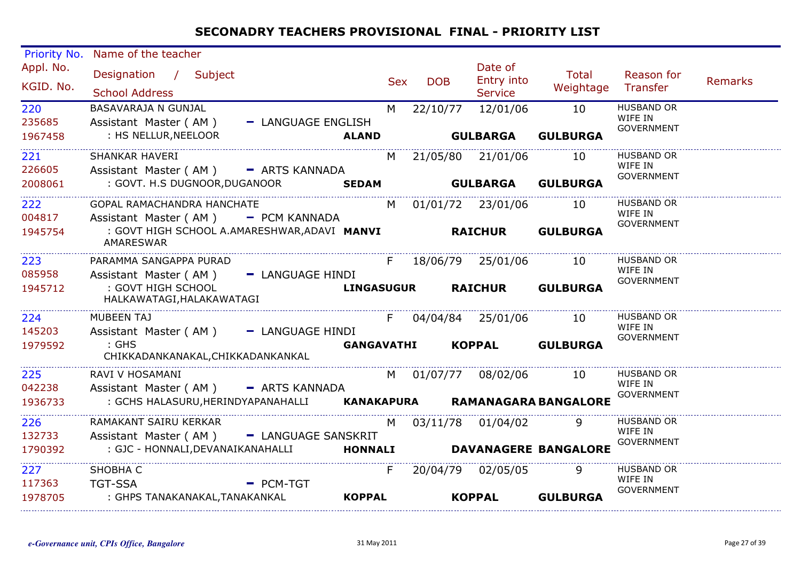| <b>Priority No.</b>    | Name of the teacher                                                       |                   |                |            |                                         |                      |                                                   |         |
|------------------------|---------------------------------------------------------------------------|-------------------|----------------|------------|-----------------------------------------|----------------------|---------------------------------------------------|---------|
| Appl. No.<br>KGID. No. | Designation / Subject<br><b>School Address</b>                            |                   | <b>Sex</b>     | <b>DOB</b> | Date of<br>Entry into<br><b>Service</b> | Total<br>Weightage   | Reason for<br>Transfer                            | Remarks |
| 220<br>235685          | BASAVARAJA N GUNJAL<br>Assistant Master (AM)<br>- LANGUAGE ENGLISH        |                   | M <sub>N</sub> | 22/10/77   | 12/01/06                                | 10                   | <b>HUSBAND OR</b><br>WIFE IN<br><b>GOVERNMENT</b> |         |
| 1967458                | : HS NELLUR, NEELOOR                                                      | <b>ALAND</b>      |                |            | <b>GULBARGA</b>                         | <b>GULBURGA</b>      |                                                   |         |
| 221<br>226605          | SHANKAR HAVERI<br>Assistant Master (AM) - ARTS KANNADA                    |                   |                |            | M 21/05/80 21/01/06                     | 10                   | <b>HUSBAND OR</b><br>WIFE IN<br><b>GOVERNMENT</b> |         |
| 2008061                | : GOVT. H.S DUGNOOR, DUGANOOR SEDAM                                       |                   |                |            | <b>GULBARGA</b>                         | <b>GULBURGA</b>      |                                                   |         |
| 222<br>004817          | GOPAL RAMACHANDRA HANCHATE<br>Assistant Master (AM) - PCM KANNADA         |                   |                |            | M 01/01/72 23/01/06                     | 10                   | <b>HUSBAND OR</b><br>WIFE IN                      |         |
| 1945754                | : GOVT HIGH SCHOOL A.AMARESHWAR, ADAVI MANVI RAICHUR<br>AMARESWAR         |                   |                |            |                                         | <b>GULBURGA</b>      | GOVERNMENT                                        |         |
| 223<br>085958          | PARAMMA SANGAPPA PURAD<br>Assistant Master (AM) - LANGUAGE HINDI          |                   | F              |            | 18/06/79 25/01/06                       | 10                   | <b>HUSBAND OR</b><br>WIFE IN<br><b>GOVERNMENT</b> |         |
| 1945712                | : GOVT HIGH SCHOOL<br>HALKAWATAGI, HALAKAWATAGI                           | LINGASUGUR        |                |            | <b>RAICHUR</b>                          | <b>GULBURGA</b>      |                                                   |         |
| 224<br>145203          | <b>MUBEEN TAJ</b><br>Assistant Master (AM) - LANGUAGE HINDI               |                   |                |            | F 04/04/84 25/01/06 10                  |                      | <b>HUSBAND OR</b><br>WIFE IN                      |         |
| 1979592                | $\mathrel{\mathsf{:=}} \mathsf{GHS}$<br>CHIKKADANKANAKAL, CHIKKADANKANKAL | <b>GANGAVATHI</b> |                |            |                                         | KOPPAL GULBURGA      | <b>GOVERNMENT</b>                                 |         |
| 225<br>042238          | RAVI V HOSAMANI<br>Assistant Master (AM) - ARTS KANNADA                   |                   |                |            | M 01/07/77 08/02/06                     | 10                   | <b>HUSBAND OR</b><br>WIFE IN<br>GOVERNMENT        |         |
| 1936733                | : GCHS HALASURU, HERINDYAPANAHALLI KANAKAPURA RAMANAGARA BANGALORE        |                   |                |            |                                         |                      |                                                   |         |
| 226<br>132733          | RAMAKANT SAIRU KERKAR<br>Assistant Master (AM) - LANGUAGE SANSKRIT        |                   |                |            | M 03/11/78 01/04/02                     | 9                    | <b>HUSBAND OR</b><br>WIFE IN<br><b>GOVERNMENT</b> |         |
| 1790392                | : GJC - HONNALI, DEVANAIKANAHALLI                                         | <b>HONNALI</b>    |                |            |                                         | DAVANAGERE BANGALORE |                                                   |         |
| 227<br>117363          | SHOBHA C<br>TGT-SSA<br>$-$ PCM-TGT                                        |                   | F.             |            | 20/04/79 02/05/05                       | 9                    | <b>HUSBAND OR</b><br>WIFE IN                      |         |
| 1978705                | : GHPS TANAKANAKAL,TANAKANKAL                                             | <b>KOPPAL</b>     |                |            | <b>KOPPAL</b>                           | <b>GULBURGA</b>      | <b>GOVERNMENT</b>                                 |         |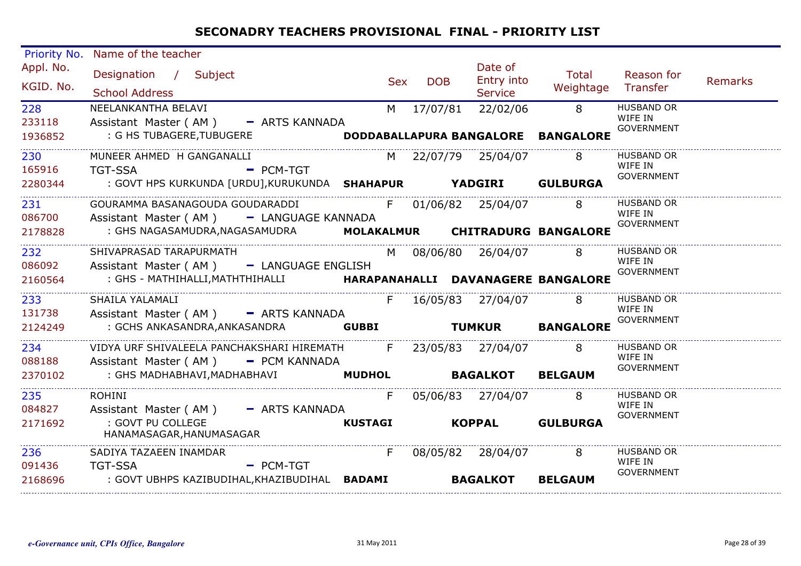| <b>Priority No.</b>    | Name of the teacher                                                             |    |                   |                                         |                             |                       |         |
|------------------------|---------------------------------------------------------------------------------|----|-------------------|-----------------------------------------|-----------------------------|-----------------------|---------|
| Appl. No.<br>KGID. No. | Designation / Subject<br><b>School Address</b>                                  |    | <b>DOB</b><br>Sex | Date of<br>Entry into<br><b>Service</b> | Total<br>Weightage Transfer | Reason for            | Remarks |
| 228                    | NEELANKANTHA BELAVI                                                             |    |                   | M 17/07/81 22/02/06 8                   |                             | <b>HUSBAND OR</b>     |         |
| 233118                 | Assistant Master (AM) - ARTS KANNADA                                            |    |                   |                                         |                             | WIFE IN<br>GOVERNMENT |         |
| 1936852                | : G HS TUBAGERE, TUBUGERE <b>DODDABALLAPURA BANGALORE BANGALORE</b>             |    |                   |                                         |                             |                       |         |
| 230                    | MUNEER AHMED H GANGANALLI                                                       |    |                   | M 22/07/79 25/04/07 8                   |                             | <b>HUSBAND OR</b>     |         |
| 165916                 | $=$ PCM-TGT<br><b>TGT-SSA</b>                                                   |    |                   |                                         |                             | WIFE IN<br>GOVERNMENT |         |
| 2280344                | : GOVT HPS KURKUNDA [URDU],KURUKUNDA SHAHAPUR YADGIRI GULBURGA                  |    |                   |                                         |                             |                       |         |
| 231                    | COURAMMA BASANAGOUDA GOUDARADDI F 01/06/82 25/04/07 8                           |    |                   |                                         |                             | <b>HUSBAND OR</b>     |         |
| 086700                 | Assistant Master (AM) - LANGUAGE KANNADA                                        |    |                   |                                         |                             | WIFE IN               |         |
| 2178828                | : GHS NAGASAMUDRA, NAGASAMUDRA MOLAKALMUR CHITRADURG BANGALORE                  |    |                   |                                         |                             | GOVERNMENT            |         |
| 232                    | SHIVAPRASAD TARAPURMATH                                                         |    |                   | M 08/06/80 26/04/07 8                   |                             | <b>HUSBAND OR</b>     |         |
| 086092                 | Assistant Master (AM) - LANGUAGE ENGLISH                                        |    |                   |                                         |                             | WIFE IN<br>GOVERNMENT |         |
| 2160564                | : GHS - MATHIHALLI, MATHTHIHALLI             HARAPANAHALLI DAVANAGERE BANGALORE |    |                   |                                         |                             |                       |         |
| 233                    | SHAILA YALAMALI                                                                 |    |                   | F 16/05/83 27/04/07 8                   |                             | HUSBAND OR            |         |
| 131738                 | Assistant Master (AM) - ARTS KANNADA                                            |    |                   |                                         |                             | WIFE IN               |         |
| 2124249                |                                                                                 |    |                   |                                         |                             | <b>GOVERNMENT</b>     |         |
| 234                    | VIDYA URF SHIVALEELA PANCHAKSHARI HIREMATH F 23/05/83 27/04/07 8                |    |                   |                                         |                             | <b>HUSBAND OR</b>     |         |
| 088188                 | Assistant Master (AM) - PCM KANNADA                                             |    |                   |                                         |                             | WIFE IN<br>GOVERNMENT |         |
| 2370102                | : GHS MADHABHAVI, MADHABHAVI <b>MUDHOL BAGALKOT BELGAUM</b>                     |    |                   |                                         |                             |                       |         |
| 235                    | ROHINI                                                                          | F. |                   | 05/06/83 27/04/07 8                     |                             | <b>HUSBAND OR</b>     |         |
| 084827                 | Assistant Master (AM) - ARTS KANNADA                                            |    |                   |                                         |                             | WIFE IN<br>GOVERNMENT |         |
| 2171692                | : GOVT PU COLLEGE<br>HANAMASAGAR,HANUMASAGAR                                    |    |                   |                                         | KUSTAGI KOPPAL GULBURGA     |                       |         |
| 236 236                | SADIYA TAZAEEN INAMDAR                                                          | F  |                   |                                         | 08/05/82 28/04/07 8         | <b>HUSBAND OR</b>     |         |
| 091436 TGT-SSA         | $-$ PCM-TGT                                                                     |    |                   |                                         |                             | WIFE IN<br>GOVERNMENT |         |
| 2168696                | : GOVT UBHPS KAZIBUDIHAL, KHAZIBUDIHAL BADAMI BAGALKOT                          |    |                   |                                         | <b>BELGAUM</b>              |                       |         |
|                        |                                                                                 |    |                   |                                         |                             |                       |         |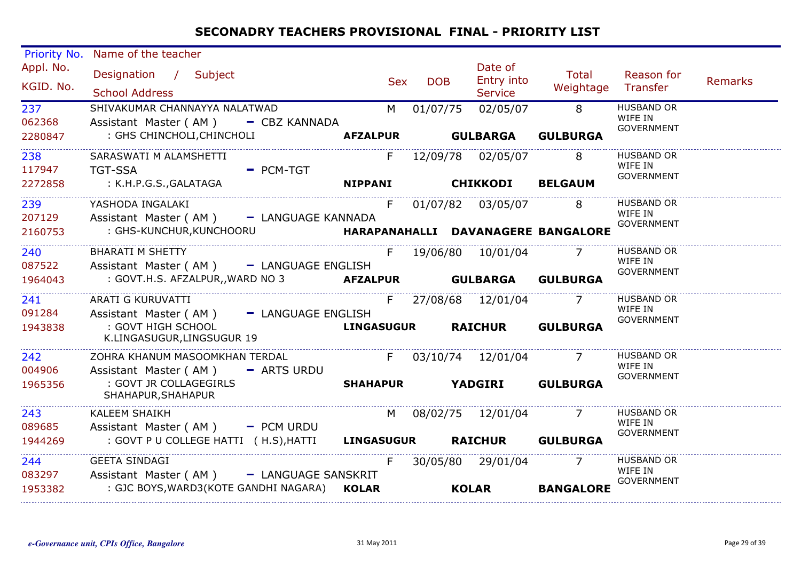| Priority No. | Name of the teacher                              |                    |                   |            |            |                       |                                    |                              |         |
|--------------|--------------------------------------------------|--------------------|-------------------|------------|------------|-----------------------|------------------------------------|------------------------------|---------|
| Appl. No.    | Designation / Subject                            |                    |                   | <b>Sex</b> | <b>DOB</b> | Date of<br>Entry into | Total                              | Reason for                   | Remarks |
| KGID. No.    | <b>School Address</b>                            |                    |                   |            |            | <b>Service</b>        | Weightage                          | Transfer                     |         |
| 237          | SHIVAKUMAR CHANNAYYA NALATWAD                    |                    |                   | M          | 01/07/75   | 02/05/07              | 8                                  | <b>HUSBAND OR</b><br>WIFE IN |         |
| 062368       | Assistant Master (AM) - CBZ KANNADA              |                    |                   |            |            |                       |                                    | <b>GOVERNMENT</b>            |         |
| 2280847      | : GHS CHINCHOLI, CHINCHOLI                       |                    | <b>AFZALPUR</b>   |            |            | <b>GULBARGA</b>       | <b>GULBURGA</b>                    |                              |         |
| 238          | SARASWATI M ALAMSHETTI                           |                    |                   | F          |            | 12/09/78 02/05/07     | 8                                  | <b>HUSBAND OR</b>            |         |
| 117947       | <b>TGT-SSA</b>                                   | - PCM-TGT          |                   |            |            |                       |                                    | WIFE IN<br><b>GOVERNMENT</b> |         |
| 2272858      | : K.H.P.G.S.,GALATAGA                            |                    | <b>NIPPANI</b>    |            |            | <b>CHIKKODI</b>       | <b>BELGAUM</b>                     |                              |         |
| 239          | YASHODA INGALAKI                                 |                    |                   | F.         |            | 01/07/82 03/05/07     | 8                                  | <b>HUSBAND OR</b>            |         |
| 207129       | Assistant Master (AM) - LANGUAGE KANNADA         |                    |                   |            |            |                       |                                    | WIFE IN<br><b>GOVERNMENT</b> |         |
| 2160753      | : GHS-KUNCHUR, KUNCHOORU                         |                    |                   |            |            |                       | HARAPANAHALLI DAVANAGERE BANGALORE |                              |         |
| 240          | <b>BHARATI M SHETTY</b>                          |                    |                   |            |            | F 19/06/80 10/01/04   | $\overline{7}$                     | <b>HUSBAND OR</b>            |         |
| 087522       | Assistant Master (AM) - LANGUAGE ENGLISH         |                    |                   |            |            |                       |                                    | WIFE IN<br><b>GOVERNMENT</b> |         |
| 1964043      | : GOVT.H.S. AFZALPUR,, WARD NO 3                 |                    | <b>AFZALPUR</b>   |            |            | <b>GULBARGA</b>       | <b>GULBURGA</b>                    |                              |         |
| 241          | ARATI G KURUVATTI                                |                    |                   | F.         |            | 27/08/68 12/01/04     |                                    | <b>HUSBAND OR</b>            |         |
| 091284       | Assistant Master (AM)                            | - LANGUAGE ENGLISH |                   |            |            |                       |                                    | WIFE IN<br><b>GOVERNMENT</b> |         |
| 1943838      | : GOVT HIGH SCHOOL<br>K.LINGASUGUR, LINGSUGUR 19 |                    | <b>LINGASUGUR</b> |            |            | <b>RAICHUR</b>        | <b>GULBURGA</b>                    |                              |         |
| 242          | ZOHRA KHANUM MASOOMKHAN TERDAL                   |                    |                   | F          |            | 03/10/74 12/01/04     |                                    | <b>HUSBAND OR</b><br>WIFE IN |         |
| 004906       | Assistant Master (AM)                            | - ARTS URDU        |                   |            |            |                       |                                    | <b>GOVERNMENT</b>            |         |
| 1965356      | : GOVT JR COLLAGEGIRLS<br>SHAHAPUR, SHAHAPUR     |                    | <b>SHAHAPUR</b>   |            |            | <b>YADGIRI</b>        | <b>GULBURGA</b>                    |                              |         |
| 243          | KALEEM SHAIKH                                    |                    |                   | M          |            | 08/02/75 12/01/04     | 7                                  | <b>HUSBAND OR</b>            |         |
| 089685       | Assistant Master (AM)                            | $=$ PCM URDU       |                   |            |            |                       |                                    | WIFE IN<br><b>GOVERNMENT</b> |         |
| 1944269      | : GOVT P U COLLEGE HATTI ( H.S), HATTI           |                    | <b>LINGASUGUR</b> |            |            | <b>RAICHUR</b>        | <b>GULBURGA</b>                    |                              |         |
| 244          | <b>GEETA SINDAGI</b>                             |                    |                   | F          |            | 30/05/80 29/01/04     |                                    | <b>HUSBAND OR</b>            |         |
| 083297       | Assistant Master (AM) - LANGUAGE SANSKRIT        |                    |                   |            |            |                       |                                    | WIFE IN<br><b>GOVERNMENT</b> |         |
| 1953382      | : GJC BOYS, WARD3 (KOTE GANDHI NAGARA) KOLAR     |                    |                   |            |            | <b>KOLAR</b>          | <b>BANGALORE</b>                   |                              |         |
|              |                                                  |                    |                   |            |            |                       |                                    |                              |         |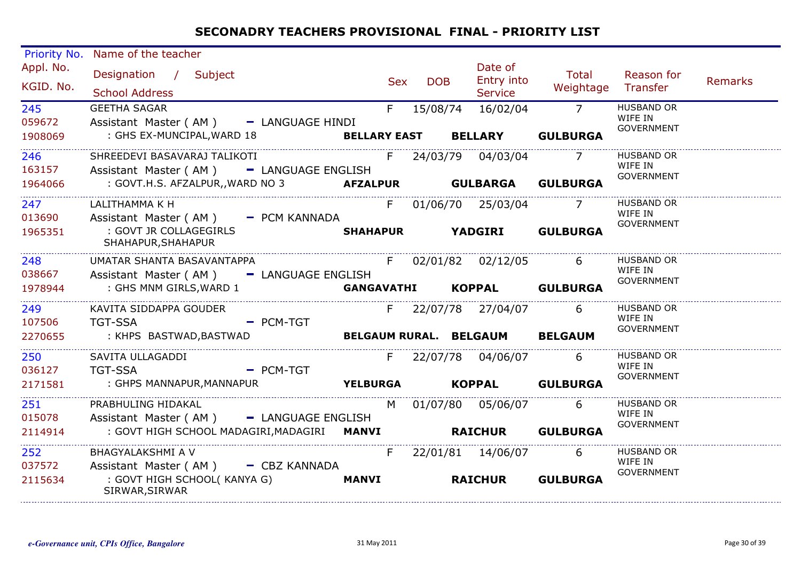| <b>Priority No.</b> | Name of the teacher                                                   |     |            |                         |                                |                              |         |
|---------------------|-----------------------------------------------------------------------|-----|------------|-------------------------|--------------------------------|------------------------------|---------|
| Appl. No.           | Designation / Subject                                                 | Sex | <b>DOB</b> | Date of<br>Entry into   | Total                          | Reason for                   | Remarks |
| KGID. No.           | <b>School Address</b>                                                 |     |            | <b>Service</b>          | Weightage Transfer             |                              |         |
| 245                 | <b>GEETHA SAGAR</b>                                                   |     | F 15/08/74 | 16/02/04 7              |                                | <b>HUSBAND OR</b><br>WIFE IN |         |
| 059672              | Assistant Master (AM) - LANGUAGE HINDI                                |     |            |                         |                                | <b>GOVERNMENT</b>            |         |
| 1908069             | : GHS EX-MUNCIPAL, WARD 18 BELLARY EAST                               |     |            | <b>BELLARY</b>          | <b>GULBURGA</b>                |                              |         |
| 246                 | SHREEDEVI BASAVARAJ TALIKOTI                                          |     |            | F 24/03/79 04/03/04 7   |                                | <b>HUSBAND OR</b><br>WIFE IN |         |
| 163157              | Assistant Master (AM) - LANGUAGE ENGLISH                              |     |            |                         |                                | GOVERNMENT                   |         |
| 1964066             | : GOVT.H.S. AFZALPUR,,WARD NO 3 <b>AFZALPUR GULBARGA</b>              |     |            |                         | <b>GULBURGA</b>                |                              |         |
| 247                 | LALITHAMMA K H                                                        |     |            | F 01/06/70 25/03/04 7   |                                | <b>HUSBAND OR</b>            |         |
| 013690              | Assistant Master (AM) - PCM KANNADA                                   |     |            |                         |                                | WIFE IN<br>GOVERNMENT        |         |
| 1965351             | : GOVT JR COLLAGEGIRLS<br>SHAHAPUR, SHAHAPUR                          |     |            | <b>SHAHAPUR YADGIRI</b> | <b>GULBURGA</b>                |                              |         |
| 248                 | UMATAR SHANTA BASAVANTAPPA                                            |     |            |                         | F 02/01/82 02/12/05 6          | <b>HUSBAND OR</b>            |         |
| 038667              | Assistant Master (AM) - LANGUAGE ENGLISH                              |     |            |                         |                                | WIFE IN<br><b>GOVERNMENT</b> |         |
| 1978944             | : GHS MNM GIRLS, WARD 1                                               |     |            |                         | GANGAVATHI KOPPAL GULBURGA     |                              |         |
| 249                 | KAVITA SIDDAPPA GOUDER                                                |     |            | F 22/07/78 27/04/07     | 6                              | <b>HUSBAND OR</b>            |         |
| 107506              | <b>TGT-SSA</b><br>$-$ PCM-TGT                                         |     |            |                         |                                | WIFE IN<br><b>GOVERNMENT</b> |         |
| 2270655             | : KHPS BASTWAD,BASTWAD                                                |     |            |                         | BELGAUM RURAL. BELGAUM BELGAUM |                              |         |
| 250                 | SAVITA ULLAGADDI                                                      |     |            | F 22/07/78 04/06/07 6   |                                | <b>HUSBAND OR</b>            |         |
| 036127              | <b>TGT-SSA</b><br>$-$ PCM-TGT                                         |     |            |                         |                                | WIFE IN<br><b>GOVERNMENT</b> |         |
| 2171581             | <b>YELBURGA</b><br>: GHPS MANNAPUR, MANNAPUR                          |     |            |                         | KOPPAL GULBURGA                |                              |         |
| 251                 | PRABHULING HIDAKAL                                                    |     |            | M 01/07/80 05/06/07     | -6                             | <b>HUSBAND OR</b>            |         |
| 015078              | Assistant Master (AM) - LANGUAGE ENGLISH                              |     |            |                         |                                | WIFE IN<br><b>GOVERNMENT</b> |         |
| 2114914             | : GOVT HIGH SCHOOL MADAGIRI, MADAGIRI    MANVI    NAICHUR    GULBURGA |     |            |                         |                                |                              |         |
| 252                 | BHAGYALAKSHMI A V                                                     |     |            | F 22/01/81 14/06/07     | 6                              | <b>HUSBAND OR</b>            |         |
| 037572              | Assistant Master (AM) - CBZ KANNADA                                   |     |            |                         |                                | WIFE IN                      |         |
| 2115634             | : GOVT HIGH SCHOOL(KANYA G)<br><b>MANVI</b><br>SIRWAR, SIRWAR         |     |            | <b>RAICHUR</b>          | <b>GULBURGA</b>                | <b>GOVERNMENT</b>            |         |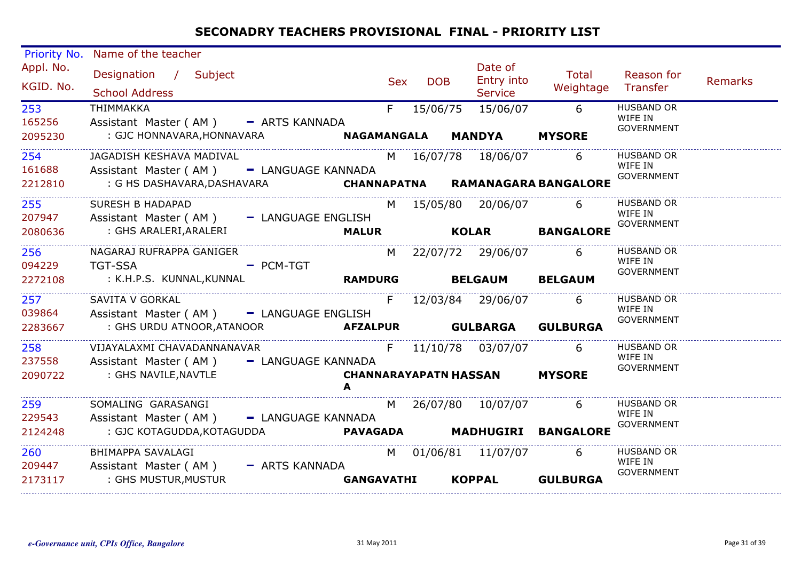| <b>Priority No.</b>    | Name of the teacher                                                                                  |            |            |                                         |                       |                                                   |         |
|------------------------|------------------------------------------------------------------------------------------------------|------------|------------|-----------------------------------------|-----------------------|---------------------------------------------------|---------|
| Appl. No.<br>KGID. No. | Designation / Subject<br><b>School Address</b>                                                       | <b>Sex</b> | <b>DOB</b> | Date of<br>Entry into<br><b>Service</b> | Total<br>Weightage    | Reason for<br>Transfer                            | Remarks |
| 253<br>165256          | THIMMAKKA<br>Assistant Master (AM) - ARTS KANNADA                                                    | F          | 15/06/75   | 15/06/07                                | $^-$ 6                | <b>HUSBAND OR</b><br>WIFE IN<br><b>GOVERNMENT</b> |         |
| 2095230                | : GJC HONNAVARA, HONNAVARA <b>NAGAMANGALA MANDYA MYSORE</b>                                          |            |            |                                         |                       |                                                   |         |
| 254<br>161688          | JAGADISH KESHAVA MADIVAL<br>Assistant Master (AM) - LANGUAGE KANNADA                                 |            |            | M 16/07/78 18/06/07 6                   |                       | <b>HUSBAND OR</b><br>WIFE IN                      |         |
| 2212810                | : G HS DASHAVARA, DASHAVARA <b>CHANNAPATNA RAMANAGARA BANGALORE</b>                                  |            |            |                                         |                       | GOVERNMENT                                        |         |
| 255<br>207947          | <b>SURESH B HADAPAD</b><br>Assistant Master (AM) - LANGUAGE ENGLISH                                  |            |            | M 15/05/80 20/06/07 6                   |                       | <b>HUSBAND OR</b><br>WIFE IN                      |         |
| 2080636                | Assistant Master(AM)    LANGUAGE ENGLISH<br>GHS ARALERI,ARALERI <b>MALUR      KOLAR    BANGALORE</b> |            |            |                                         |                       | GOVERNMENT                                        |         |
| 256<br>094229          | NAGARAJ RUFRAPPA GANIGER<br>TGT-SSA PCM-TGT                                                          |            |            | M 22/07/72 29/06/07 6                   |                       | <b>HUSBAND OR</b><br>WIFE IN                      |         |
| 2272108                | : K.H.P.S. KUNNAL,KUNNAL <b>RAMDURG BELGAUM BELGAUM</b>                                              |            |            |                                         |                       | GOVERNMENT                                        |         |
| 257<br>039864          | SAVITA V GORKAL<br>Assistant Master (AM) - LANGUAGE ENGLISH                                          |            |            | F 12/03/84 29/06/07 6                   |                       | <b>HUSBAND OR</b><br>WIFE IN                      |         |
| 2283667                | : GHS URDU ATNOOR, ATANOOR <b>AFZALPUR</b> GULBARGA GULBURGA                                         |            |            |                                         |                       | GOVERNMENT                                        |         |
| 258 31<br>237558       | VIJAYALAXMI CHAVADANNANAVAR<br>Assistant Master (AM) - LANGUAGE KANNADA                              |            |            | F 11/10/78 03/07/07                     | -6                    | <b>HUSBAND OR</b><br>WIFE IN                      |         |
| 2090722                | : GHS NAVILE, NAVTLE                                                                                 |            |            | <b>CHANNARAYAPATN HASSAN MYSORE</b>     |                       | GOVERNMENT                                        |         |
| 259<br>229543          | SOMALING GARASANGI NAMARA SOMALING SARASANGI                                                         |            |            |                                         | M 26/07/80 10/07/07 6 | <b>HUSBAND OR</b><br>WIFE IN                      |         |
| 2124248                |                                                                                                      |            |            |                                         |                       | GOVERNMENT                                        |         |
| 260<br>209447          | BHIMAPPA SAVALAGI                                                                                    |            |            | M 01/06/81 11/07/07 6                   |                       | <b>HUSBAND OR</b><br>WIFE IN                      |         |
| 2173117                | Assistant Master (AM) - ARTS KANNADA<br>: GHS MUSTUR, MUSTUR                                         | GANGAVATHI |            |                                         | KOPPAL GULBURGA       | <b>GOVERNMENT</b>                                 |         |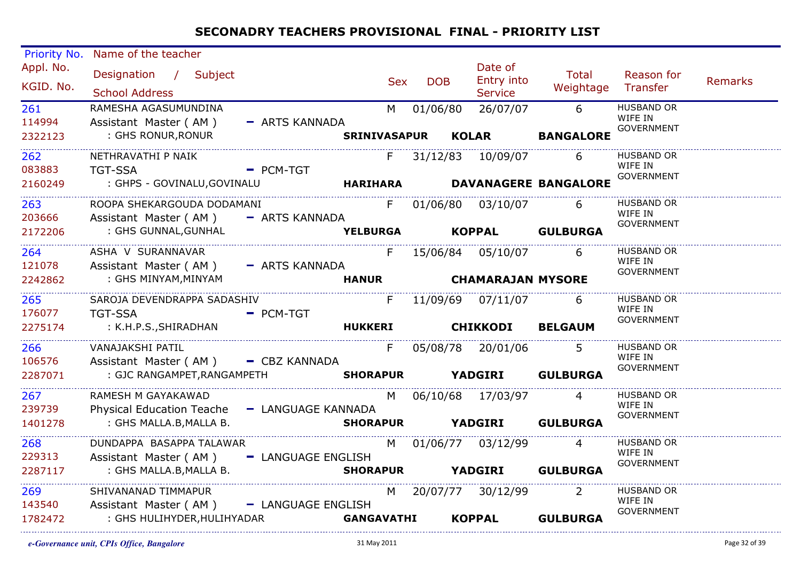| <b>Priority No.</b><br>Appl. No.<br>KGID. No.<br>261<br>114994<br>2322123<br>262<br>083883<br>2160249 | Name of the teacher<br>Designation / Subject<br><b>School Address</b><br>RAMESHA AGASUMUNDINA<br>Assistant Master (AM)<br>: GHS RONUR, RONUR<br>NETHRAVATHI P NAIK<br><b>TGT-SSA</b><br>: GHPS - GOVINALU,GOVINALU | - ARTS KANNADA<br>- PCM-TGT             | $F =$           | <b>DOB</b><br><b>Sex</b><br>M 01/06/80 | Date of<br>Entry into<br><b>Service</b><br>26/07/07<br>SRINIVASAPUR KOLAR<br>31/12/83 10/09/07 | Total<br>Weightage Transfer<br>$6\overline{6}$<br><b>BANGALORE</b><br>6<br>HARIHARA DAVANAGERE BANGALORE | Reason for<br><b>HUSBAND OR</b><br>WIFE IN<br><b>GOVERNMENT</b><br><b>HUSBAND OR</b><br>WIFE IN<br><b>GOVERNMENT</b> | Remarks |
|-------------------------------------------------------------------------------------------------------|--------------------------------------------------------------------------------------------------------------------------------------------------------------------------------------------------------------------|-----------------------------------------|-----------------|----------------------------------------|------------------------------------------------------------------------------------------------|----------------------------------------------------------------------------------------------------------|----------------------------------------------------------------------------------------------------------------------|---------|
| 263<br>203666<br>2172206                                                                              | ROOPA SHEKARGOUDA DODAMANI<br>Assistant Master (AM) - ARTS KANNADA<br>: GHS GUNNAL, GUNHAL                                                                                                                         |                                         | <b>YELBURGA</b> |                                        | F 01/06/80 03/10/07 6                                                                          | KOPPAL GULBURGA                                                                                          | <b>HUSBAND OR</b><br>WIFE IN<br><b>GOVERNMENT</b>                                                                    |         |
| 264<br>121078<br>2242862                                                                              | ASHA V SURANNAVAR<br>Assistant Master (AM) - ARTS KANNADA<br>: GHS MINYAM,MINYAM                                                                                                                                   |                                         |                 |                                        | F 15/06/84 05/10/07 6<br>HANUR CHAMARAJAN MYSORE                                               |                                                                                                          | <b>HUSBAND OR</b><br>WIFE IN<br>GOVERNMENT                                                                           |         |
| 265<br>176077<br>2275174                                                                              | SAROJA DEVENDRAPPA SADASHIV<br><b>TGT-SSA</b><br>: K.H.P.S.,SHIRADHAN                                                                                                                                              | $-$ PCM-TGT<br>HUKKERI CHIKKODI BELGAUM |                 |                                        | F 11/09/69 07/11/07                                                                            | 6                                                                                                        | <b>HUSBAND OR</b><br>WIFE IN<br><b>GOVERNMENT</b>                                                                    |         |
| 266<br>106576<br>2287071                                                                              | VANAJAKSHI PATIL<br>Assistant Master (AM) - CBZ KANNADA<br>: GJC RANGAMPET, RANGAMPETH SHORAPUR                                                                                                                    |                                         | F               |                                        | 05/08/78 20/01/06                                                                              | <b>YADGIRI GULBURGA</b>                                                                                  | <b>HUSBAND OR</b><br>WIFE IN<br>GOVERNMENT                                                                           |         |
| 267<br>239739<br>1401278                                                                              | RAMESH M GAYAKAWAD<br>Physical Education Teache - LANGUAGE KANNADA<br>: GHS MALLA.B, MALLA B.                                                                                                                      |                                         |                 |                                        | M 06/10/68 17/03/97 4                                                                          | SHORAPUR YADGIRI GULBURGA                                                                                | <b>HUSBAND OR</b><br>WIFE IN<br><b>GOVERNMENT</b>                                                                    |         |
| 268<br>229313<br>2287117                                                                              | DUNDAPPA BASAPPA TALAWAR<br>Assistant Master (AM) - LANGUAGE ENGLISH<br>: GHS MALLA.B, MALLA B.                                                                                                                    |                                         |                 |                                        | M 01/06/77 03/12/99                                                                            | $\overline{4}$<br>SHORAPUR YADGIRI GULBURGA                                                              | <b>HUSBAND OR</b><br>WIFE IN<br>GOVERNMENT                                                                           |         |
| 269<br>143540<br>1782472                                                                              | SHIVANANAD TIMMAPUR<br>Assistant Master (AM) - LANGUAGE ENGLISH<br>: GHS HULIHYDER,HULIHYADAR                          GANGAVATHI         KOPPAL            GULBURGA                                               |                                         |                 |                                        | M 20/07/77 30/12/99                                                                            | $\overline{2}$                                                                                           | HUSBAND OR<br>WIFE IN<br><b>GOVERNMENT</b>                                                                           |         |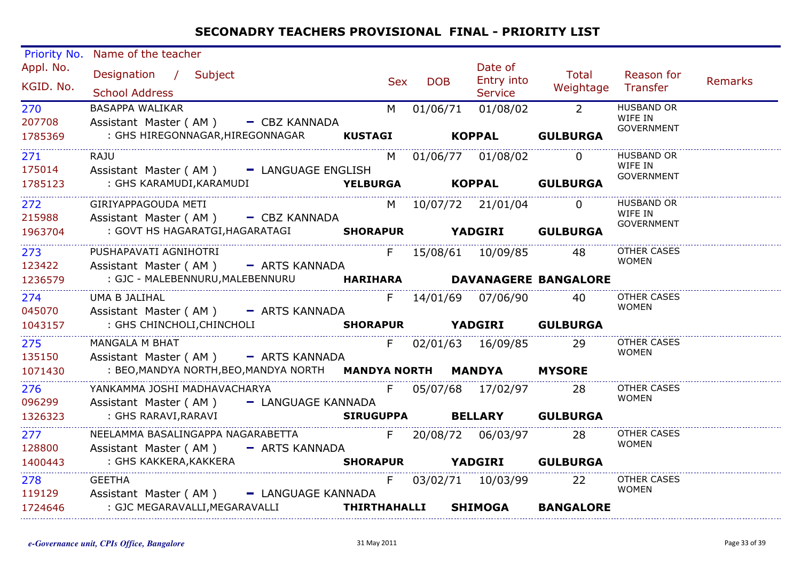| <b>Priority No.</b>    | Name of the teacher                                                                                     |                |            |                                 |                             |                              |         |
|------------------------|---------------------------------------------------------------------------------------------------------|----------------|------------|---------------------------------|-----------------------------|------------------------------|---------|
| Appl. No.<br>KGID. No. | Designation / Subject                                                                                   | <b>Sex</b>     | <b>DOB</b> | Date of<br>Entry into           | Total<br>Weightage Transfer | Reason for                   | Remarks |
|                        | <b>School Address</b>                                                                                   |                |            | <b>Service</b>                  |                             |                              |         |
| 270                    | <b>BASAPPA WALIKAR</b>                                                                                  | M <sub>1</sub> | 01/06/71   | $01/08/02$ 2                    |                             | <b>HUSBAND OR</b><br>WIFE IN |         |
| 207708                 | Assistant Master (AM) - CBZ KANNADA                                                                     |                |            |                                 |                             | <b>GOVERNMENT</b>            |         |
| 1785369                | : GHS HIREGONNAGAR, HIREGONNAGAR KUSTAGI                                                                |                |            | KOPPAL GULBURGA                 |                             |                              |         |
| 271                    | RAJU                                                                                                    |                |            | M 01/06/77 01/08/02 0           |                             | <b>HUSBAND OR</b>            |         |
| 175014                 | Assistant Master (AM) - LANGUAGE ENGLISH                                                                |                |            |                                 |                             | WIFE IN                      |         |
| 1785123                | : GHS KARAMUDI,KARAMUDI                                                                                 |                |            | <b>YELBURGA KOPPAL GULBURGA</b> |                             | <b>GOVERNMENT</b>            |         |
|                        |                                                                                                         |                |            |                                 |                             |                              |         |
| 272                    | GIRIYAPPAGOUDA METI                                                                                     |                |            | M 10/07/72 21/01/04             | $\overline{0}$              | <b>HUSBAND OR</b>            |         |
| 215988                 | Assistant Master (AM) - CBZ KANNADA                                                                     |                |            |                                 |                             | WIFE IN<br>GOVERNMENT        |         |
| 1963704                | : GOVT HS HAGARATGI, HAGARATAGI SHORAPUR YADGIRI GULBURGA                                               |                |            |                                 |                             |                              |         |
|                        | PUSHAPAVATI AGNIHOTRI                                                                                   |                |            | F 15/08/61 10/09/85 48          |                             | <b>OTHER CASES</b>           |         |
| 273<br>123422          |                                                                                                         |                |            |                                 |                             | <b>WOMEN</b>                 |         |
|                        | Assistant Master (AM) - ARTS KANNADA                                                                    |                |            |                                 |                             |                              |         |
| 1236579                | : GJC - MALEBENNURU, MALEBENNURU           HARIHARA         DAVANAGERE BANGALORE                        |                |            |                                 |                             |                              |         |
| 274                    | UMA B JALIHAL                                                                                           |                |            | F 14/01/69 07/06/90 40          |                             | OTHER CASES                  |         |
| 045070                 | Assistant Master (AM) - ARTS KANNADA                                                                    |                |            |                                 |                             | <b>WOMEN</b>                 |         |
| 1043157                | : GHS CHINCHOLI, CHINCHOLI                                                                              |                |            | SHORAPUR YADGIRI GULBURGA       |                             |                              |         |
| 275                    | <b>MANGALA M BHAT</b>                                                                                   |                |            | F 02/01/63 16/09/85 29          |                             | <b>OTHER CASES</b>           |         |
| 135150                 | Assistant Master (AM) - ARTS KANNADA                                                                    |                |            |                                 |                             | <b>WOMEN</b>                 |         |
| 1071430                | : BEO,MANDYA NORTH,BEO,MANDYA NORTH <b>MANDYA NORTH                MANDYA                    MYSORE</b> |                |            |                                 |                             |                              |         |
|                        |                                                                                                         |                |            |                                 |                             |                              |         |
| 276                    | YANKAMMA JOSHI MADHAVACHARYA                                                                            |                |            | F 05/07/68 17/02/97 28          |                             | OTHER CASES                  |         |
| 096299                 | Assistant Master (AM) - LANGUAGE KANNADA                                                                |                |            |                                 |                             | <b>WOMEN</b>                 |         |
| 1326323                | : GHS RARAVI,RARAVI                                                                                     |                |            | SIRUGUPPA BELLARY GULBURGA      |                             |                              |         |
| 277                    | NEELAMMA BASALINGAPPA NAGARABETTA F 20/08/72 06/03/97 28                                                |                |            |                                 |                             | OTHER CASES                  |         |
| 128800                 | Assistant Master (AM) - ARTS KANNADA                                                                    |                |            |                                 |                             | <b>WOMEN</b>                 |         |
| 1400443                | : GHS KAKKERA,KAKKERA                                                                                   |                |            | SHORAPUR YADGIRI GULBURGA       |                             |                              |         |
|                        |                                                                                                         |                |            |                                 |                             |                              |         |
| 278                    | <b>GEETHA</b>                                                                                           | F              |            | 03/02/71 10/03/99 22            |                             | OTHER CASES<br><b>WOMEN</b>  |         |
| 119129                 | Assistant Master (AM) - LANGUAGE KANNADA                                                                |                |            |                                 |                             |                              |         |
| 1724646                | : GJC MEGARAVALLI, MEGARAVALLI <b>THIRTHAHALLI SHIMOGA BANGALORE</b>                                    |                |            |                                 |                             |                              |         |
|                        |                                                                                                         |                |            |                                 |                             |                              |         |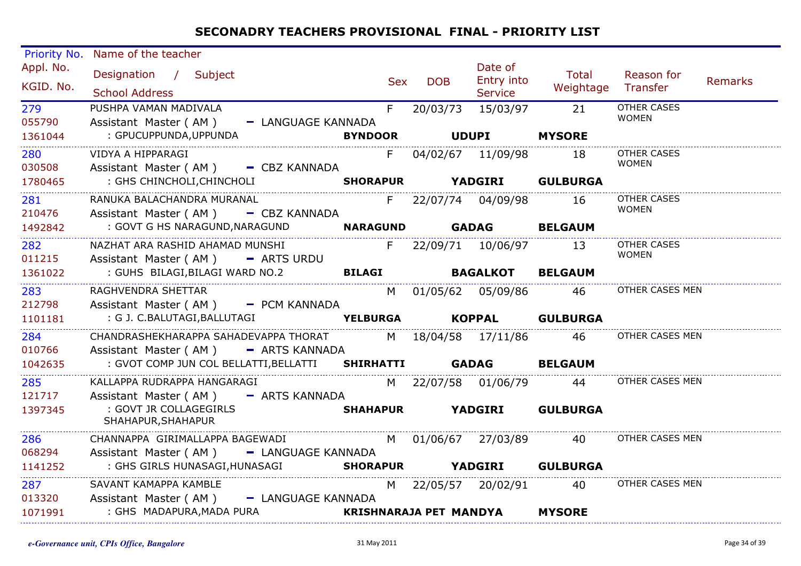| Priority No.                  | Name of the teacher                                                                          |       |         |                               |                           |                             |         |
|-------------------------------|----------------------------------------------------------------------------------------------|-------|---------|-------------------------------|---------------------------|-----------------------------|---------|
| Appl. No.                     | Designation / Subject                                                                        |       |         | Date of                       | Total                     | Reason for                  |         |
| KGID. No.                     | <b>School Address</b>                                                                        |       | Sex DOB | Entry into<br><b>Service</b>  | Weightage Transfer        |                             | Remarks |
| 279                           | PUSHPA VAMAN MADIVALA                                                                        | $F =$ |         | 20/03/73 15/03/97 21          |                           | <b>OTHER CASES</b>          |         |
| 055790                        | Assistant Master (AM) - LANGUAGE KANNADA                                                     |       |         |                               |                           | <b>WOMEN</b>                |         |
| 1361044<br>__________________ | : GPUCUPPUNDA,UPPUNDA                                                                        |       |         | BYNDOOR UDUPI MYSORE          |                           |                             |         |
| 280                           | VIDYA A HIPPARAGI                                                                            | $F =$ |         | 04/02/67 11/09/98 18          |                           | <b>OTHER CASES</b>          |         |
| 030508                        | Assistant Master (AM) - CBZ KANNADA                                                          |       |         |                               |                           | <b>WOMEN</b>                |         |
| 1780465                       | : GHS CHINCHOLI, CHINCHOLI <b>SHORAPUR</b> YADGIRI GULBURGA                                  |       |         |                               |                           |                             |         |
| 281                           | RANUKA BALACHANDRA MURANAL                                                                   |       |         | F 22/07/74 04/09/98 16        |                           | OTHER CASES<br><b>WOMEN</b> |         |
| 210476<br>1492842             | Assistant Master (AM) - CBZ KANNADA<br>: GOVT G HS NARAGUND, NARAGUND MARAGUND GADAG BELGAUM |       |         |                               |                           |                             |         |
|                               |                                                                                              |       |         |                               |                           |                             |         |
| 282<br>011215                 | NAZHAT ARA RASHID AHAMAD MUNSHI                                                              |       |         | F 22/09/71 10/06/97 13        |                           | OTHER CASES<br>WOMEN        |         |
| 1361022                       | Assistant Master ( $AM$ ) $-$ ARTS URDU                                                      |       |         |                               |                           |                             |         |
|                               |                                                                                              |       |         |                               |                           | OTHER CASES MEN             |         |
| 283<br>212798                 | RAGHVENDRA SHETTAR<br>Assistant Master (AM) - PCM KANNADA                                    |       |         |                               | M 01/05/62 05/09/86 46    |                             |         |
| 1101181                       | : G J. C.BALUTAGI,BALLUTAGI                                                                  |       |         |                               | YELBURGA KOPPAL GULBURGA  |                             |         |
| 284                           | CHANDRASHEKHARAPPA SAHADEVAPPA THORAT M 18/04/58 17/11/86 46                                 |       |         |                               |                           | OTHER CASES MEN             |         |
| 010766                        | Assistant Master (AM) - ARTS KANNADA                                                         |       |         |                               |                           |                             |         |
| 1042635                       | : GVOT COMP JUN COL BELLATTI, BELLATTI <b>SHIRHATTI GADAG BELGAUM</b>                        |       |         |                               |                           |                             |         |
| 285                           | KALLAPPA RUDRAPPA HANGARAGI                                                                  |       |         |                               | M 22/07/58 01/06/79 44    | OTHER CASES MEN             |         |
| 121717                        | Assistant Master (AM) - ARTS KANNADA                                                         |       |         |                               |                           |                             |         |
| 1397345                       | : GOVT JR COLLAGEGIRLS                                                                       |       |         | <b>SHAHAPUR YADGIRI</b>       | <b>GULBURGA</b>           |                             |         |
|                               | SHAHAPUR, SHAHAPUR                                                                           |       |         |                               |                           |                             |         |
| 286                           | CHANNAPPA GIRIMALLAPPA BAGEWADI M 01/06/67 27/03/89 40                                       |       |         |                               |                           | OTHER CASES MEN             |         |
| 068294<br>1141252             | Assistant Master (AM) - LANGUAGE KANNADA<br>: GHS GIRLS HUNASAGI,HUNASAGI                    |       |         |                               | SHORAPUR YADGIRI GULBURGA |                             |         |
|                               |                                                                                              |       |         |                               |                           |                             |         |
| 287<br>013320                 | SAVANT KAMAPPA KAMBLE                                                                        |       |         |                               | M 22/05/57 20/02/91 40    | OTHER CASES MEN             |         |
| 1071991                       | Assistant Master (AM) - LANGUAGE KANNADA<br>: GHS MADAPURA, MADA PURA                        |       |         | <b>KRISHNARAJA PET MANDYA</b> | <b>MYSORE</b>             |                             |         |
|                               |                                                                                              |       |         |                               |                           |                             |         |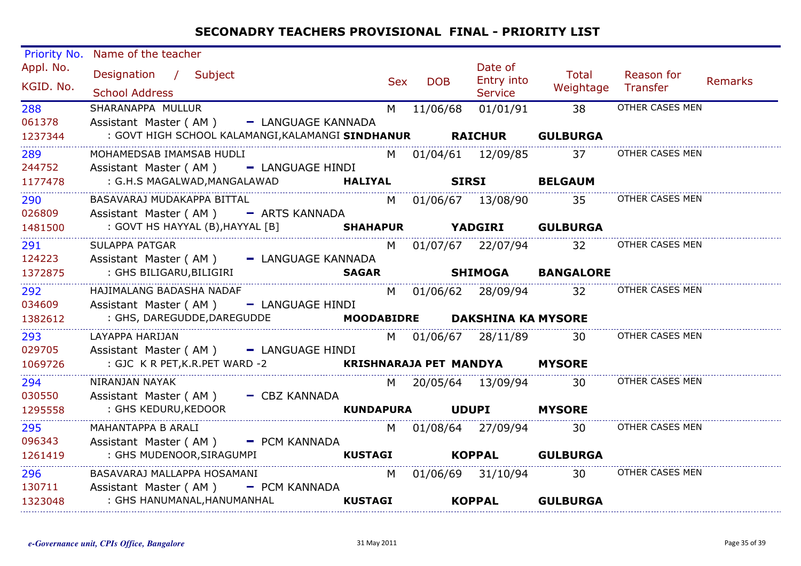| Priority No.                  | Name of the teacher                                                |   |            |                               |                        |                        |                |
|-------------------------------|--------------------------------------------------------------------|---|------------|-------------------------------|------------------------|------------------------|----------------|
| Appl. No.<br>KGID. No.        | Designation / Subject                                              |   | Sex DOB    | Date of<br>Entry into         | Total<br>Weightage     | Reason for<br>Transfer | <b>Remarks</b> |
|                               | <b>School Address</b>                                              |   |            | <b>Service</b>                |                        |                        |                |
| 288                           | SHARANAPPA MULLUR                                                  |   | M 11/06/68 | 01/01/91                      | $\overline{38}$        | OTHER CASES MEN        |                |
| 061378                        | Assistant Master (AM) - LANGUAGE KANNADA                           |   |            |                               |                        |                        |                |
| 1237344                       | : GOVT HIGH SCHOOL KALAMANGI, KALAMANGI SINDHANUR RAICHUR GULBURGA |   |            |                               |                        |                        |                |
| 289                           | MOHAMEDSAB IMAMSAB HUDLI                                           |   |            | M 01/04/61 12/09/85           | 37                     | OTHER CASES MEN        |                |
| 244752                        | Assistant Master (AM) - LANGUAGE HINDI                             |   |            |                               |                        |                        |                |
| 1177478                       | : G.H.S MAGALWAD,MANGALAWAD<br><b>HALIYAL</b>                      |   |            | <b>SIRSI BELGAUM</b>          |                        |                        |                |
| <u>.</u><br>290               | BASAVARAJ MUDAKAPPA BITTAL                                         |   |            |                               | M 01/06/67 13/08/90 35 | OTHER CASES MEN        |                |
| 026809                        | Assistant Master (AM) - ARTS KANNADA                               |   |            |                               |                        |                        |                |
| 1481500                       | : GOVT HS HAYYAL (B), HAYYAL [B] <b>SHAHAPUR</b>                   |   |            | <b>YADGIRI</b>                | <b>GULBURGA</b>        |                        |                |
| 291                           | SULAPPA PATGAR                                                     |   |            |                               | M 01/07/67 22/07/94 32 | OTHER CASES MEN        |                |
| 124223                        | Assistant Master (AM) - LANGUAGE KANNADA                           |   |            |                               |                        |                        |                |
| 1372875                       | : GHS BILIGARU,BILIGIRI<br><b>SAGAR</b>                            |   |            |                               | SHIMOGA BANGALORE      |                        |                |
| 292                           | HAJIMALANG BADASHA NADAF                                           |   |            | M 01/06/62 28/09/94           | 32                     | OTHER CASES MEN        |                |
| 034609                        | Assistant Master (AM) - LANGUAGE HINDI                             |   |            |                               |                        |                        |                |
| 1382612                       | : GHS, DAREGUDDE, DAREGUDDE                                        |   |            | MOODABIDRE DAKSHINA KA MYSORE |                        |                        |                |
| 293                           | LAYAPPA HARIJAN                                                    |   |            | M 01/06/67 28/11/89           | -30-                   | OTHER CASES MEN        |                |
| 029705                        | Assistant Master (AM) - LANGUAGE HINDI                             |   |            |                               |                        |                        |                |
| 1069726                       | : GJC K R PET,K.R.PET WARD -2 <b>KRISHNARAJA PET MANDYA MYSORE</b> |   |            |                               |                        |                        |                |
| 294                           | __________________________________<br>NIRANJAN NAYAK               |   |            | M 20/05/64 13/09/94 30        |                        | OTHER CASES MEN        |                |
| 030550                        | Assistant Master (AM) - CBZ KANNADA                                |   |            |                               |                        |                        |                |
| 1295558                       | : GHS KEDURU,KEDOOR                                                |   | KUNDAPURA  | <b>UDUPI</b>                  | <b>MYSORE</b>          |                        |                |
| 295                           | MAHANTAPPA B ARALI                                                 |   |            | M 01/08/64 27/09/94 30        |                        | OTHER CASES MEN        |                |
| 096343                        | Assistant Master (AM) - PCM KANNADA                                |   |            |                               |                        |                        |                |
| 1261419                       | : GHS MUDENOOR, SIRAGUMPI<br><b>KUSTAGI</b>                        |   |            | <b>KOPPAL</b>                 | <b>GULBURGA</b>        |                        |                |
| <u>_______________</u><br>296 | BASAVARAJ MALLAPPA HOSAMANI                                        | M |            | 01/06/69 31/10/94             | 30                     | OTHER CASES MEN        |                |
| 130711                        | Assistant Master (AM) - PCM KANNADA                                |   |            |                               |                        |                        |                |
| 1323048                       | : GHS HANUMANAL,HANUMANHAL<br><b>KUSTAGI</b>                       |   |            | <b>KOPPAL</b>                 | <b>GULBURGA</b>        |                        |                |
|                               |                                                                    |   |            |                               |                        |                        |                |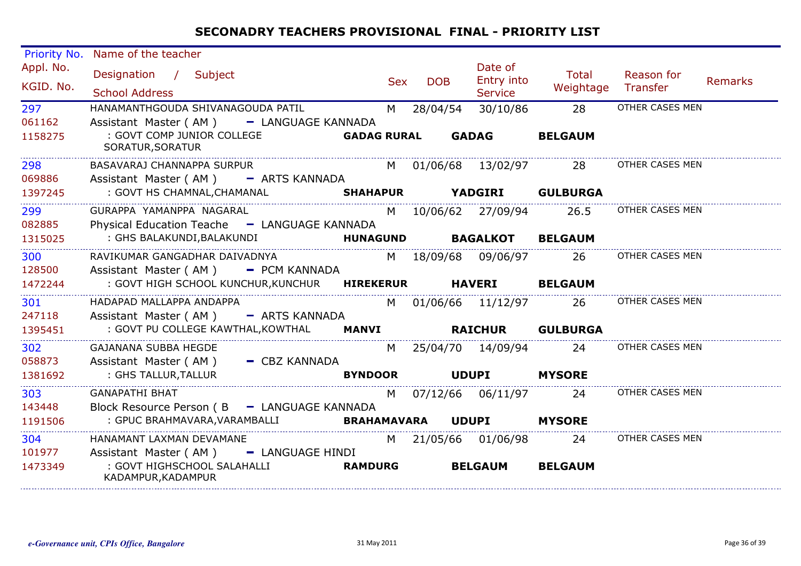| <b>Priority No.</b>      | Name of the teacher                                                                                            |                    |            |            |                                         |                           |                        |         |
|--------------------------|----------------------------------------------------------------------------------------------------------------|--------------------|------------|------------|-----------------------------------------|---------------------------|------------------------|---------|
| Appl. No.<br>KGID. No.   | Designation / Subject<br><b>School Address</b>                                                                 |                    | <b>Sex</b> | <b>DOB</b> | Date of<br>Entry into<br><b>Service</b> | <b>Total</b><br>Weightage | Reason for<br>Transfer | Remarks |
| 297<br>061162<br>1158275 | HANAMANTHGOUDA SHIVANAGOUDA PATIL<br>Assistant Master (AM)<br>- LANGUAGE KANNADA<br>: GOVT COMP JUNIOR COLLEGE | <b>GADAG RURAL</b> | M          | 28/04/54   | 30/10/86<br><b>GADAG</b>                | 28<br><b>BELGAUM</b>      | OTHER CASES MEN        |         |
|                          | SORATUR, SORATUR                                                                                               |                    |            |            |                                         |                           |                        |         |
| 298<br>069886            | BASAVARAJ CHANNAPPA SURPUR<br>Assistant Master (AM) - ARTS KANNADA                                             |                    |            |            | M 01/06/68 13/02/97                     | 28                        | OTHER CASES MEN        |         |
| 1397245                  | : GOVT HS CHAMNAL, CHAMANAL<br><b>SHAHAPUR</b>                                                                 |                    |            |            | <b>YADGIRI</b>                          | <b>GULBURGA</b>           |                        |         |
| 299<br>082885            | GURAPPA YAMANPPA NAGARAL<br>Physical Education Teache - LANGUAGE KANNADA                                       |                    |            |            | M 10/06/62 27/09/94                     | 26.5                      | OTHER CASES MEN        |         |
| 1315025                  | : GHS BALAKUNDI, BALAKUNDI                                                                                     | <b>HUNAGUND</b>    |            |            | <b>BAGALKOT</b>                         | <b>BELGAUM</b>            |                        |         |
| 300<br>128500            | RAVIKUMAR GANGADHAR DAIVADNYA<br>Assistant Master (AM) - PCM KANNADA                                           |                    |            |            | M 18/09/68 09/06/97                     | -26                       | OTHER CASES MEN        |         |
| 1472244                  | : GOVT HIGH SCHOOL KUNCHUR, KUNCHUR HIREKERUR                                                                  |                    |            |            | <b>HAVERI</b>                           | <b>BELGAUM</b>            |                        |         |
| 301<br>247118            | HADAPAD MALLAPPA ANDAPPA<br>Assistant Master (AM) - ARTS KANNADA                                               |                    |            |            | M 01/06/66 11/12/97                     | 26                        | OTHER CASES MEN        |         |
| 1395451                  | : GOVT PU COLLEGE KAWTHAL, KOWTHAL                                                                             | <b>MANVI</b>       |            |            | <b>RAICHUR</b>                          | <b>GULBURGA</b>           |                        |         |
| 302<br>058873            | <b>GAJANANA SUBBA HEGDE</b><br>Assistant Master (AM) - CBZ KANNADA                                             |                    |            |            | M 25/04/70 14/09/94                     | 24                        | OTHER CASES MEN        |         |
| 1381692                  | : GHS TALLUR, TALLUR                                                                                           | <b>BYNDOOR</b>     |            |            | <b>UDUPI</b>                            | <b>MYSORE</b>             |                        |         |
| 303<br>143448            | <b>GANAPATHI BHAT</b><br>Block Resource Person (B - LANGUAGE KANNADA                                           |                    |            |            | M 07/12/66 06/11/97                     | 24                        | OTHER CASES MEN        |         |
| 1191506                  | : GPUC BRAHMAVARA, VARAMBALLI                                                                                  | <b>BRAHAMAVARA</b> |            |            | <b>UDUPI</b>                            | <b>MYSORE</b>             |                        |         |
| 304<br>101977            | HANAMANT LAXMAN DEVAMANE<br>Assistant Master (AM) - LANGUAGE HINDI                                             |                    |            |            | M 21/05/66 01/06/98                     | 24                        | OTHER CASES MEN        |         |
| 1473349                  | : GOVT HIGHSCHOOL SALAHALLI<br>KADAMPUR, KADAMPUR                                                              | <b>RAMDURG</b>     |            |            | <b>BELGAUM</b>                          | <b>BELGAUM</b>            |                        |         |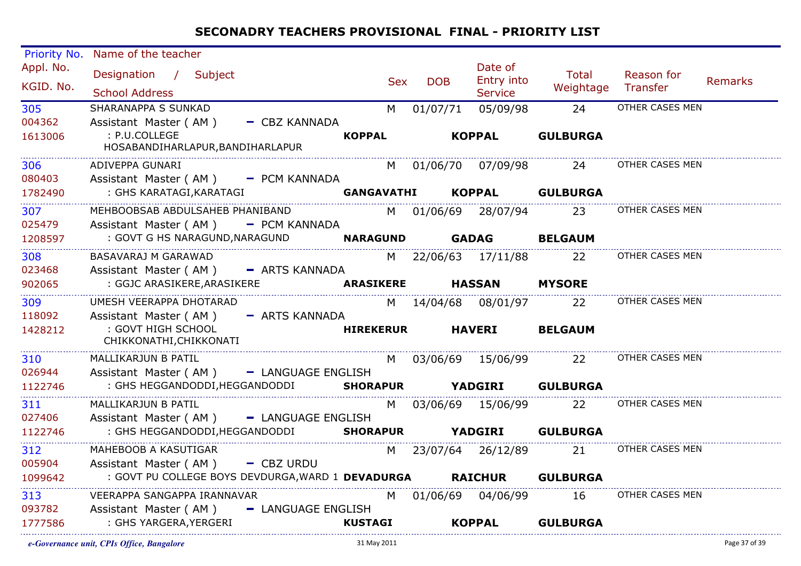| Priority No. | Name of the teacher                                                                                         |                  |            |            |                       |                            |                                        |         |
|--------------|-------------------------------------------------------------------------------------------------------------|------------------|------------|------------|-----------------------|----------------------------|----------------------------------------|---------|
| Appl. No.    | Designation / Subject                                                                                       |                  | <b>Sex</b> | <b>DOB</b> | Date of<br>Entry into | Total                      | Reason for                             | Remarks |
| KGID. No.    | <b>School Address</b>                                                                                       |                  |            |            | <b>Service</b>        | Weightage Transfer         |                                        |         |
| 305          | SHARANAPPA S SUNKAD                                                                                         |                  |            | M 01/07/71 |                       | 05/09/98 24                | OTHER CASES MEN                        |         |
| 004362       | Assistant Master (AM) - CBZ KANNADA                                                                         |                  |            |            |                       |                            |                                        |         |
| 1613006      | : P.U.COLLEGE<br>HOSABANDIHARLAPUR, BANDIHARLAPUR                                                           | <b>KOPPAL</b>    |            |            | <b>KOPPAL</b>         | <b>GULBURGA</b>            |                                        |         |
| 306          | ADIVEPPA GUNARI                                                                                             |                  |            |            |                       |                            | M 01/06/70 07/09/98 24 OTHER CASES MEN |         |
| 080403       | Assistant Master (AM) - PCM KANNADA                                                                         |                  |            |            |                       |                            |                                        |         |
| 1782490      |                                                                                                             |                  |            |            |                       | GANGAVATHI KOPPAL GULBURGA |                                        |         |
| 307          |                                                                                                             |                  |            |            |                       | 23                         | OTHER CASES MEN                        |         |
| 025479       | Assistant Master (AM) - PCM KANNADA                                                                         |                  |            |            |                       |                            |                                        |         |
| 1208597      | EXAMPLE THE NARAGUND, NARAGUND <b>NARAGUND GADAG BELGAUM</b> : GOVT G HS NARAGUND, NARAGUND <b>NARAGUND</b> |                  |            |            |                       |                            |                                        |         |
| 308          | BASAVARAJ M GARAWAD                                                                                         |                  |            |            |                       | M 22/06/63 17/11/88 22     | OTHER CASES MEN                        |         |
| 023468       | Assistant Master (AM) - ARTS KANNADA                                                                        |                  |            |            |                       |                            |                                        |         |
| 902065       | : GGJC ARASIKERE, ARASIKERE<br>ARASIKERE, ARASIKERE ARASIKERE HASSAN                                        |                  |            |            |                       | <b>MYSORE</b>              |                                        |         |
| 309          | UMESH VEERAPPA DHOTARAD                                                                                     |                  |            |            |                       |                            | M 14/04/68 08/01/97 22 OTHER CASES MEN |         |
| 118092       | Assistant Master (AM)<br>- ARTS KANNADA                                                                     |                  |            |            |                       |                            |                                        |         |
| 1428212      | : GOVT HIGH SCHOOL<br>CHIKKONATHI, CHIKKONATI                                                               | <b>HIREKERUR</b> |            |            | <b>HAVERI</b>         | <b>BELGAUM</b>             |                                        |         |
| 310          | MALLIKARJUN B PATIL                                                                                         |                  |            |            |                       |                            | M 03/06/69 15/06/99 22 OTHER CASES MEN |         |
| 026944       | Assistant Master (AM) - LANGUAGE ENGLISH                                                                    |                  |            |            |                       |                            |                                        |         |
| 1122746      | : GHS HEGGANDODDI, HEGGANDODDI SHORAPUR YADGIRI GULBURGA                                                    |                  |            |            |                       |                            |                                        |         |
| 311          | MALLIKARJUN B PATIL                                                                                         |                  |            |            | M 03/06/69 15/06/99   | 22                         | OTHER CASES MEN                        |         |
| 027406       | Assistant Master (AM) - LANGUAGE ENGLISH                                                                    |                  |            |            |                       |                            |                                        |         |
| 1122746      | : GHS HEGGANDODDI, HEGGANDODDI SHORAPUR YADGIRI GULBURGA                                                    |                  |            |            |                       |                            |                                        |         |
| 312          | MAHEBOOB A KASUTIGAR                                                                                        |                  |            |            |                       | M 23/07/64 26/12/89 21     | OTHER CASES MEN                        |         |
| 005904       | Assistant Master (AM) - CBZ URDU                                                                            |                  |            |            |                       |                            |                                        |         |
| 1099642      | : GOVT PU COLLEGE BOYS DEVDURGA, WARD 1 DEVADURGA RAICHUR                                                   |                  |            |            |                       | <b>GULBURGA</b>            |                                        |         |
| 313          | VEERAPPA SANGAPPA IRANNAVAR                                                                                 |                  |            |            | M 01/06/69 04/06/99   | 16                         | OTHER CASES MEN                        |         |
| 093782       | Assistant Master (AM) - LANGUAGE ENGLISH                                                                    |                  |            |            |                       |                            |                                        |         |
| 1777586      | : GHS YARGERA,YERGERI                                                                                       | <b>KUSTAGI</b>   |            |            |                       | KOPPAL GULBURGA            |                                        |         |
|              |                                                                                                             |                  |            |            |                       |                            |                                        |         |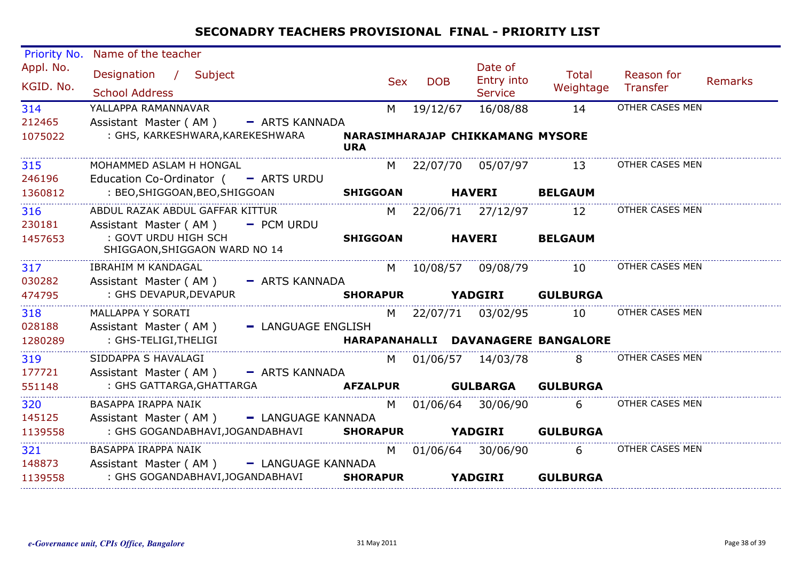| Priority No.           | Name of the teacher                                   |                                                |            |                                         |                                    |                        |                |
|------------------------|-------------------------------------------------------|------------------------------------------------|------------|-----------------------------------------|------------------------------------|------------------------|----------------|
| Appl. No.<br>KGID. No. | Designation / Subject<br><b>School Address</b>        | <b>Sex</b>                                     | <b>DOB</b> | Date of<br>Entry into<br><b>Service</b> | <b>Total</b><br>Weightage          | Reason for<br>Transfer | <b>Remarks</b> |
| 314                    | YALLAPPA RAMANNAVAR                                   | M                                              | 19/12/67   | 16/08/88                                | 14                                 | OTHER CASES MEN        |                |
| 212465                 | Assistant Master (AM) - ARTS KANNADA                  |                                                |            |                                         |                                    |                        |                |
| 1075022                | : GHS, KARKESHWARA, KAREKESHWARA                      | NARASIMHARAJAP CHIKKAMANG MYSORE<br><b>URA</b> |            |                                         |                                    |                        |                |
| 315                    | MOHAMMED ASLAM H HONGAL                               |                                                |            |                                         | M 22/07/70 05/07/97 13             | OTHER CASES MEN        |                |
| 246196                 | Education Co-Ordinator $($ - ARTS URDU                |                                                |            |                                         |                                    |                        |                |
| 1360812                | : BEO, SHIGGOAN, BEO, SHIGGOAN                        | <b>SHIGGOAN</b>                                |            | <b>HAVERI</b>                           | <b>BELGAUM</b>                     |                        |                |
| 316                    | ABDUL RAZAK ABDUL GAFFAR KITTUR                       |                                                |            | M 22/06/71 27/12/97                     | 12                                 | OTHER CASES MEN        |                |
| 230181                 | Assistant Master ( $AM$ ) - PCM URDU                  |                                                |            |                                         |                                    |                        |                |
| 1457653                | : GOVT URDU HIGH SCH<br>SHIGGAON, SHIGGAON WARD NO 14 | <b>SHIGGOAN</b>                                |            | <b>HAVERI</b>                           | <b>BELGAUM</b>                     |                        |                |
| 317                    | <b>IBRAHIM M KANDAGAL</b>                             |                                                |            | M 10/08/57 09/08/79                     | 10                                 | OTHER CASES MEN        |                |
| 030282                 | Assistant Master (AM) - ARTS KANNADA                  |                                                |            |                                         |                                    |                        |                |
| 474795                 | : GHS DEVAPUR, DEVAPUR                                | <b>SHORAPUR</b>                                |            | <b>YADGIRI</b>                          | <b>GULBURGA</b>                    |                        |                |
| 318                    | MALLAPPA Y SORATI                                     |                                                |            | M 22/07/71 03/02/95                     | 10                                 | OTHER CASES MEN        |                |
| 028188                 | Assistant Master (AM)<br>- LANGUAGE ENGLISH           |                                                |            |                                         |                                    |                        |                |
| 1280289                | : GHS-TELIGI, THELIGI                                 |                                                |            |                                         | HARAPANAHALLI DAVANAGERE BANGALORE |                        |                |
| 319                    | SIDDAPPA S HAVALAGI                                   |                                                |            | M 01/06/57 14/03/78                     | 8                                  | OTHER CASES MEN        |                |
| 177721                 | Assistant Master (AM) - ARTS KANNADA                  |                                                |            |                                         |                                    |                        |                |
| 551148                 | : GHS GATTARGA,GHATTARGA                              |                                                |            |                                         | <b>GULBURGA</b>                    |                        |                |
| 320                    | BASAPPA IRAPPA NAIK                                   | M                                              |            | 01/06/64 30/06/90                       | 6                                  | OTHER CASES MEN        |                |
| 145125                 | Assistant Master (AM) - LANGUAGE KANNADA              |                                                |            |                                         |                                    |                        |                |
| 1139558                | : GHS GOGANDABHAVI, JOGANDABHAVI SHORAPUR YADGIRI     |                                                |            |                                         | <b>GULBURGA</b>                    |                        |                |
| 321                    | BASAPPA IRAPPA NAIK                                   | M                                              |            | 01/06/64 30/06/90                       | 6                                  | OTHER CASES MEN        |                |
| 148873                 | Assistant Master (AM) - LANGUAGE KANNADA              |                                                |            |                                         |                                    |                        |                |
| 1139558                | : GHS GOGANDABHAVI,JOGANDABHAVI                       | <b>SHORAPUR</b>                                |            | <b>YADGIRI</b>                          | <b>GULBURGA</b>                    |                        |                |
|                        |                                                       |                                                |            |                                         |                                    |                        |                |